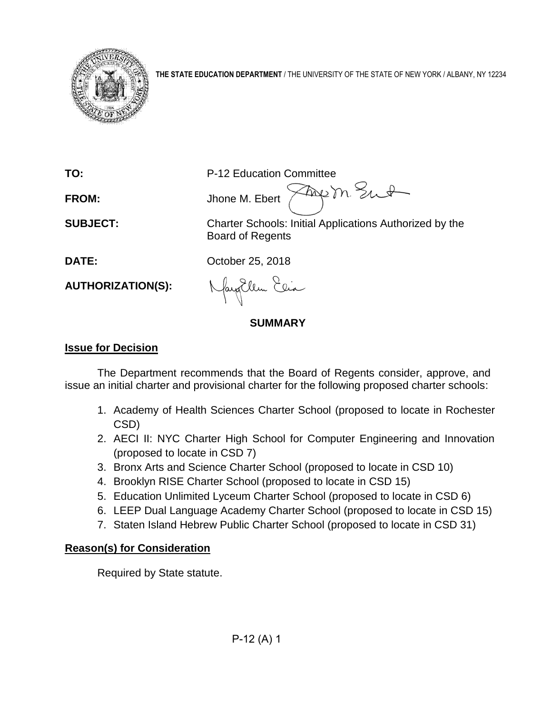

**THE STATE EDUCATION DEPARTMENT** / THE UNIVERSITY OF THE STATE OF NEW YORK / ALBANY, NY 12234

**TO:** P-12 Education Committee<br>**FROM:** FROM: Face M. Float Mark M. St., St. **FROM:** Jhone M. Ebert

**SUBJECT:** Charter Schools: Initial Applications Authorized by the Board of Regents

**DATE:** October 25, 2018

**AUTHORIZATION(S):**

Ellen Elia

## **SUMMARY**

## **Issue for Decision**

The Department recommends that the Board of Regents consider, approve, and issue an initial charter and provisional charter for the following proposed charter schools:

- 1. Academy of Health Sciences Charter School (proposed to locate in Rochester CSD)
- 2. AECI II: NYC Charter High School for Computer Engineering and Innovation (proposed to locate in CSD 7)
- 3. Bronx Arts and Science Charter School (proposed to locate in CSD 10)
- 4. Brooklyn RISE Charter School (proposed to locate in CSD 15)
- 5. Education Unlimited Lyceum Charter School (proposed to locate in CSD 6)
- 6. LEEP Dual Language Academy Charter School (proposed to locate in CSD 15)
- 7. Staten Island Hebrew Public Charter School (proposed to locate in CSD 31)

## **Reason(s) for Consideration**

Required by State statute.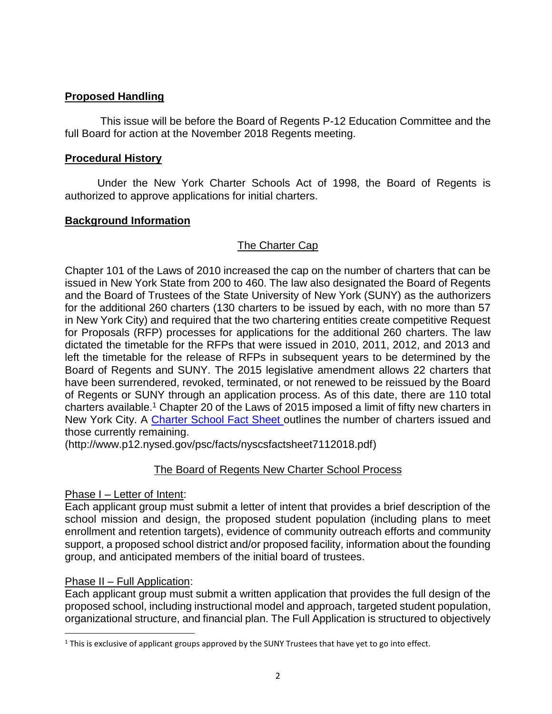## **Proposed Handling**

This issue will be before the Board of Regents P-12 Education Committee and the full Board for action at the November 2018 Regents meeting.

## **Procedural History**

Under the New York Charter Schools Act of 1998, the Board of Regents is authorized to approve applications for initial charters.

## **Background Information**

## The Charter Cap

Chapter 101 of the Laws of 2010 increased the cap on the number of charters that can be issued in New York State from 200 to 460. The law also designated the Board of Regents and the Board of Trustees of the State University of New York (SUNY) as the authorizers for the additional 260 charters (130 charters to be issued by each, with no more than 57 in New York City) and required that the two chartering entities create competitive Request for Proposals (RFP) processes for applications for the additional 260 charters. The law dictated the timetable for the RFPs that were issued in 2010, 2011, 2012, and 2013 and left the timetable for the release of RFPs in subsequent years to be determined by the Board of Regents and SUNY. The 2015 legislative amendment allows 22 charters that have been surrendered, revoked, terminated, or not renewed to be reissued by the Board of Regents or SUNY through an application process. As of this date, there are 110 total charters available.<sup>1</sup> Chapter 20 of the Laws of 2015 imposed a limit of fifty new charters in New York City. A [Charter School Fact Sheet](http://www.p12.nysed.gov/psc/facts/nyscsfactsheet7112018.pdf) outlines the number of charters issued and those currently remaining.

(http://www.p12.nysed.gov/psc/facts/nyscsfactsheet7112018.pdf)

## The Board of Regents New Charter School Process

## Phase I – Letter of Intent:

Each applicant group must submit a letter of intent that provides a brief description of the school mission and design, the proposed student population (including plans to meet enrollment and retention targets), evidence of community outreach efforts and community support, a proposed school district and/or proposed facility, information about the founding group, and anticipated members of the initial board of trustees.

## Phase II – Full Application:

 $\overline{a}$ 

Each applicant group must submit a written application that provides the full design of the proposed school, including instructional model and approach, targeted student population, organizational structure, and financial plan. The Full Application is structured to objectively

<sup>&</sup>lt;sup>1</sup> This is exclusive of applicant groups approved by the SUNY Trustees that have yet to go into effect.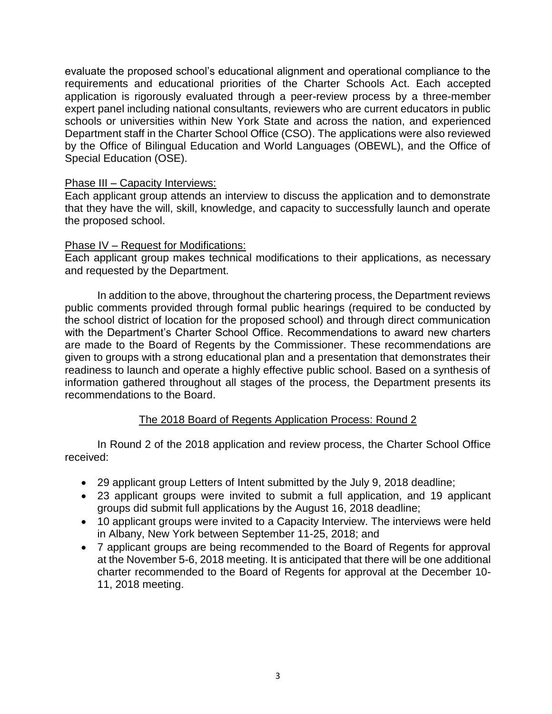evaluate the proposed school's educational alignment and operational compliance to the requirements and educational priorities of the Charter Schools Act. Each accepted application is rigorously evaluated through a peer-review process by a three-member expert panel including national consultants, reviewers who are current educators in public schools or universities within New York State and across the nation, and experienced Department staff in the Charter School Office (CSO). The applications were also reviewed by the Office of Bilingual Education and World Languages (OBEWL), and the Office of Special Education (OSE).

#### Phase III – Capacity Interviews:

Each applicant group attends an interview to discuss the application and to demonstrate that they have the will, skill, knowledge, and capacity to successfully launch and operate the proposed school.

#### Phase IV – Request for Modifications:

Each applicant group makes technical modifications to their applications, as necessary and requested by the Department.

In addition to the above, throughout the chartering process, the Department reviews public comments provided through formal public hearings (required to be conducted by the school district of location for the proposed school) and through direct communication with the Department's Charter School Office. Recommendations to award new charters are made to the Board of Regents by the Commissioner. These recommendations are given to groups with a strong educational plan and a presentation that demonstrates their readiness to launch and operate a highly effective public school. Based on a synthesis of information gathered throughout all stages of the process, the Department presents its recommendations to the Board.

## The 2018 Board of Regents Application Process: Round 2

In Round 2 of the 2018 application and review process, the Charter School Office received:

- 29 applicant group Letters of Intent submitted by the July 9, 2018 deadline;
- 23 applicant groups were invited to submit a full application, and 19 applicant groups did submit full applications by the August 16, 2018 deadline;
- 10 applicant groups were invited to a Capacity Interview. The interviews were held in Albany, New York between September 11-25, 2018; and
- 7 applicant groups are being recommended to the Board of Regents for approval at the November 5-6, 2018 meeting. It is anticipated that there will be one additional charter recommended to the Board of Regents for approval at the December 10- 11, 2018 meeting.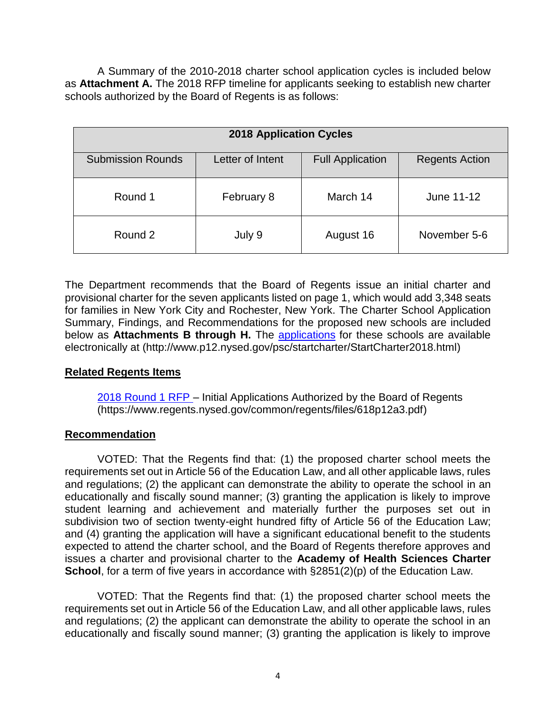A Summary of the 2010-2018 charter school application cycles is included below as **Attachment A.** The 2018 RFP timeline for applicants seeking to establish new charter schools authorized by the Board of Regents is as follows:

| <b>2018 Application Cycles</b> |                  |                         |                       |  |  |
|--------------------------------|------------------|-------------------------|-----------------------|--|--|
| <b>Submission Rounds</b>       | Letter of Intent | <b>Full Application</b> | <b>Regents Action</b> |  |  |
| Round 1                        | February 8       | March 14                | June 11-12            |  |  |
| Round 2                        | July 9           | August 16               | November 5-6          |  |  |

The Department recommends that the Board of Regents issue an initial charter and provisional charter for the seven applicants listed on page 1, which would add 3,348 seats for families in New York City and Rochester, New York. The Charter School Application Summary, Findings, and Recommendations for the proposed new schools are included below as **Attachments B through H.** The [applications](http://www.p12.nysed.gov/psc/startcharter/StartCharter2018.html) for these schools are available electronically at (http://www.p12.nysed.gov/psc/startcharter/StartCharter2018.html)

## **Related Regents Items**

[2018 Round 1 RFP](https://www.regents.nysed.gov/common/regents/files/618p12a3.pdf) – Initial Applications Authorized by the Board of Regents (https://www.regents.nysed.gov/common/regents/files/618p12a3.pdf)

## **Recommendation**

VOTED: That the Regents find that: (1) the proposed charter school meets the requirements set out in Article 56 of the Education Law, and all other applicable laws, rules and regulations; (2) the applicant can demonstrate the ability to operate the school in an educationally and fiscally sound manner; (3) granting the application is likely to improve student learning and achievement and materially further the purposes set out in subdivision two of section twenty-eight hundred fifty of Article 56 of the Education Law; and (4) granting the application will have a significant educational benefit to the students expected to attend the charter school, and the Board of Regents therefore approves and issues a charter and provisional charter to the **Academy of Health Sciences Charter School**, for a term of five years in accordance with §2851(2)(p) of the Education Law.

VOTED: That the Regents find that: (1) the proposed charter school meets the requirements set out in Article 56 of the Education Law, and all other applicable laws, rules and regulations; (2) the applicant can demonstrate the ability to operate the school in an educationally and fiscally sound manner; (3) granting the application is likely to improve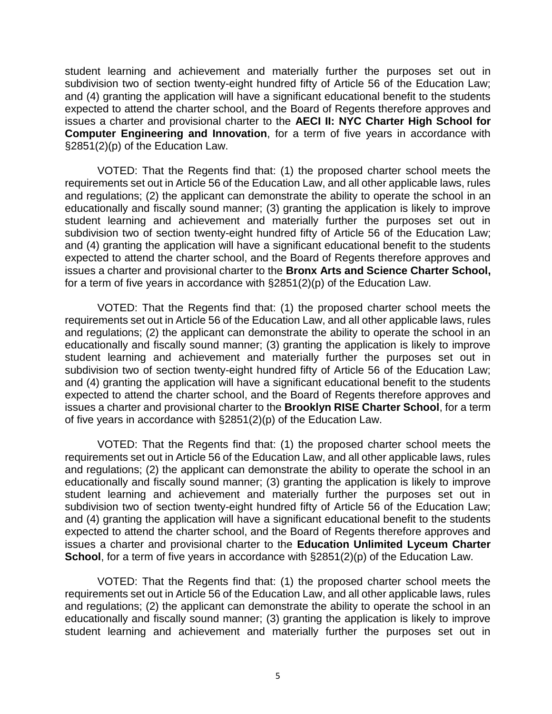student learning and achievement and materially further the purposes set out in subdivision two of section twenty-eight hundred fifty of Article 56 of the Education Law; and (4) granting the application will have a significant educational benefit to the students expected to attend the charter school, and the Board of Regents therefore approves and issues a charter and provisional charter to the **AECI II: NYC Charter High School for Computer Engineering and Innovation**, for a term of five years in accordance with §2851(2)(p) of the Education Law.

VOTED: That the Regents find that: (1) the proposed charter school meets the requirements set out in Article 56 of the Education Law, and all other applicable laws, rules and regulations; (2) the applicant can demonstrate the ability to operate the school in an educationally and fiscally sound manner; (3) granting the application is likely to improve student learning and achievement and materially further the purposes set out in subdivision two of section twenty-eight hundred fifty of Article 56 of the Education Law; and (4) granting the application will have a significant educational benefit to the students expected to attend the charter school, and the Board of Regents therefore approves and issues a charter and provisional charter to the **Bronx Arts and Science Charter School,** for a term of five years in accordance with §2851(2)(p) of the Education Law.

VOTED: That the Regents find that: (1) the proposed charter school meets the requirements set out in Article 56 of the Education Law, and all other applicable laws, rules and regulations; (2) the applicant can demonstrate the ability to operate the school in an educationally and fiscally sound manner; (3) granting the application is likely to improve student learning and achievement and materially further the purposes set out in subdivision two of section twenty-eight hundred fifty of Article 56 of the Education Law; and (4) granting the application will have a significant educational benefit to the students expected to attend the charter school, and the Board of Regents therefore approves and issues a charter and provisional charter to the **Brooklyn RISE Charter School**, for a term of five years in accordance with §2851(2)(p) of the Education Law.

VOTED: That the Regents find that: (1) the proposed charter school meets the requirements set out in Article 56 of the Education Law, and all other applicable laws, rules and regulations; (2) the applicant can demonstrate the ability to operate the school in an educationally and fiscally sound manner; (3) granting the application is likely to improve student learning and achievement and materially further the purposes set out in subdivision two of section twenty-eight hundred fifty of Article 56 of the Education Law; and (4) granting the application will have a significant educational benefit to the students expected to attend the charter school, and the Board of Regents therefore approves and issues a charter and provisional charter to the **Education Unlimited Lyceum Charter School**, for a term of five years in accordance with §2851(2)(p) of the Education Law.

VOTED: That the Regents find that: (1) the proposed charter school meets the requirements set out in Article 56 of the Education Law, and all other applicable laws, rules and regulations; (2) the applicant can demonstrate the ability to operate the school in an educationally and fiscally sound manner; (3) granting the application is likely to improve student learning and achievement and materially further the purposes set out in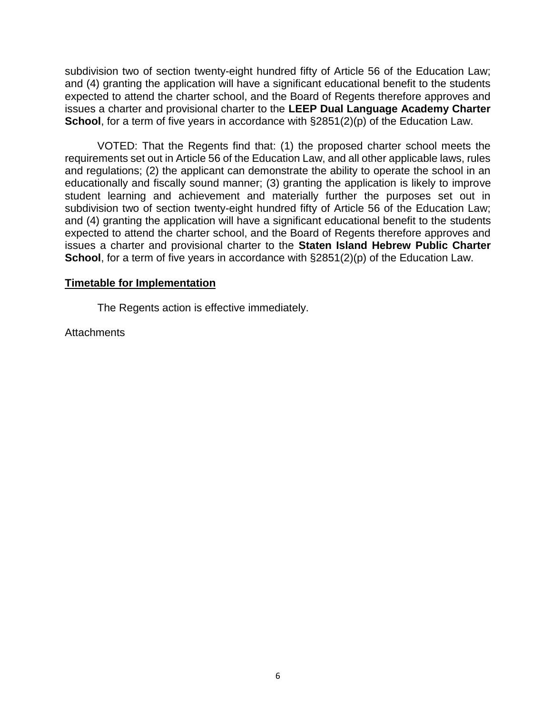subdivision two of section twenty-eight hundred fifty of Article 56 of the Education Law; and (4) granting the application will have a significant educational benefit to the students expected to attend the charter school, and the Board of Regents therefore approves and issues a charter and provisional charter to the **LEEP Dual Language Academy Charter School**, for a term of five years in accordance with §2851(2)(p) of the Education Law.

VOTED: That the Regents find that: (1) the proposed charter school meets the requirements set out in Article 56 of the Education Law, and all other applicable laws, rules and regulations; (2) the applicant can demonstrate the ability to operate the school in an educationally and fiscally sound manner; (3) granting the application is likely to improve student learning and achievement and materially further the purposes set out in subdivision two of section twenty-eight hundred fifty of Article 56 of the Education Law; and (4) granting the application will have a significant educational benefit to the students expected to attend the charter school, and the Board of Regents therefore approves and issues a charter and provisional charter to the **Staten Island Hebrew Public Charter School**, for a term of five years in accordance with §2851(2)(p) of the Education Law.

#### **Timetable for Implementation**

The Regents action is effective immediately.

**Attachments**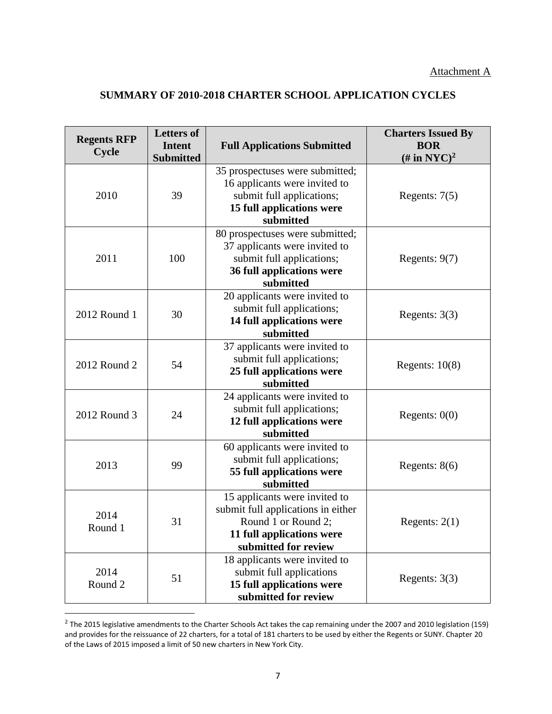## **SUMMARY OF 2010-2018 CHARTER SCHOOL APPLICATION CYCLES**

| <b>Regents RFP</b><br><b>Cycle</b> | <b>Letters of</b><br><b>Intent</b><br><b>Submitted</b> | <b>Full Applications Submitted</b>                                                                                                              | <b>Charters Issued By</b><br><b>BOR</b><br>(# in NYC) <sup>2</sup> |
|------------------------------------|--------------------------------------------------------|-------------------------------------------------------------------------------------------------------------------------------------------------|--------------------------------------------------------------------|
| 2010                               | 39                                                     | 35 prospectuses were submitted;<br>16 applicants were invited to<br>submit full applications;<br>15 full applications were<br>submitted         | Regents: $7(5)$                                                    |
| 2011                               | 100                                                    | 80 prospectuses were submitted;<br>37 applicants were invited to<br>submit full applications;<br>36 full applications were<br>submitted         | Regents: $9(7)$                                                    |
| 2012 Round 1                       | 30                                                     | 20 applicants were invited to<br>submit full applications;<br>14 full applications were<br>submitted                                            | Regents: $3(3)$                                                    |
| 2012 Round 2                       | 54                                                     | 37 applicants were invited to<br>submit full applications;<br>25 full applications were<br>submitted                                            | Regents: $10(8)$                                                   |
| 2012 Round 3                       | 24                                                     | 24 applicants were invited to<br>submit full applications;<br>12 full applications were<br>submitted                                            | Regents: $0(0)$                                                    |
| 2013                               | 99                                                     | 60 applicants were invited to<br>submit full applications;<br>55 full applications were<br>submitted                                            | Regents: $8(6)$                                                    |
| 2014<br>Round 1                    | 31                                                     | 15 applicants were invited to<br>submit full applications in either<br>Round 1 or Round 2;<br>11 full applications were<br>submitted for review | Regents: $2(1)$                                                    |
| 2014<br>Round 2                    | 51                                                     | 18 applicants were invited to<br>submit full applications<br>15 full applications were<br>submitted for review                                  | Regents: $3(3)$                                                    |

 $^2$  The 2015 legislative amendments to the Charter Schools Act takes the cap remaining under the 2007 and 2010 legislation (159) and provides for the reissuance of 22 charters, for a total of 181 charters to be used by either the Regents or SUNY. Chapter 20 of the Laws of 2015 imposed a limit of 50 new charters in New York City.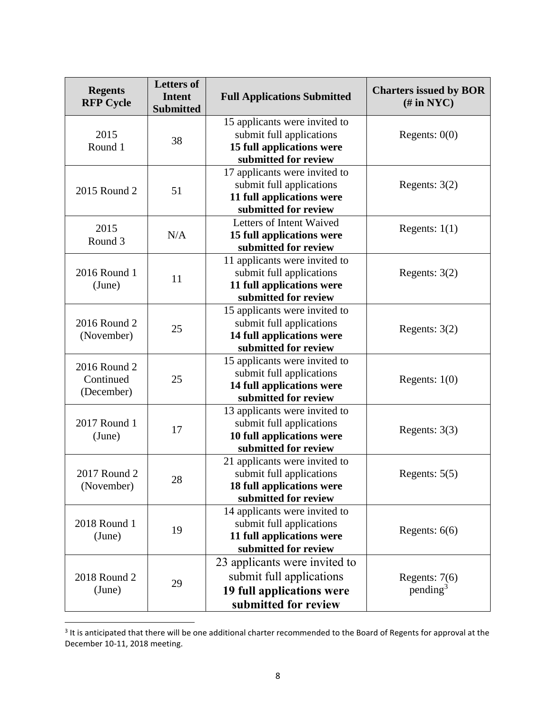| <b>Regents</b><br><b>RFP Cycle</b>      | <b>Letters of</b><br><b>Intent</b><br><b>Submitted</b> | <b>Full Applications Submitted</b>                                                                             | <b>Charters issued by BOR</b><br>$(\# \text{ in } \text{NYC})$ |
|-----------------------------------------|--------------------------------------------------------|----------------------------------------------------------------------------------------------------------------|----------------------------------------------------------------|
| 2015<br>Round 1                         | 38                                                     | 15 applicants were invited to<br>submit full applications<br>15 full applications were<br>submitted for review | Regents: $0(0)$                                                |
| 2015 Round 2                            | 51                                                     | 17 applicants were invited to<br>submit full applications<br>11 full applications were<br>submitted for review | Regents: $3(2)$                                                |
| 2015<br>Round 3                         | N/A                                                    | Letters of Intent Waived<br>15 full applications were<br>submitted for review                                  | Regents: $1(1)$                                                |
| 2016 Round 1<br>(June)                  | 11                                                     | 11 applicants were invited to<br>submit full applications<br>11 full applications were<br>submitted for review | Regents: $3(2)$                                                |
| 2016 Round 2<br>(November)              | 25                                                     | 15 applicants were invited to<br>submit full applications<br>14 full applications were<br>submitted for review | Regents: $3(2)$                                                |
| 2016 Round 2<br>Continued<br>(December) | 25                                                     | 15 applicants were invited to<br>submit full applications<br>14 full applications were<br>submitted for review | Regents: $1(0)$                                                |
| 2017 Round 1<br>(June)                  | 17                                                     | 13 applicants were invited to<br>submit full applications<br>10 full applications were<br>submitted for review | Regents: $3(3)$                                                |
| 2017 Round 2<br>(November)              | 28                                                     | 21 applicants were invited to<br>submit full applications<br>18 full applications were<br>submitted for review | Regents: $5(5)$                                                |
| 2018 Round 1<br>(June)                  | 19                                                     | 14 applicants were invited to<br>submit full applications<br>11 full applications were<br>submitted for review | Regents: $6(6)$                                                |
| 2018 Round 2<br>(June)                  | 29                                                     | 23 applicants were invited to<br>submit full applications<br>19 full applications were<br>submitted for review | Regents: $7(6)$<br>pending <sup>3</sup>                        |

 3 It is anticipated that there will be one additional charter recommended to the Board of Regents for approval at the December 10-11, 2018 meeting.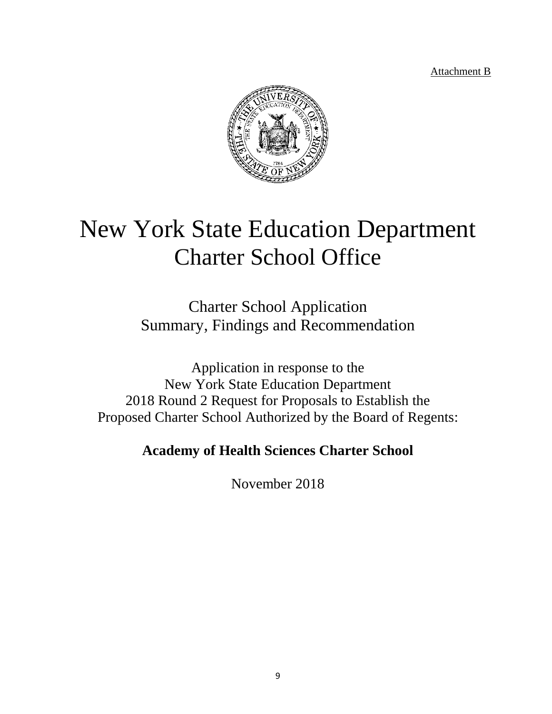Attachment B



# New York State Education Department Charter School Office

Charter School Application Summary, Findings and Recommendation

Application in response to the New York State Education Department 2018 Round 2 Request for Proposals to Establish the Proposed Charter School Authorized by the Board of Regents:

**Academy of Health Sciences Charter School**

November 2018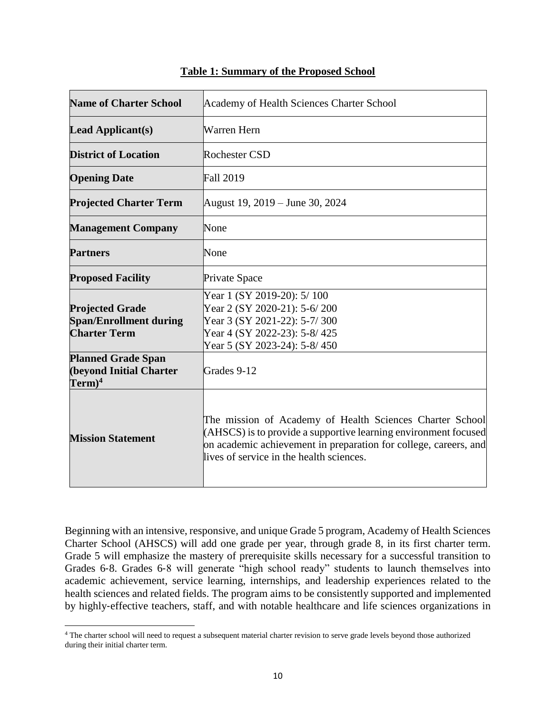| <b>Name of Charter School</b>                                                  | Academy of Health Sciences Charter School                                                                                                                                                                                                   |  |
|--------------------------------------------------------------------------------|---------------------------------------------------------------------------------------------------------------------------------------------------------------------------------------------------------------------------------------------|--|
| <b>Lead Applicant(s)</b>                                                       | Warren Hern                                                                                                                                                                                                                                 |  |
| <b>District of Location</b>                                                    | <b>Rochester CSD</b>                                                                                                                                                                                                                        |  |
| <b>Opening Date</b>                                                            | <b>Fall 2019</b>                                                                                                                                                                                                                            |  |
| <b>Projected Charter Term</b>                                                  | August 19, 2019 – June 30, 2024                                                                                                                                                                                                             |  |
| <b>Management Company</b>                                                      | None                                                                                                                                                                                                                                        |  |
| <b>Partners</b>                                                                | None                                                                                                                                                                                                                                        |  |
| <b>Proposed Facility</b>                                                       | Private Space                                                                                                                                                                                                                               |  |
| <b>Projected Grade</b><br><b>Span/Enrollment during</b><br><b>Charter Term</b> | Year 1 (SY 2019-20): 5/100<br>Year 2 (SY 2020-21): 5-6/200<br>Year 3 (SY 2021-22): 5-7/300<br>Year 4 (SY 2022-23): 5-8/425<br>Year 5 (SY 2023-24): 5-8/450                                                                                  |  |
| <b>Planned Grade Span</b><br><b>(beyond Initial Charter</b><br>$Term)^4$       | Grades 9-12                                                                                                                                                                                                                                 |  |
| <b>Mission Statement</b>                                                       | The mission of Academy of Health Sciences Charter School<br>(AHSCS) is to provide a supportive learning environment focused<br>on academic achievement in preparation for college, careers, and<br>lives of service in the health sciences. |  |

#### **Table 1: Summary of the Proposed School**

Beginning with an intensive, responsive, and unique Grade 5 program, Academy of Health Sciences Charter School (AHSCS) will add one grade per year, through grade 8, in its first charter term. Grade 5 will emphasize the mastery of prerequisite skills necessary for a successful transition to Grades 6‐8. Grades 6‐8 will generate "high school ready" students to launch themselves into academic achievement, service learning, internships, and leadership experiences related to the health sciences and related fields. The program aims to be consistently supported and implemented by highly‐effective teachers, staff, and with notable healthcare and life sciences organizations in

<sup>4</sup> The charter school will need to request a subsequent material charter revision to serve grade levels beyond those authorized during their initial charter term.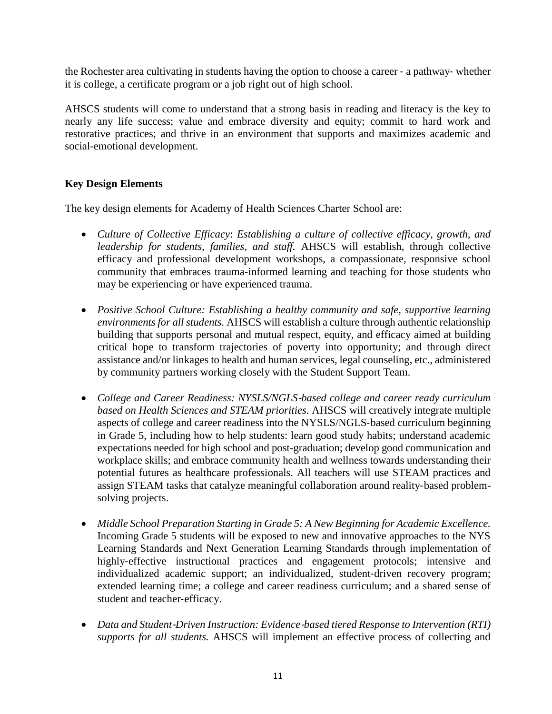the Rochester area cultivating in students having the option to choose a career ‐ a pathway‐ whether it is college, a certificate program or a job right out of high school.

AHSCS students will come to understand that a strong basis in reading and literacy is the key to nearly any life success; value and embrace diversity and equity; commit to hard work and restorative practices; and thrive in an environment that supports and maximizes academic and social-emotional development.

#### **Key Design Elements**

The key design elements for Academy of Health Sciences Charter School are:

- *Culture of Collective Efficacy*: *Establishing a culture of collective efficacy, growth, and leadership for students, families, and staff.* AHSCS will establish, through collective efficacy and professional development workshops, a compassionate, responsive school community that embraces trauma‐informed learning and teaching for those students who may be experiencing or have experienced trauma.
- *Positive School Culture: Establishing a healthy community and safe, supportive learning environments for all students.* AHSCS will establish a culture through authentic relationship building that supports personal and mutual respect, equity, and efficacy aimed at building critical hope to transform trajectories of poverty into opportunity; and through direct assistance and/or linkages to health and human services, legal counseling, etc., administered by community partners working closely with the Student Support Team.
- *College and Career Readiness: NYSLS/NGLS*‐*based college and career ready curriculum based on Health Sciences and STEAM priorities.* AHSCS will creatively integrate multiple aspects of college and career readiness into the NYSLS/NGLS‐based curriculum beginning in Grade 5, including how to help students: learn good study habits; understand academic expectations needed for high school and post-graduation; develop good communication and workplace skills; and embrace community health and wellness towards understanding their potential futures as healthcare professionals. All teachers will use STEAM practices and assign STEAM tasks that catalyze meaningful collaboration around reality‐based problemsolving projects.
- *Middle School Preparation Starting in Grade 5: A New Beginning for Academic Excellence.*  Incoming Grade 5 students will be exposed to new and innovative approaches to the NYS Learning Standards and Next Generation Learning Standards through implementation of highly-effective instructional practices and engagement protocols; intensive and individualized academic support; an individualized, student‐driven recovery program; extended learning time; a college and career readiness curriculum; and a shared sense of student and teacher‐efficacy.
- *Data and Student*‐*Driven Instruction: Evidence*‐*based tiered Response to Intervention (RTI) supports for all students.* AHSCS will implement an effective process of collecting and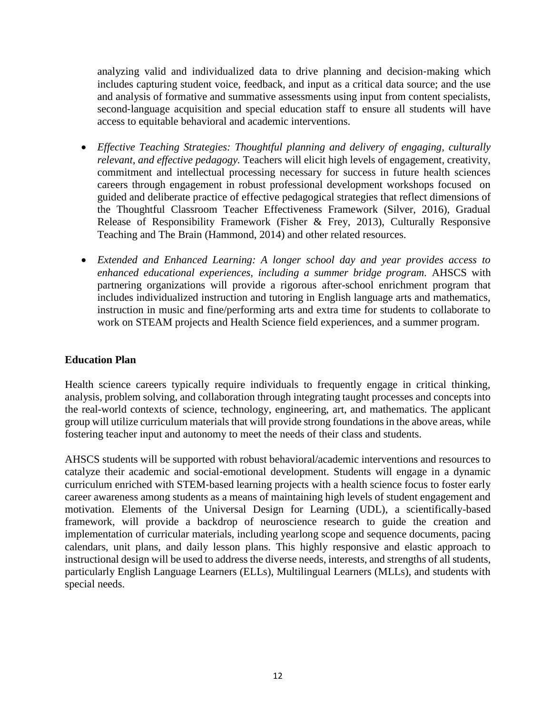analyzing valid and individualized data to drive planning and decision‐making which includes capturing student voice, feedback, and input as a critical data source; and the use and analysis of formative and summative assessments using input from content specialists, second-language acquisition and special education staff to ensure all students will have access to equitable behavioral and academic interventions.

- *Effective Teaching Strategies: Thoughtful planning and delivery of engaging, culturally relevant, and effective pedagogy.* Teachers will elicit high levels of engagement, creativity, commitment and intellectual processing necessary for success in future health sciences careers through engagement in robust professional development workshops focused on guided and deliberate practice of effective pedagogical strategies that reflect dimensions of the Thoughtful Classroom Teacher Effectiveness Framework (Silver, 2016), Gradual Release of Responsibility Framework (Fisher & Frey, 2013), Culturally Responsive Teaching and The Brain (Hammond, 2014) and other related resources.
- *Extended and Enhanced Learning: A longer school day and year provides access to enhanced educational experiences, including a summer bridge program.* AHSCS with partnering organizations will provide a rigorous after-school enrichment program that includes individualized instruction and tutoring in English language arts and mathematics, instruction in music and fine/performing arts and extra time for students to collaborate to work on STEAM projects and Health Science field experiences, and a summer program.

#### **Education Plan**

Health science careers typically require individuals to frequently engage in critical thinking, analysis, problem solving, and collaboration through integrating taught processes and concepts into the real-world contexts of science, technology, engineering, art, and mathematics. The applicant group will utilize curriculum materials that will provide strong foundations in the above areas, while fostering teacher input and autonomy to meet the needs of their class and students.

AHSCS students will be supported with robust behavioral/academic interventions and resources to catalyze their academic and social‐emotional development. Students will engage in a dynamic curriculum enriched with STEM‐based learning projects with a health science focus to foster early career awareness among students as a means of maintaining high levels of student engagement and motivation. Elements of the Universal Design for Learning (UDL), a scientifically-based framework, will provide a backdrop of neuroscience research to guide the creation and implementation of curricular materials, including yearlong scope and sequence documents, pacing calendars, unit plans, and daily lesson plans. This highly responsive and elastic approach to instructional design will be used to address the diverse needs, interests, and strengths of all students, particularly English Language Learners (ELLs), Multilingual Learners (MLLs), and students with special needs.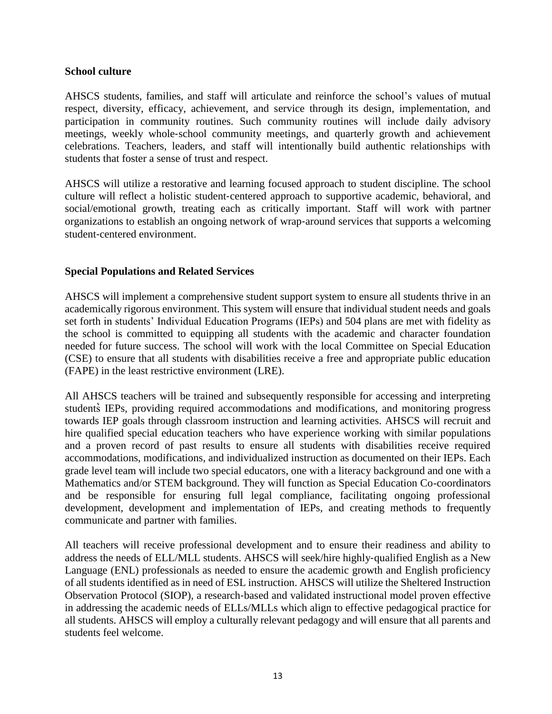#### **School culture**

AHSCS students, families, and staff will articulate and reinforce the school's values of mutual respect, diversity, efficacy, achievement, and service through its design, implementation, and participation in community routines. Such community routines will include daily advisory meetings, weekly whole‐school community meetings, and quarterly growth and achievement celebrations. Teachers, leaders, and staff will intentionally build authentic relationships with students that foster a sense of trust and respect.

AHSCS will utilize a restorative and learning focused approach to student discipline. The school culture will reflect a holistic student‐centered approach to supportive academic, behavioral, and social/emotional growth, treating each as critically important. Staff will work with partner organizations to establish an ongoing network of wrap‐around services that supports a welcoming student‐centered environment.

#### **Special Populations and Related Services**

AHSCS will implement a comprehensive student support system to ensure all students thrive in an academically rigorous environment. This system will ensure that individual student needs and goals set forth in students' Individual Education Programs (IEPs) and 504 plans are met with fidelity as the school is committed to equipping all students with the academic and character foundation needed for future success. The school will work with the local Committee on Special Education (CSE) to ensure that all students with disabilities receive a free and appropriate public education (FAPE) in the least restrictive environment (LRE).

All AHSCS teachers will be trained and subsequently responsible for accessing and interpreting students IEPs, providing required accommodations and modifications, and monitoring progress towards IEP goals through classroom instruction and learning activities. AHSCS will recruit and hire qualified special education teachers who have experience working with similar populations and a proven record of past results to ensure all students with disabilities receive required accommodations, modifications, and individualized instruction as documented on their IEPs. Each grade level team will include two special educators, one with a literacy background and one with a Mathematics and/or STEM background. They will function as Special Education Co-coordinators and be responsible for ensuring full legal compliance, facilitating ongoing professional development, development and implementation of IEPs, and creating methods to frequently communicate and partner with families.

All teachers will receive professional development and to ensure their readiness and ability to address the needs of ELL/MLL students. AHSCS will seek/hire highly‐qualified English as a New Language (ENL) professionals as needed to ensure the academic growth and English proficiency of all students identified as in need of ESL instruction. AHSCS will utilize the Sheltered Instruction Observation Protocol (SIOP), a research‐based and validated instructional model proven effective in addressing the academic needs of ELLs/MLLs which align to effective pedagogical practice for all students. AHSCS will employ a culturally relevant pedagogy and will ensure that all parents and students feel welcome.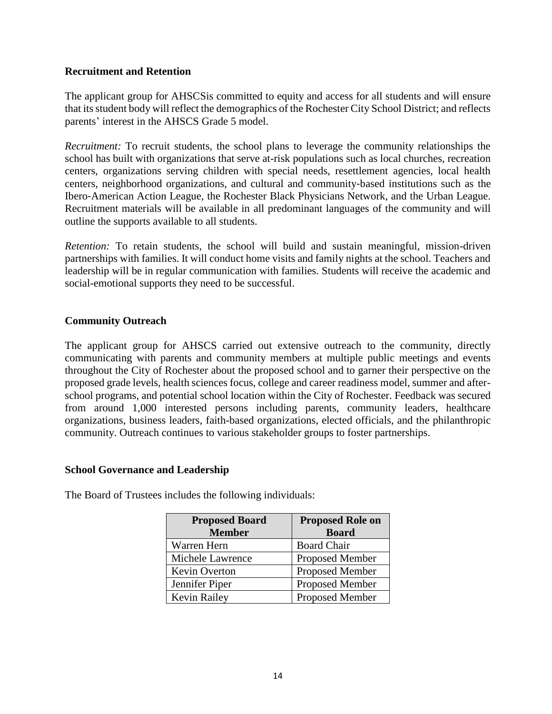#### **Recruitment and Retention**

The applicant group for AHSCSis committed to equity and access for all students and will ensure that its student body will reflect the demographics of the Rochester City School District; and reflects parents' interest in the AHSCS Grade 5 model.

*Recruitment:* To recruit students, the school plans to leverage the community relationships the school has built with organizations that serve at-risk populations such as local churches, recreation centers, organizations serving children with special needs, resettlement agencies, local health centers, neighborhood organizations, and cultural and community‐based institutions such as the Ibero‐American Action League, the Rochester Black Physicians Network, and the Urban League. Recruitment materials will be available in all predominant languages of the community and will outline the supports available to all students.

*Retention:* To retain students, the school will build and sustain meaningful, mission-driven partnerships with families. It will conduct home visits and family nights at the school. Teachers and leadership will be in regular communication with families. Students will receive the academic and social-emotional supports they need to be successful.

#### **Community Outreach**

The applicant group for AHSCS carried out extensive outreach to the community, directly communicating with parents and community members at multiple public meetings and events throughout the City of Rochester about the proposed school and to garner their perspective on the proposed grade levels, health sciences focus, college and career readiness model, summer and afterschool programs, and potential school location within the City of Rochester. Feedback was secured from around 1,000 interested persons including parents, community leaders, healthcare organizations, business leaders, faith-based organizations, elected officials, and the philanthropic community. Outreach continues to various stakeholder groups to foster partnerships.

#### **School Governance and Leadership**

| <b>Proposed Board</b> | <b>Proposed Role on</b> |  |
|-----------------------|-------------------------|--|
| <b>Member</b>         | <b>Board</b>            |  |
| Warren Hern           | <b>Board Chair</b>      |  |
| Michele Lawrence      | <b>Proposed Member</b>  |  |
| Kevin Overton         | <b>Proposed Member</b>  |  |
| Jennifer Piper        | Proposed Member         |  |
| <b>Kevin Railey</b>   | Proposed Member         |  |

The Board of Trustees includes the following individuals: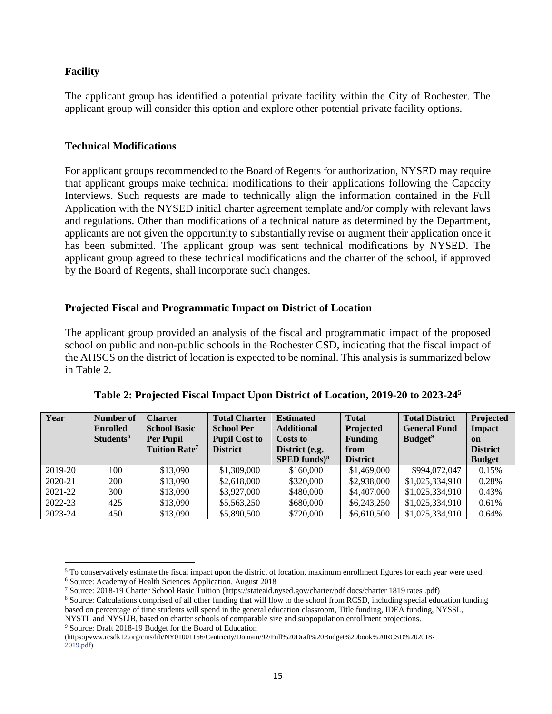#### **Facility**

The applicant group has identified a potential private facility within the City of Rochester. The applicant group will consider this option and explore other potential private facility options.

#### **Technical Modifications**

For applicant groups recommended to the Board of Regents for authorization, NYSED may require that applicant groups make technical modifications to their applications following the Capacity Interviews. Such requests are made to technically align the information contained in the Full Application with the NYSED initial charter agreement template and/or comply with relevant laws and regulations. Other than modifications of a technical nature as determined by the Department, applicants are not given the opportunity to substantially revise or augment their application once it has been submitted. The applicant group was sent technical modifications by NYSED. The applicant group agreed to these technical modifications and the charter of the school, if approved by the Board of Regents, shall incorporate such changes.

#### **Projected Fiscal and Programmatic Impact on District of Location**

The applicant group provided an analysis of the fiscal and programmatic impact of the proposed school on public and non-public schools in the Rochester CSD, indicating that the fiscal impact of the AHSCS on the district of location is expected to be nominal. This analysis is summarized below in Table 2.

| Year    | Number of<br><b>Enrolled</b><br>Students <sup>6</sup> | <b>Charter</b><br><b>School Basic</b><br><b>Per Pupil</b><br><b>Tuition Rate<sup>7</sup></b> | <b>Total Charter</b><br><b>School Per</b><br><b>Pupil Cost to</b><br><b>District</b> | <b>Estimated</b><br><b>Additional</b><br><b>Costs to</b><br>District (e.g.<br>$SPED$ funds) <sup>8</sup> | <b>Total</b><br>Projected<br><b>Funding</b><br>from<br><b>District</b> | <b>Total District</b><br><b>General Fund</b><br><b>Budget</b> <sup>9</sup> | Projected<br>Impact<br>on<br><b>District</b><br><b>Budget</b> |
|---------|-------------------------------------------------------|----------------------------------------------------------------------------------------------|--------------------------------------------------------------------------------------|----------------------------------------------------------------------------------------------------------|------------------------------------------------------------------------|----------------------------------------------------------------------------|---------------------------------------------------------------|
| 2019-20 | 100                                                   | \$13,090                                                                                     | \$1,309,000                                                                          | \$160,000                                                                                                | \$1,469,000                                                            | \$994,072,047                                                              | 0.15%                                                         |
| 2020-21 | 200                                                   | \$13,090                                                                                     | \$2,618,000                                                                          | \$320,000                                                                                                | \$2,938,000                                                            | \$1,025,334,910                                                            | 0.28%                                                         |
| 2021-22 | 300                                                   | \$13,090                                                                                     | \$3,927,000                                                                          | \$480,000                                                                                                | \$4,407,000                                                            | \$1,025,334,910                                                            | 0.43%                                                         |
| 2022-23 | 425                                                   | \$13,090                                                                                     | \$5,563,250                                                                          | \$680,000                                                                                                | \$6,243,250                                                            | \$1,025,334,910                                                            | 0.61%                                                         |
| 2023-24 | 450                                                   | \$13,090                                                                                     | \$5,890,500                                                                          | \$720,000                                                                                                | \$6,610,500                                                            | \$1,025,334,910                                                            | 0.64%                                                         |

**Table 2: Projected Fiscal Impact Upon District of Location, 2019-20 to 2023-24<sup>5</sup>**

<sup>5</sup> To conservatively estimate the fiscal impact upon the district of location, maximum enrollment figures for each year were used.

<sup>9</sup> Source: Draft 2018-19 Budget for the Board of Education

<sup>6</sup> Source: Academy of Health Sciences Application, August 2018

<sup>7</sup> Source: 2018-19 Charter School Basic Tuition (https://stateaid.nysed.gov/charter/pdf docs/charter 1819 rates .pdf)

<sup>8</sup> Source: Calculations comprised of all other funding that will flow to the school from RCSD, including special education funding based on percentage of time students will spend in the general education classroom, Title funding, IDEA funding, NYSSL, NYSTL and NYSLlB, based on charter schools of comparable size and subpopulation enrollment projections.

<sup>(</sup>https:ijwww.rcsdk12.org/cms/lib/NY01001156/Centricity/Domain/92/Full%20Draft%20Budget%20book%20RCSD%202018- 2019.pdf)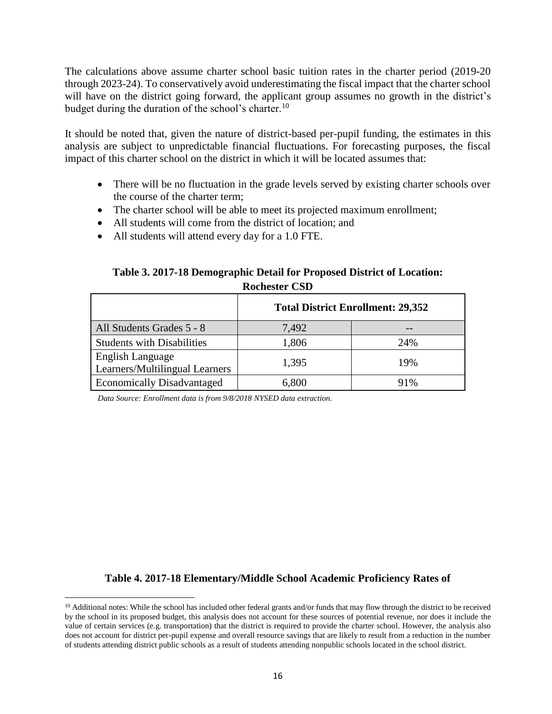The calculations above assume charter school basic tuition rates in the charter period (2019-20 through 2023-24). To conservatively avoid underestimating the fiscal impact that the charter school will have on the district going forward, the applicant group assumes no growth in the district's budget during the duration of the school's charter.<sup>10</sup>

It should be noted that, given the nature of district-based per-pupil funding, the estimates in this analysis are subject to unpredictable financial fluctuations. For forecasting purposes, the fiscal impact of this charter school on the district in which it will be located assumes that:

- There will be no fluctuation in the grade levels served by existing charter schools over the course of the charter term;
- The charter school will be able to meet its projected maximum enrollment;
- All students will come from the district of location; and
- All students will attend every day for a 1.0 FTE.

#### **Table 3. 2017-18 Demographic Detail for Proposed District of Location: Rochester CSD**

|                                                           | <b>Total District Enrollment: 29,352</b> |     |  |  |
|-----------------------------------------------------------|------------------------------------------|-----|--|--|
| All Students Grades 5 - 8                                 | 7,492                                    |     |  |  |
| <b>Students with Disabilities</b>                         | 1,806                                    | 24% |  |  |
| <b>English Language</b><br>Learners/Multilingual Learners | 1,395                                    | 19% |  |  |
| <b>Economically Disadvantaged</b>                         | 6,800                                    | 91% |  |  |

*Data Source: Enrollment data is from 9/8/2018 NYSED data extraction.*

 $\overline{a}$ 

## **Table 4. 2017-18 Elementary/Middle School Academic Proficiency Rates of**

 $10$  Additional notes: While the school has included other federal grants and/or funds that may flow through the district to be received by the school in its proposed budget, this analysis does not account for these sources of potential revenue, nor does it include the value of certain services (e.g. transportation) that the district is required to provide the charter school. However, the analysis also does not account for district per-pupil expense and overall resource savings that are likely to result from a reduction in the number of students attending district public schools as a result of students attending nonpublic schools located in the school district.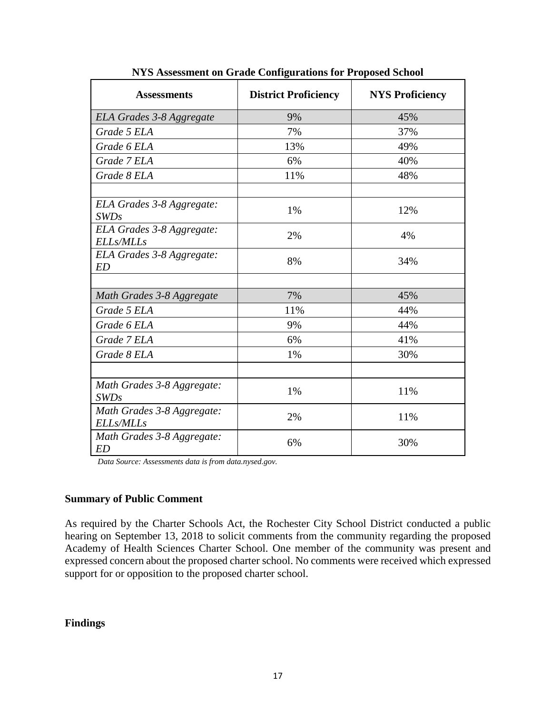| <b>Assessments</b>                            | <b>District Proficiency</b> | <b>NYS Proficiency</b> |
|-----------------------------------------------|-----------------------------|------------------------|
| ELA Grades 3-8 Aggregate                      | 9%                          | 45%                    |
| Grade 5 ELA                                   | 7%                          | 37%                    |
| Grade 6 ELA                                   | 13%                         | 49%                    |
| Grade 7 ELA                                   | 6%                          | 40%                    |
| Grade 8 ELA                                   | 11%                         | 48%                    |
| ELA Grades 3-8 Aggregate:<br><b>SWDs</b>      | 1%                          | 12%                    |
| ELA Grades 3-8 Aggregate:<br><b>ELLs/MLLs</b> | 2%                          | 4%                     |
| ELA Grades 3-8 Aggregate:<br><b>ED</b>        | 8%                          | 34%                    |
|                                               |                             |                        |
| Math Grades 3-8 Aggregate                     | 7%                          | 45%                    |
| Grade 5 ELA                                   | 11%                         | 44%                    |
| Grade 6 ELA                                   | 9%                          | 44%                    |
| Grade 7 ELA                                   | 6%                          | 41%                    |
| Grade 8 ELA                                   | 1%                          | 30%                    |
|                                               |                             |                        |
| Math Grades 3-8 Aggregate:<br><i>SWDs</i>     | 1%                          | 11%                    |
| Math Grades 3-8 Aggregate:<br>ELLs/MLLs       | 2%                          | 11%                    |
| Math Grades 3-8 Aggregate:<br><b>ED</b>       | 6%                          | 30%                    |

**NYS Assessment on Grade Configurations for Proposed School**

*Data Source: Assessments data is from data.nysed.gov.*

#### **Summary of Public Comment**

As required by the Charter Schools Act, the Rochester City School District conducted a public hearing on September 13, 2018 to solicit comments from the community regarding the proposed Academy of Health Sciences Charter School. One member of the community was present and expressed concern about the proposed charter school. No comments were received which expressed support for or opposition to the proposed charter school.

#### **Findings**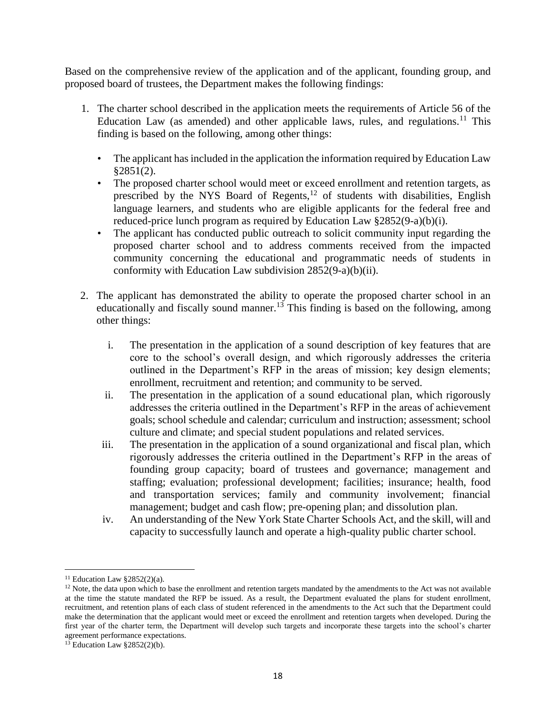Based on the comprehensive review of the application and of the applicant, founding group, and proposed board of trustees, the Department makes the following findings:

- 1. The charter school described in the application meets the requirements of Article 56 of the Education Law (as amended) and other applicable laws, rules, and regulations.<sup>11</sup> This finding is based on the following, among other things:
	- The applicant has included in the application the information required by Education Law  $§2851(2).$
	- The proposed charter school would meet or exceed enrollment and retention targets, as prescribed by the NYS Board of Regents, $12$  of students with disabilities, English language learners, and students who are eligible applicants for the federal free and reduced-price lunch program as required by Education Law §2852(9-a)(b)(i).
	- The applicant has conducted public outreach to solicit community input regarding the proposed charter school and to address comments received from the impacted community concerning the educational and programmatic needs of students in conformity with Education Law subdivision 2852(9-a)(b)(ii).
- 2. The applicant has demonstrated the ability to operate the proposed charter school in an educationally and fiscally sound manner.<sup>13</sup> This finding is based on the following, among other things:
	- i. The presentation in the application of a sound description of key features that are core to the school's overall design, and which rigorously addresses the criteria outlined in the Department's RFP in the areas of mission; key design elements; enrollment, recruitment and retention; and community to be served.
	- ii. The presentation in the application of a sound educational plan, which rigorously addresses the criteria outlined in the Department's RFP in the areas of achievement goals; school schedule and calendar; curriculum and instruction; assessment; school culture and climate; and special student populations and related services.
	- iii. The presentation in the application of a sound organizational and fiscal plan, which rigorously addresses the criteria outlined in the Department's RFP in the areas of founding group capacity; board of trustees and governance; management and staffing; evaluation; professional development; facilities; insurance; health, food and transportation services; family and community involvement; financial management; budget and cash flow; pre-opening plan; and dissolution plan.
	- iv. An understanding of the New York State Charter Schools Act, and the skill, will and capacity to successfully launch and operate a high-quality public charter school.

<sup>&</sup>lt;sup>11</sup> Education Law  $\S 2852(2)(a)$ .

 $12$  Note, the data upon which to base the enrollment and retention targets mandated by the amendments to the Act was not available at the time the statute mandated the RFP be issued. As a result, the Department evaluated the plans for student enrollment, recruitment, and retention plans of each class of student referenced in the amendments to the Act such that the Department could make the determination that the applicant would meet or exceed the enrollment and retention targets when developed. During the first year of the charter term, the Department will develop such targets and incorporate these targets into the school's charter agreement performance expectations.

 $13$  Education Law §2852(2)(b).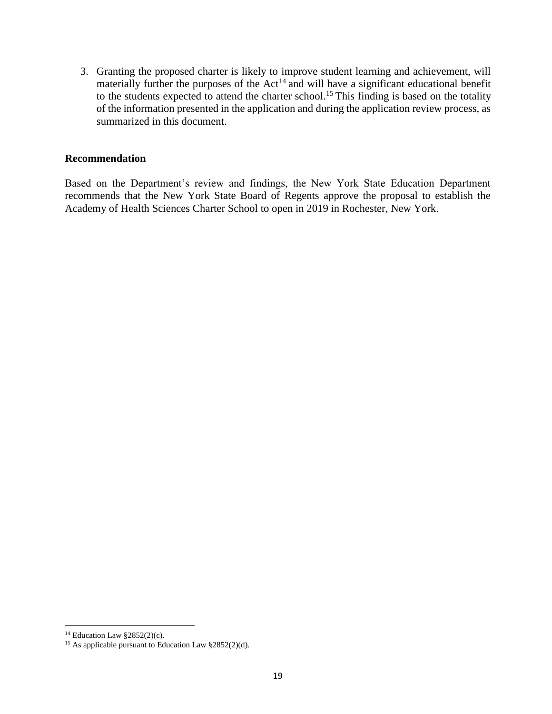3. Granting the proposed charter is likely to improve student learning and achievement, will materially further the purposes of the  $Act^{14}$  and will have a significant educational benefit to the students expected to attend the charter school.<sup>15</sup> This finding is based on the totality of the information presented in the application and during the application review process, as summarized in this document.

#### **Recommendation**

Based on the Department's review and findings, the New York State Education Department recommends that the New York State Board of Regents approve the proposal to establish the Academy of Health Sciences Charter School to open in 2019 in Rochester, New York.

 $14$  Education Law §2852(2)(c).

<sup>&</sup>lt;sup>15</sup> As applicable pursuant to Education Law  $§2852(2)(d)$ .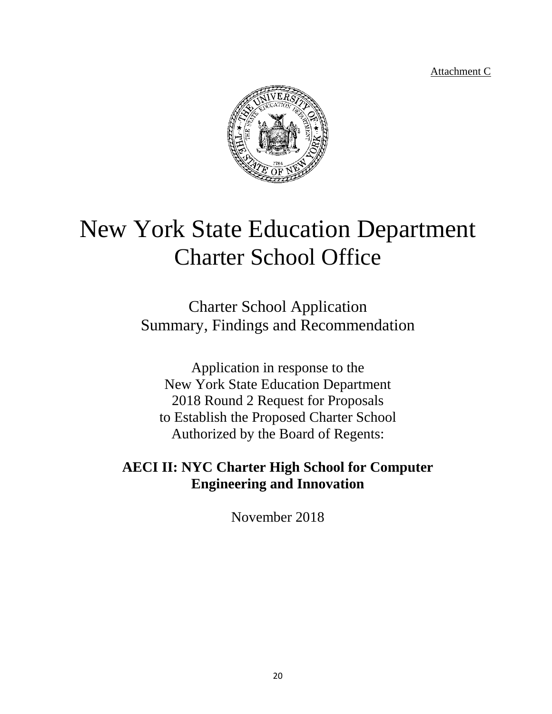Attachment C



# New York State Education Department Charter School Office

Charter School Application Summary, Findings and Recommendation

Application in response to the New York State Education Department 2018 Round 2 Request for Proposals to Establish the Proposed Charter School Authorized by the Board of Regents:

## **AECI II: NYC Charter High School for Computer Engineering and Innovation**

November 2018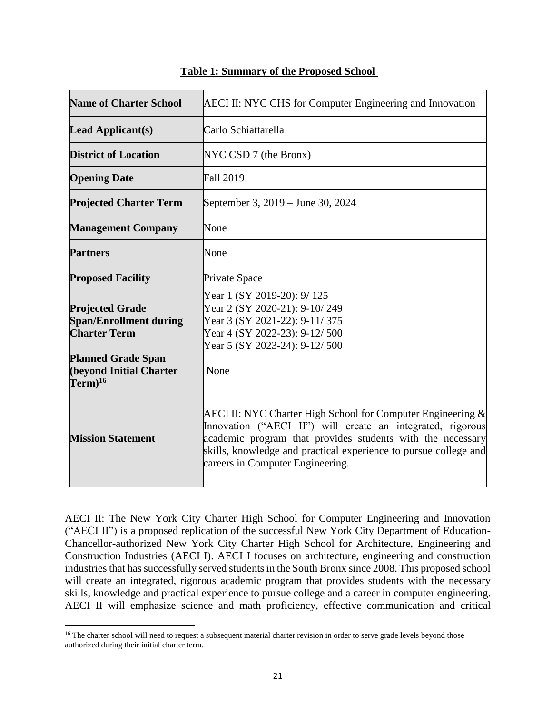| <b>Name of Charter School</b>                                                  | <b>AECI II: NYC CHS for Computer Engineering and Innovation</b>                                                                                                                                                                                                                                    |  |  |
|--------------------------------------------------------------------------------|----------------------------------------------------------------------------------------------------------------------------------------------------------------------------------------------------------------------------------------------------------------------------------------------------|--|--|
| <b>Lead Applicant(s)</b>                                                       | Carlo Schiattarella                                                                                                                                                                                                                                                                                |  |  |
| <b>District of Location</b>                                                    | NYC CSD 7 (the Bronx)                                                                                                                                                                                                                                                                              |  |  |
| <b>Opening Date</b>                                                            | <b>Fall 2019</b>                                                                                                                                                                                                                                                                                   |  |  |
| <b>Projected Charter Term</b>                                                  | September 3, 2019 – June 30, 2024                                                                                                                                                                                                                                                                  |  |  |
| <b>Management Company</b>                                                      | None                                                                                                                                                                                                                                                                                               |  |  |
| <b>Partners</b>                                                                | None                                                                                                                                                                                                                                                                                               |  |  |
| <b>Proposed Facility</b>                                                       | <b>Private Space</b>                                                                                                                                                                                                                                                                               |  |  |
| <b>Projected Grade</b><br><b>Span/Enrollment during</b><br><b>Charter Term</b> | Year 1 (SY 2019-20): 9/125<br>Year 2 (SY 2020-21): 9-10/249<br>Year 3 (SY 2021-22): 9-11/375<br>Year 4 (SY 2022-23): 9-12/500<br>Year 5 (SY 2023-24): 9-12/500                                                                                                                                     |  |  |
| <b>Planned Grade Span</b><br><b>(beyond Initial Charter</b><br>$Term)^{16}$    | None                                                                                                                                                                                                                                                                                               |  |  |
| <b>Mission Statement</b>                                                       | AECI II: NYC Charter High School for Computer Engineering $\&$<br>Innovation ("AECI II") will create an integrated, rigorous<br>academic program that provides students with the necessary<br>skills, knowledge and practical experience to pursue college and<br>careers in Computer Engineering. |  |  |

#### **Table 1: Summary of the Proposed School**

AECI II: The New York City Charter High School for Computer Engineering and Innovation ("AECI II") is a proposed replication of the successful New York City Department of Education-Chancellor-authorized New York City Charter High School for Architecture, Engineering and Construction Industries (AECI I). AECI I focuses on architecture, engineering and construction industries that has successfully served students in the South Bronx since 2008. This proposed school will create an integrated, rigorous academic program that provides students with the necessary skills, knowledge and practical experience to pursue college and a career in computer engineering. AECI II will emphasize science and math proficiency, effective communication and critical

<sup>&</sup>lt;sup>16</sup> The charter school will need to request a subsequent material charter revision in order to serve grade levels beyond those authorized during their initial charter term.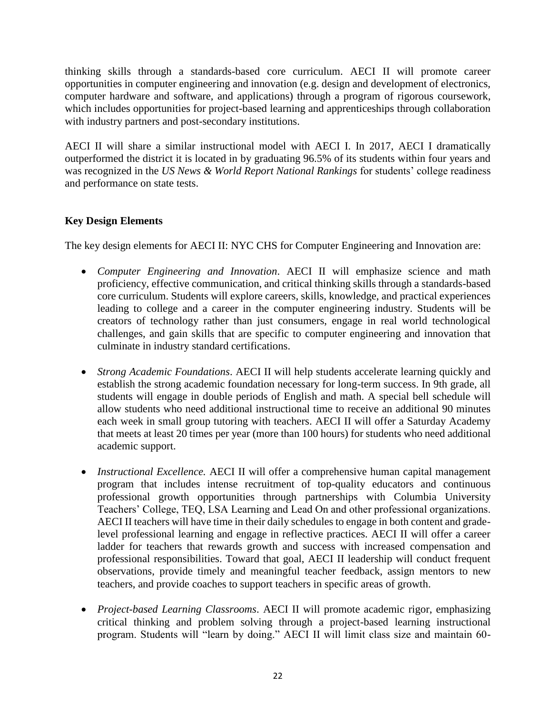thinking skills through a standards-based core curriculum. AECI II will promote career opportunities in computer engineering and innovation (e.g. design and development of electronics, computer hardware and software, and applications) through a program of rigorous coursework, which includes opportunities for project-based learning and apprenticeships through collaboration with industry partners and post-secondary institutions.

AECI II will share a similar instructional model with AECI I. In 2017, AECI I dramatically outperformed the district it is located in by graduating 96.5% of its students within four years and was recognized in the *US News & World Report National Rankings* for students' college readiness and performance on state tests.

## **Key Design Elements**

The key design elements for AECI II: NYC CHS for Computer Engineering and Innovation are:

- *Computer Engineering and Innovation*. AECI II will emphasize science and math proficiency, effective communication, and critical thinking skills through a standards-based core curriculum. Students will explore careers, skills, knowledge, and practical experiences leading to college and a career in the computer engineering industry. Students will be creators of technology rather than just consumers, engage in real world technological challenges, and gain skills that are specific to computer engineering and innovation that culminate in industry standard certifications.
- *Strong Academic Foundations*. AECI II will help students accelerate learning quickly and establish the strong academic foundation necessary for long-term success. In 9th grade, all students will engage in double periods of English and math. A special bell schedule will allow students who need additional instructional time to receive an additional 90 minutes each week in small group tutoring with teachers. AECI II will offer a Saturday Academy that meets at least 20 times per year (more than 100 hours) for students who need additional academic support.
- *Instructional Excellence.* AECI II will offer a comprehensive human capital management program that includes intense recruitment of top-quality educators and continuous professional growth opportunities through partnerships with Columbia University Teachers' College, TEQ, LSA Learning and Lead On and other professional organizations. AECI II teachers will have time in their daily schedules to engage in both content and gradelevel professional learning and engage in reflective practices. AECI II will offer a career ladder for teachers that rewards growth and success with increased compensation and professional responsibilities. Toward that goal, AECI II leadership will conduct frequent observations, provide timely and meaningful teacher feedback, assign mentors to new teachers, and provide coaches to support teachers in specific areas of growth.
- *Project-based Learning Classrooms*. AECI II will promote academic rigor, emphasizing critical thinking and problem solving through a project-based learning instructional program. Students will "learn by doing." AECI II will limit class size and maintain 60-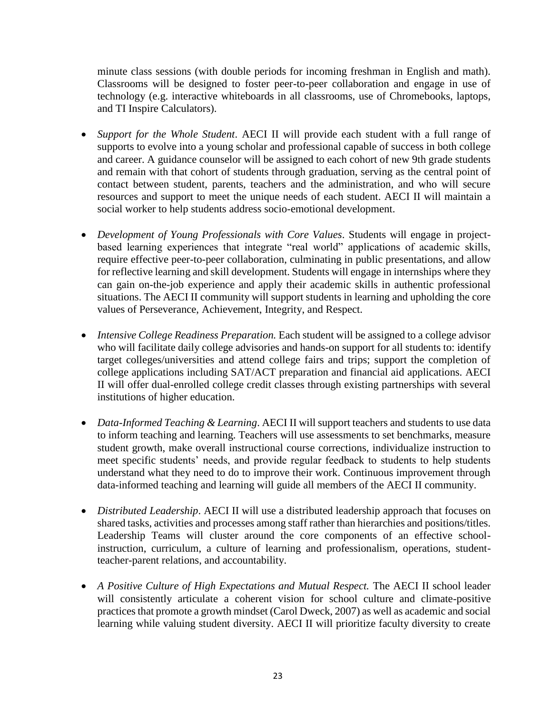minute class sessions (with double periods for incoming freshman in English and math). Classrooms will be designed to foster peer-to-peer collaboration and engage in use of technology (e.g. interactive whiteboards in all classrooms, use of Chromebooks, laptops, and TI Inspire Calculators).

- *Support for the Whole Student*. AECI II will provide each student with a full range of supports to evolve into a young scholar and professional capable of success in both college and career. A guidance counselor will be assigned to each cohort of new 9th grade students and remain with that cohort of students through graduation, serving as the central point of contact between student, parents, teachers and the administration, and who will secure resources and support to meet the unique needs of each student. AECI II will maintain a social worker to help students address socio-emotional development.
- *Development of Young Professionals with Core Values*. Students will engage in projectbased learning experiences that integrate "real world" applications of academic skills, require effective peer-to-peer collaboration, culminating in public presentations, and allow for reflective learning and skill development. Students will engage in internships where they can gain on-the-job experience and apply their academic skills in authentic professional situations. The AECI II community will support students in learning and upholding the core values of Perseverance, Achievement, Integrity, and Respect.
- *Intensive College Readiness Preparation*. Each student will be assigned to a college advisor who will facilitate daily college advisories and hands-on support for all students to: identify target colleges/universities and attend college fairs and trips; support the completion of college applications including SAT/ACT preparation and financial aid applications. AECI II will offer dual-enrolled college credit classes through existing partnerships with several institutions of higher education.
- *Data-Informed Teaching & Learning*. AECI II will support teachers and students to use data to inform teaching and learning. Teachers will use assessments to set benchmarks, measure student growth, make overall instructional course corrections, individualize instruction to meet specific students' needs, and provide regular feedback to students to help students understand what they need to do to improve their work. Continuous improvement through data-informed teaching and learning will guide all members of the AECI II community.
- *Distributed Leadership*. AECI II will use a distributed leadership approach that focuses on shared tasks, activities and processes among staff rather than hierarchies and positions/titles. Leadership Teams will cluster around the core components of an effective schoolinstruction, curriculum, a culture of learning and professionalism, operations, studentteacher-parent relations, and accountability.
- *A Positive Culture of High Expectations and Mutual Respect.* The AECI II school leader will consistently articulate a coherent vision for school culture and climate-positive practices that promote a growth mindset (Carol Dweck, 2007) as well as academic and social learning while valuing student diversity. AECI II will prioritize faculty diversity to create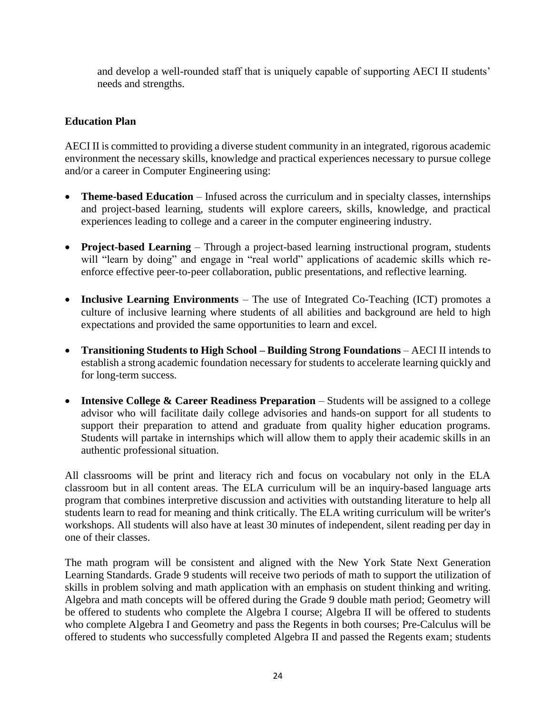and develop a well-rounded staff that is uniquely capable of supporting AECI II students' needs and strengths.

## **Education Plan**

AECI II is committed to providing a diverse student community in an integrated, rigorous academic environment the necessary skills, knowledge and practical experiences necessary to pursue college and/or a career in Computer Engineering using:

- **Theme-based Education** Infused across the curriculum and in specialty classes, internships and project-based learning, students will explore careers, skills, knowledge, and practical experiences leading to college and a career in the computer engineering industry.
- **Project-based Learning**  Through a project-based learning instructional program, students will "learn by doing" and engage in "real world" applications of academic skills which reenforce effective peer-to-peer collaboration, public presentations, and reflective learning.
- **Inclusive Learning Environments** The use of Integrated Co-Teaching (ICT) promotes a culture of inclusive learning where students of all abilities and background are held to high expectations and provided the same opportunities to learn and excel.
- **Transitioning Students to High School – Building Strong Foundations**  AECI II intends to establish a strong academic foundation necessary for students to accelerate learning quickly and for long-term success.
- **Intensive College & Career Readiness Preparation** Students will be assigned to a college advisor who will facilitate daily college advisories and hands-on support for all students to support their preparation to attend and graduate from quality higher education programs. Students will partake in internships which will allow them to apply their academic skills in an authentic professional situation.

All classrooms will be print and literacy rich and focus on vocabulary not only in the ELA classroom but in all content areas. The ELA curriculum will be an inquiry-based language arts program that combines interpretive discussion and activities with outstanding literature to help all students learn to read for meaning and think critically. The ELA writing curriculum will be writer's workshops. All students will also have at least 30 minutes of independent, silent reading per day in one of their classes.

The math program will be consistent and aligned with the New York State Next Generation Learning Standards. Grade 9 students will receive two periods of math to support the utilization of skills in problem solving and math application with an emphasis on student thinking and writing. Algebra and math concepts will be offered during the Grade 9 double math period; Geometry will be offered to students who complete the Algebra I course; Algebra II will be offered to students who complete Algebra I and Geometry and pass the Regents in both courses; Pre-Calculus will be offered to students who successfully completed Algebra II and passed the Regents exam; students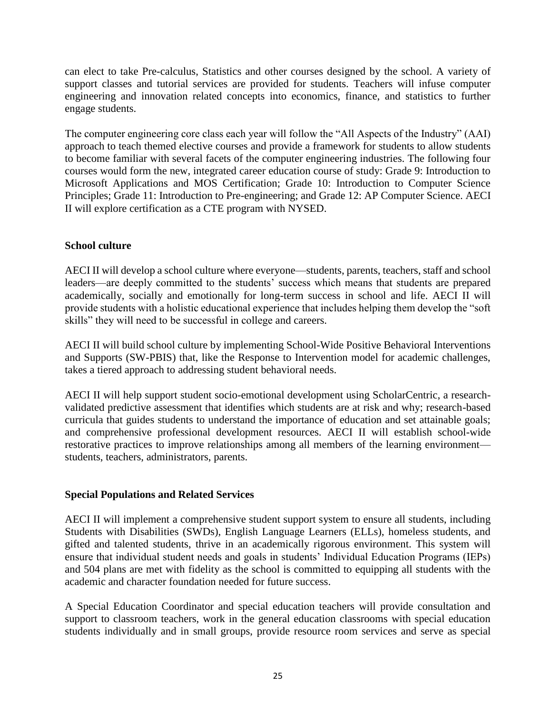can elect to take Pre-calculus, Statistics and other courses designed by the school. A variety of support classes and tutorial services are provided for students. Teachers will infuse computer engineering and innovation related concepts into economics, finance, and statistics to further engage students.

The computer engineering core class each year will follow the "All Aspects of the Industry" (AAI) approach to teach themed elective courses and provide a framework for students to allow students to become familiar with several facets of the computer engineering industries. The following four courses would form the new, integrated career education course of study: Grade 9: Introduction to Microsoft Applications and MOS Certification; Grade 10: Introduction to Computer Science Principles; Grade 11: Introduction to Pre-engineering; and Grade 12: AP Computer Science. AECI II will explore certification as a CTE program with NYSED.

## **School culture**

AECI II will develop a school culture where everyone—students, parents, teachers, staff and school leaders—are deeply committed to the students' success which means that students are prepared academically, socially and emotionally for long-term success in school and life. AECI II will provide students with a holistic educational experience that includes helping them develop the "soft skills" they will need to be successful in college and careers.

AECI II will build school culture by implementing School-Wide Positive Behavioral Interventions and Supports (SW-PBIS) that, like the Response to Intervention model for academic challenges, takes a tiered approach to addressing student behavioral needs.

AECI II will help support student socio-emotional development using ScholarCentric, a researchvalidated predictive assessment that identifies which students are at risk and why; research-based curricula that guides students to understand the importance of education and set attainable goals; and comprehensive professional development resources. AECI II will establish school-wide restorative practices to improve relationships among all members of the learning environment students, teachers, administrators, parents.

#### **Special Populations and Related Services**

AECI II will implement a comprehensive student support system to ensure all students, including Students with Disabilities (SWDs), English Language Learners (ELLs), homeless students, and gifted and talented students, thrive in an academically rigorous environment. This system will ensure that individual student needs and goals in students' Individual Education Programs (IEPs) and 504 plans are met with fidelity as the school is committed to equipping all students with the academic and character foundation needed for future success.

A Special Education Coordinator and special education teachers will provide consultation and support to classroom teachers, work in the general education classrooms with special education students individually and in small groups, provide resource room services and serve as special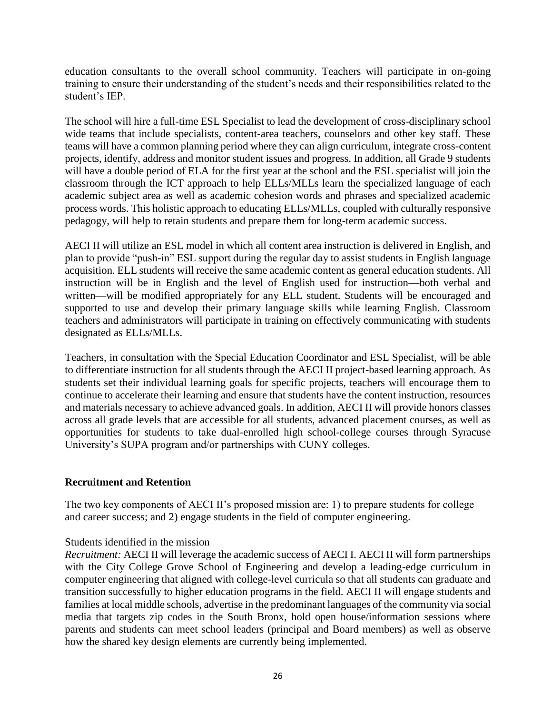education consultants to the overall school community. Teachers will participate in on-going training to ensure their understanding of the student's needs and their responsibilities related to the student's IEP.

The school will hire a full-time ESL Specialist to lead the development of cross-disciplinary school wide teams that include specialists, content-area teachers, counselors and other key staff. These teams will have a common planning period where they can align curriculum, integrate cross-content projects, identify, address and monitor student issues and progress. In addition, all Grade 9 students will have a double period of ELA for the first year at the school and the ESL specialist will join the classroom through the ICT approach to help ELLs/MLLs learn the specialized language of each academic subject area as well as academic cohesion words and phrases and specialized academic process words. This holistic approach to educating ELLs/MLLs, coupled with culturally responsive pedagogy, will help to retain students and prepare them for long-term academic success.

AECI II will utilize an ESL model in which all content area instruction is delivered in English, and plan to provide "push-in" ESL support during the regular day to assist students in English language acquisition. ELL students will receive the same academic content as general education students. All instruction will be in English and the level of English used for instruction—both verbal and written—will be modified appropriately for any ELL student. Students will be encouraged and supported to use and develop their primary language skills while learning English. Classroom teachers and administrators will participate in training on effectively communicating with students designated as ELLs/MLLs.

Teachers, in consultation with the Special Education Coordinator and ESL Specialist, will be able to differentiate instruction for all students through the AECI II project-based learning approach. As students set their individual learning goals for specific projects, teachers will encourage them to continue to accelerate their learning and ensure that students have the content instruction, resources and materials necessary to achieve advanced goals. In addition, AECI II will provide honors classes across all grade levels that are accessible for all students, advanced placement courses, as well as opportunities for students to take dual-enrolled high school-college courses through Syracuse University's SUPA program and/or partnerships with CUNY colleges.

#### **Recruitment and Retention**

The two key components of AECI II's proposed mission are: 1) to prepare students for college and career success; and 2) engage students in the field of computer engineering.

#### Students identified in the mission

*Recruitment:* AECI II will leverage the academic success of AECI I. AECI II will form partnerships with the City College Grove School of Engineering and develop a leading-edge curriculum in computer engineering that aligned with college-level curricula so that all students can graduate and transition successfully to higher education programs in the field. AECI II will engage students and families at local middle schools, advertise in the predominant languages of the community via social media that targets zip codes in the South Bronx, hold open house/information sessions where parents and students can meet school leaders (principal and Board members) as well as observe how the shared key design elements are currently being implemented.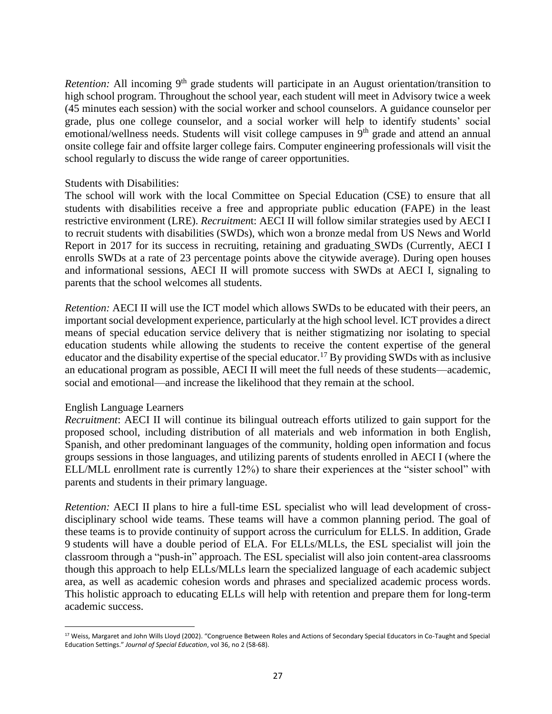*Retention:* All incoming 9<sup>th</sup> grade students will participate in an August orientation/transition to high school program. Throughout the school year, each student will meet in Advisory twice a week (45 minutes each session) with the social worker and school counselors. A guidance counselor per grade, plus one college counselor, and a social worker will help to identify students' social emotional/wellness needs. Students will visit college campuses in  $9<sup>th</sup>$  grade and attend an annual onsite college fair and offsite larger college fairs. Computer engineering professionals will visit the school regularly to discuss the wide range of career opportunities.

#### Students with Disabilities:

The school will work with the local Committee on Special Education (CSE) to ensure that all students with disabilities receive a free and appropriate public education (FAPE) in the least restrictive environment (LRE). *Recruitmen*t: AECI II will follow similar strategies used by AECI I to recruit students with disabilities (SWDs), which won a bronze medal from US News and World Report in 2017 for its success in recruiting, retaining and graduating SWDs (Currently, AECI I enrolls SWDs at a rate of 23 percentage points above the citywide average). During open houses and informational sessions, AECI II will promote success with SWDs at AECI I, signaling to parents that the school welcomes all students.

*Retention:* AECI II will use the ICT model which allows SWDs to be educated with their peers, an important social development experience, particularly at the high school level. ICT provides a direct means of special education service delivery that is neither stigmatizing nor isolating to special education students while allowing the students to receive the content expertise of the general educator and the disability expertise of the special educator.<sup>17</sup> By providing SWDs with as inclusive an educational program as possible, AECI II will meet the full needs of these students—academic, social and emotional—and increase the likelihood that they remain at the school.

#### English Language Learners

*Recruitment*: AECI II will continue its bilingual outreach efforts utilized to gain support for the proposed school, including distribution of all materials and web information in both English, Spanish, and other predominant languages of the community, holding open information and focus groups sessions in those languages, and utilizing parents of students enrolled in AECI I (where the ELL/MLL enrollment rate is currently 12%) to share their experiences at the "sister school" with parents and students in their primary language.

*Retention:* AECI II plans to hire a full-time ESL specialist who will lead development of crossdisciplinary school wide teams. These teams will have a common planning period. The goal of these teams is to provide continuity of support across the curriculum for ELLS. In addition, Grade 9 students will have a double period of ELA. For ELLs/MLLs, the ESL specialist will join the classroom through a "push-in" approach. The ESL specialist will also join content-area classrooms though this approach to help ELLs/MLLs learn the specialized language of each academic subject area, as well as academic cohesion words and phrases and specialized academic process words. This holistic approach to educating ELLs will help with retention and prepare them for long-term academic success.

 $\overline{a}$ <sup>17</sup> Weiss, Margaret and John Wills Lloyd (2002). "Congruence Between Roles and Actions of Secondary Special Educators in Co-Taught and Special Education Settings." *Journal of Special Education*, vol 36, no 2 (58-68).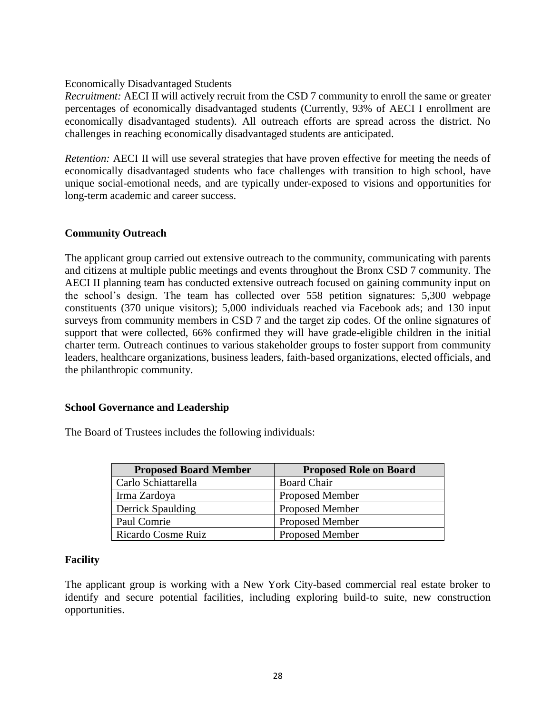#### Economically Disadvantaged Students

*Recruitment:* AECI II will actively recruit from the CSD 7 community to enroll the same or greater percentages of economically disadvantaged students (Currently, 93% of AECI I enrollment are economically disadvantaged students). All outreach efforts are spread across the district. No challenges in reaching economically disadvantaged students are anticipated.

*Retention:* AECI II will use several strategies that have proven effective for meeting the needs of economically disadvantaged students who face challenges with transition to high school, have unique social-emotional needs, and are typically under-exposed to visions and opportunities for long-term academic and career success.

#### **Community Outreach**

The applicant group carried out extensive outreach to the community, communicating with parents and citizens at multiple public meetings and events throughout the Bronx CSD 7 community. The AECI II planning team has conducted extensive outreach focused on gaining community input on the school's design. The team has collected over 558 petition signatures: 5,300 webpage constituents (370 unique visitors); 5,000 individuals reached via Facebook ads; and 130 input surveys from community members in CSD 7 and the target zip codes. Of the online signatures of support that were collected, 66% confirmed they will have grade-eligible children in the initial charter term. Outreach continues to various stakeholder groups to foster support from community leaders, healthcare organizations, business leaders, faith-based organizations, elected officials, and the philanthropic community.

#### **School Governance and Leadership**

The Board of Trustees includes the following individuals:

| <b>Proposed Board Member</b> | <b>Proposed Role on Board</b> |
|------------------------------|-------------------------------|
| Carlo Schiattarella          | <b>Board Chair</b>            |
| Irma Zardoya                 | <b>Proposed Member</b>        |
| <b>Derrick Spaulding</b>     | <b>Proposed Member</b>        |
| Paul Comrie                  | <b>Proposed Member</b>        |
| Ricardo Cosme Ruiz           | <b>Proposed Member</b>        |

#### **Facility**

The applicant group is working with a New York City-based commercial real estate broker to identify and secure potential facilities, including exploring build-to suite, new construction opportunities.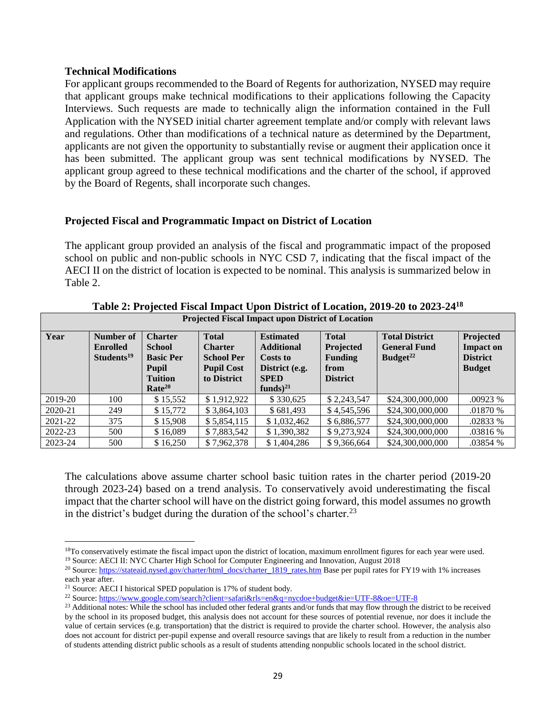#### **Technical Modifications**

For applicant groups recommended to the Board of Regents for authorization, NYSED may require that applicant groups make technical modifications to their applications following the Capacity Interviews. Such requests are made to technically align the information contained in the Full Application with the NYSED initial charter agreement template and/or comply with relevant laws and regulations. Other than modifications of a technical nature as determined by the Department, applicants are not given the opportunity to substantially revise or augment their application once it has been submitted. The applicant group was sent technical modifications by NYSED. The applicant group agreed to these technical modifications and the charter of the school, if approved by the Board of Regents, shall incorporate such changes.

#### **Projected Fiscal and Programmatic Impact on District of Location**

The applicant group provided an analysis of the fiscal and programmatic impact of the proposed school on public and non-public schools in NYC CSD 7, indicating that the fiscal impact of the AECI II on the district of location is expected to be nominal. This analysis is summarized below in Table 2.

| Year    | Number of              | <b>Charter</b>     | <b>Total</b>      | <b>Estimated</b>  | <b>Total</b>     | <b>Total District</b> | Projected        |
|---------|------------------------|--------------------|-------------------|-------------------|------------------|-----------------------|------------------|
|         | <b>Enrolled</b>        | <b>School</b>      | <b>Charter</b>    | <b>Additional</b> | <b>Projected</b> | <b>General Fund</b>   | <b>Impact on</b> |
|         | Students <sup>19</sup> | <b>Basic Per</b>   | <b>School Per</b> | Costs to          | <b>Funding</b>   | Budget <sup>22</sup>  | <b>District</b>  |
|         |                        | <b>Pupil</b>       | <b>Pupil Cost</b> | District (e.g.    | from             |                       | <b>Budget</b>    |
|         |                        | <b>Tuition</b>     | to District       | <b>SPED</b>       | <b>District</b>  |                       |                  |
|         |                        | Rate <sup>20</sup> |                   | funds) $^{21}$    |                  |                       |                  |
| 2019-20 | 100                    | \$15,552           | \$1.912.922       | \$330,625         | \$2,243,547      | \$24,300,000,000      | .00923 %         |
| 2020-21 | 249                    | \$15,772           | \$3,864,103       | \$681,493         | \$4.545.596      | \$24,300,000,000      | .01870 %         |
| 2021-22 | 375                    | \$15,908           | \$5,854,115       | \$1,032,462       | \$6,886,577      | \$24,300,000,000      | .02833 %         |
| 2022-23 | 500                    | \$16,089           | \$7,883,542       | \$1,390,382       | \$9,273,924      | \$24,300,000,000      | .03816 %         |
| 2023-24 | 500                    | \$16,250           | \$7,962,378       | \$1,404,286       | \$9,366,664      | \$24,300,000,000      | .03854 %         |

**Table 2: Projected Fiscal Impact Upon District of Location, 2019-20 to 2023-24<sup>18</sup> Projected Fiscal Impact upon District of Location**

The calculations above assume charter school basic tuition rates in the charter period (2019-20 through 2023-24) based on a trend analysis. To conservatively avoid underestimating the fiscal impact that the charter school will have on the district going forward, this model assumes no growth in the district's budget during the duration of the school's charter.<sup>23</sup>

<sup>&</sup>lt;sup>18</sup>To conservatively estimate the fiscal impact upon the district of location, maximum enrollment figures for each year were used.

<sup>&</sup>lt;sup>19</sup> Source: AECI II: NYC Charter High School for Computer Engineering and Innovation, August 2018

<sup>&</sup>lt;sup>20</sup> Source: [https://stateaid.nysed.gov/charter/html\\_docs/charter\\_1819\\_rates.htm](https://stateaid.nysed.gov/charter/html_docs/charter_1819_rates.htm) Base per pupil rates for FY19 with 1% increases each year after.

<sup>&</sup>lt;sup>21</sup> Source: AECI I historical SPED population is 17% of student body.

<sup>&</sup>lt;sup>22</sup> Source:<https://www.google.com/search?client=safari&rls=en&q=nycdoe+budget&ie=UTF-8&oe=UTF-8>

<sup>&</sup>lt;sup>23</sup> Additional notes: While the school has included other federal grants and/or funds that may flow through the district to be received by the school in its proposed budget, this analysis does not account for these sources of potential revenue, nor does it include the value of certain services (e.g. transportation) that the district is required to provide the charter school. However, the analysis also does not account for district per-pupil expense and overall resource savings that are likely to result from a reduction in the number of students attending district public schools as a result of students attending nonpublic schools located in the school district.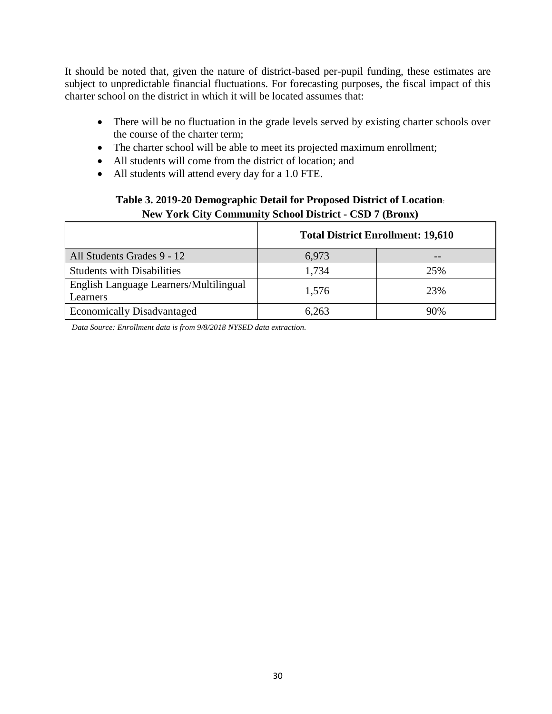It should be noted that, given the nature of district-based per-pupil funding, these estimates are subject to unpredictable financial fluctuations. For forecasting purposes, the fiscal impact of this charter school on the district in which it will be located assumes that:

- There will be no fluctuation in the grade levels served by existing charter schools over the course of the charter term;
- The charter school will be able to meet its projected maximum enrollment;
- All students will come from the district of location; and
- All students will attend every day for a 1.0 FTE.

## **Table 3. 2019-20 Demographic Detail for Proposed District of Location**: **New York City Community School District - CSD 7 (Bronx)**

|                                                    | <b>Total District Enrollment: 19,610</b> |     |  |
|----------------------------------------------------|------------------------------------------|-----|--|
| All Students Grades 9 - 12                         | 6,973                                    | --  |  |
| <b>Students with Disabilities</b>                  | 1,734                                    | 25% |  |
| English Language Learners/Multilingual<br>Learners | 1,576                                    | 23% |  |
| <b>Economically Disadvantaged</b>                  | 6,263                                    | 90% |  |

*Data Source: Enrollment data is from 9/8/2018 NYSED data extraction.*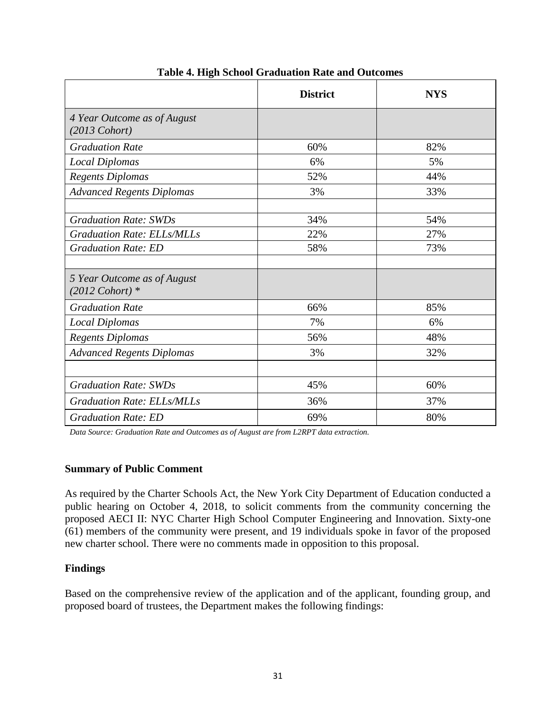|                                                          | <b>District</b> | <b>NYS</b> |
|----------------------------------------------------------|-----------------|------------|
| 4 Year Outcome as of August<br>$(2013 \text{ Cohort})$   |                 |            |
| <b>Graduation Rate</b>                                   | 60%             | 82%        |
| <b>Local Diplomas</b>                                    | 6%              | 5%         |
| <b>Regents Diplomas</b>                                  | 52%             | 44%        |
| <b>Advanced Regents Diplomas</b>                         | 3%              | 33%        |
|                                                          |                 |            |
| <b>Graduation Rate: SWDs</b>                             | 34%             | 54%        |
| <b>Graduation Rate: ELLs/MLLs</b>                        | 22%             | 27%        |
| <b>Graduation Rate: ED</b>                               | 58%             | 73%        |
|                                                          |                 |            |
| 5 Year Outcome as of August<br>$(2012 \text{ Cohort})$ * |                 |            |
| <b>Graduation Rate</b>                                   | 66%             | 85%        |
| <b>Local Diplomas</b>                                    | 7%              | 6%         |
| Regents Diplomas                                         | 56%             | 48%        |
| <b>Advanced Regents Diplomas</b>                         | 3%              | 32%        |
|                                                          |                 |            |
| <b>Graduation Rate: SWDs</b>                             | 45%             | 60%        |
| <b>Graduation Rate: ELLs/MLLs</b>                        | 36%             | 37%        |
| <b>Graduation Rate: ED</b>                               | 69%             | 80%        |

## **Table 4. High School Graduation Rate and Outcomes**

*Data Source: Graduation Rate and Outcomes as of August are from L2RPT data extraction.*

#### **Summary of Public Comment**

As required by the Charter Schools Act, the New York City Department of Education conducted a public hearing on October 4, 2018, to solicit comments from the community concerning the proposed AECI II: NYC Charter High School Computer Engineering and Innovation. Sixty-one (61) members of the community were present, and 19 individuals spoke in favor of the proposed new charter school. There were no comments made in opposition to this proposal.

#### **Findings**

Based on the comprehensive review of the application and of the applicant, founding group, and proposed board of trustees, the Department makes the following findings: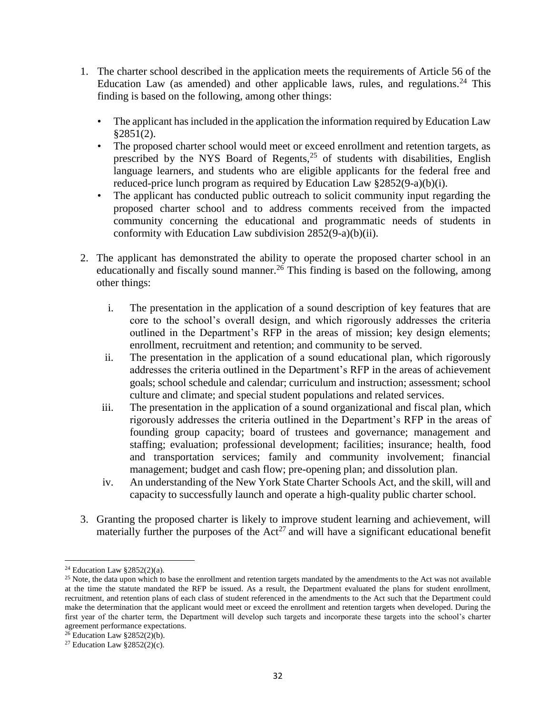- 1. The charter school described in the application meets the requirements of Article 56 of the Education Law (as amended) and other applicable laws, rules, and regulations.<sup>24</sup> This finding is based on the following, among other things:
	- The applicant has included in the application the information required by Education Law §2851(2).
	- The proposed charter school would meet or exceed enrollment and retention targets, as prescribed by the NYS Board of Regents,  $2^5$  of students with disabilities, English language learners, and students who are eligible applicants for the federal free and reduced-price lunch program as required by Education Law §2852(9-a)(b)(i).
	- The applicant has conducted public outreach to solicit community input regarding the proposed charter school and to address comments received from the impacted community concerning the educational and programmatic needs of students in conformity with Education Law subdivision 2852(9-a)(b)(ii).
- 2. The applicant has demonstrated the ability to operate the proposed charter school in an educationally and fiscally sound manner.<sup>26</sup> This finding is based on the following, among other things:
	- i. The presentation in the application of a sound description of key features that are core to the school's overall design, and which rigorously addresses the criteria outlined in the Department's RFP in the areas of mission; key design elements; enrollment, recruitment and retention; and community to be served.
	- ii. The presentation in the application of a sound educational plan, which rigorously addresses the criteria outlined in the Department's RFP in the areas of achievement goals; school schedule and calendar; curriculum and instruction; assessment; school culture and climate; and special student populations and related services.
	- iii. The presentation in the application of a sound organizational and fiscal plan, which rigorously addresses the criteria outlined in the Department's RFP in the areas of founding group capacity; board of trustees and governance; management and staffing; evaluation; professional development; facilities; insurance; health, food and transportation services; family and community involvement; financial management; budget and cash flow; pre-opening plan; and dissolution plan.
	- iv. An understanding of the New York State Charter Schools Act, and the skill, will and capacity to successfully launch and operate a high-quality public charter school.
- 3. Granting the proposed charter is likely to improve student learning and achievement, will materially further the purposes of the  $Act^{27}$  and will have a significant educational benefit

<sup>&</sup>lt;sup>24</sup> Education Law  $\S 2852(2)(a)$ .

<sup>&</sup>lt;sup>25</sup> Note, the data upon which to base the enrollment and retention targets mandated by the amendments to the Act was not available at the time the statute mandated the RFP be issued. As a result, the Department evaluated the plans for student enrollment, recruitment, and retention plans of each class of student referenced in the amendments to the Act such that the Department could make the determination that the applicant would meet or exceed the enrollment and retention targets when developed. During the first year of the charter term, the Department will develop such targets and incorporate these targets into the school's charter agreement performance expectations.

 $26$  Education Law §2852(2)(b).

<sup>&</sup>lt;sup>27</sup> Education Law  $§2852(2)(c)$ .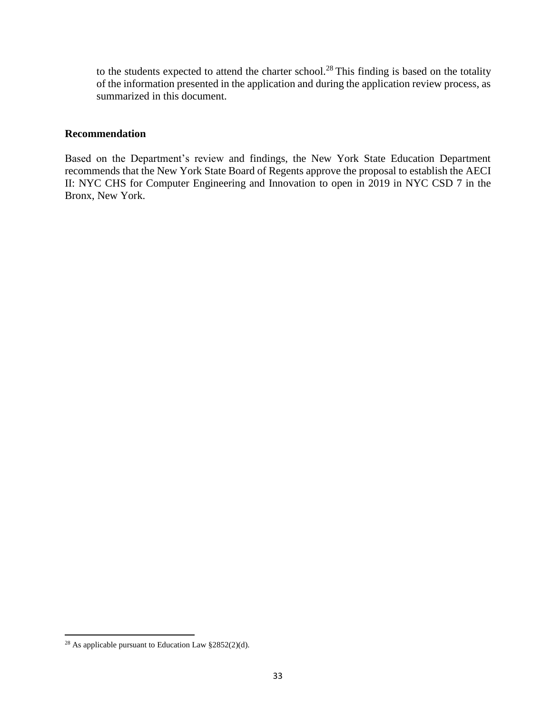to the students expected to attend the charter school.<sup>28</sup> This finding is based on the totality of the information presented in the application and during the application review process, as summarized in this document.

#### **Recommendation**

Based on the Department's review and findings, the New York State Education Department recommends that the New York State Board of Regents approve the proposal to establish the AECI II: NYC CHS for Computer Engineering and Innovation to open in 2019 in NYC CSD 7 in the Bronx, New York.

<sup>28</sup> As applicable pursuant to Education Law §2852(2)(d).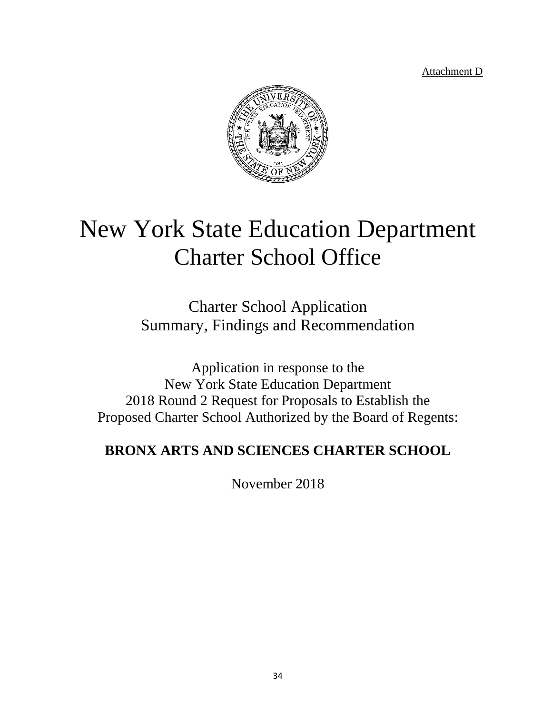Attachment D



# New York State Education Department Charter School Office

Charter School Application Summary, Findings and Recommendation

Application in response to the New York State Education Department 2018 Round 2 Request for Proposals to Establish the Proposed Charter School Authorized by the Board of Regents:

## **BRONX ARTS AND SCIENCES CHARTER SCHOOL**

November 2018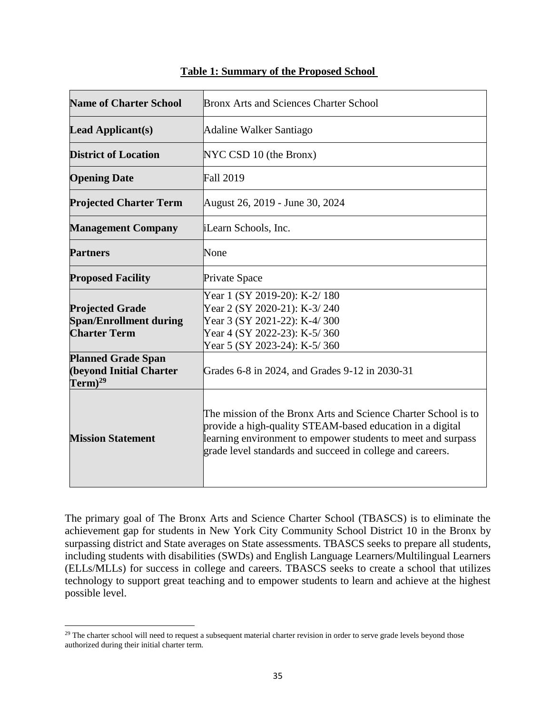| <b>Name of Charter School</b>                                                                               | <b>Bronx Arts and Sciences Charter School</b>                                                                                                                                                                                                            |  |
|-------------------------------------------------------------------------------------------------------------|----------------------------------------------------------------------------------------------------------------------------------------------------------------------------------------------------------------------------------------------------------|--|
| <b>Lead Applicant(s)</b>                                                                                    | Adaline Walker Santiago                                                                                                                                                                                                                                  |  |
| <b>District of Location</b>                                                                                 | NYC CSD 10 (the Bronx)                                                                                                                                                                                                                                   |  |
| <b>Opening Date</b>                                                                                         | <b>Fall 2019</b>                                                                                                                                                                                                                                         |  |
| <b>Projected Charter Term</b>                                                                               | August 26, 2019 - June 30, 2024                                                                                                                                                                                                                          |  |
| <b>Management Company</b>                                                                                   | <i>iLearn Schools, Inc.</i>                                                                                                                                                                                                                              |  |
| <b>Partners</b>                                                                                             | None                                                                                                                                                                                                                                                     |  |
| <b>Proposed Facility</b>                                                                                    | Private Space                                                                                                                                                                                                                                            |  |
| <b>Projected Grade</b><br><b>Span/Enrollment during</b><br><b>Charter Term</b><br><b>Planned Grade Span</b> | Year 1 (SY 2019-20): K-2/180<br>Year 2 (SY 2020-21): K-3/240<br>Year 3 (SY 2021-22): K-4/300<br>Year 4 (SY 2022-23): K-5/360<br>Year 5 (SY 2023-24): K-5/360                                                                                             |  |
| <b>(beyond Initial Charter</b><br>$\rm\,Term)^{29}$                                                         | Grades 6-8 in 2024, and Grades 9-12 in 2030-31                                                                                                                                                                                                           |  |
| <b>Mission Statement</b>                                                                                    | The mission of the Bronx Arts and Science Charter School is to<br>provide a high-quality STEAM-based education in a digital<br>learning environment to empower students to meet and surpass<br>grade level standards and succeed in college and careers. |  |

#### **Table 1: Summary of the Proposed School**

The primary goal of The Bronx Arts and Science Charter School (TBASCS) is to eliminate the achievement gap for students in New York City Community School District 10 in the Bronx by surpassing district and State averages on State assessments. TBASCS seeks to prepare all students, including students with disabilities (SWDs) and English Language Learners/Multilingual Learners (ELLs/MLLs) for success in college and careers. TBASCS seeks to create a school that utilizes technology to support great teaching and to empower students to learn and achieve at the highest possible level.

<sup>&</sup>lt;sup>29</sup> The charter school will need to request a subsequent material charter revision in order to serve grade levels beyond those authorized during their initial charter term.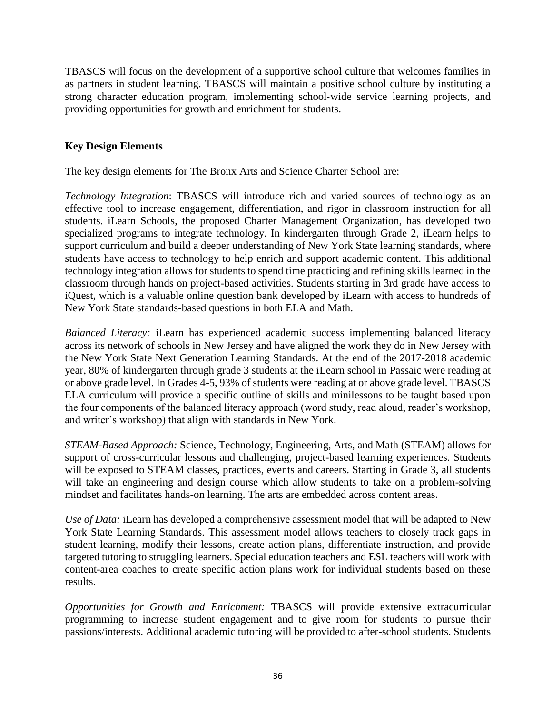TBASCS will focus on the development of a supportive school culture that welcomes families in as partners in student learning. TBASCS will maintain a positive school culture by instituting a strong character education program, implementing school‐wide service learning projects, and providing opportunities for growth and enrichment for students.

#### **Key Design Elements**

The key design elements for The Bronx Arts and Science Charter School are:

*Technology Integration*: TBASCS will introduce rich and varied sources of technology as an effective tool to increase engagement, differentiation, and rigor in classroom instruction for all students. iLearn Schools, the proposed Charter Management Organization, has developed two specialized programs to integrate technology. In kindergarten through Grade 2, iLearn helps to support curriculum and build a deeper understanding of New York State learning standards, where students have access to technology to help enrich and support academic content. This additional technology integration allows for students to spend time practicing and refining skills learned in the classroom through hands on project-based activities. Students starting in 3rd grade have access to iQuest, which is a valuable online question bank developed by iLearn with access to hundreds of New York State standards-based questions in both ELA and Math.

*Balanced Literacy:* iLearn has experienced academic success implementing balanced literacy across its network of schools in New Jersey and have aligned the work they do in New Jersey with the New York State Next Generation Learning Standards. At the end of the 2017-2018 academic year, 80% of kindergarten through grade 3 students at the iLearn school in Passaic were reading at or above grade level. In Grades 4-5, 93% of students were reading at or above grade level. TBASCS ELA curriculum will provide a specific outline of skills and minilessons to be taught based upon the four components of the balanced literacy approach (word study, read aloud, reader's workshop, and writer's workshop) that align with standards in New York.

*STEAM-Based Approach:* Science, Technology, Engineering, Arts, and Math (STEAM) allows for support of cross-curricular lessons and challenging, project-based learning experiences. Students will be exposed to STEAM classes, practices, events and careers. Starting in Grade 3, all students will take an engineering and design course which allow students to take on a problem-solving mindset and facilitates hands-on learning. The arts are embedded across content areas.

*Use of Data:* iLearn has developed a comprehensive assessment model that will be adapted to New York State Learning Standards. This assessment model allows teachers to closely track gaps in student learning, modify their lessons, create action plans, differentiate instruction, and provide targeted tutoring to struggling learners. Special education teachers and ESL teachers will work with content-area coaches to create specific action plans work for individual students based on these results.

*Opportunities for Growth and Enrichment:* TBASCS will provide extensive extracurricular programming to increase student engagement and to give room for students to pursue their passions/interests. Additional academic tutoring will be provided to after-school students. Students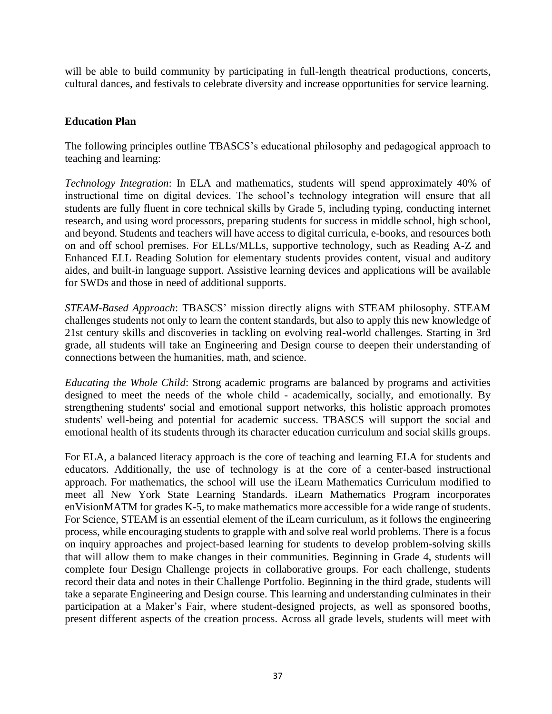will be able to build community by participating in full-length theatrical productions, concerts, cultural dances, and festivals to celebrate diversity and increase opportunities for service learning.

#### **Education Plan**

The following principles outline TBASCS's educational philosophy and pedagogical approach to teaching and learning:

*Technology Integration*: In ELA and mathematics, students will spend approximately 40% of instructional time on digital devices. The school's technology integration will ensure that all students are fully fluent in core technical skills by Grade 5, including typing, conducting internet research, and using word processors, preparing students for success in middle school, high school, and beyond. Students and teachers will have access to digital curricula, e-books, and resources both on and off school premises. For ELLs/MLLs, supportive technology, such as Reading A-Z and Enhanced ELL Reading Solution for elementary students provides content, visual and auditory aides, and built-in language support. Assistive learning devices and applications will be available for SWDs and those in need of additional supports.

*STEAM-Based Approach*: TBASCS' mission directly aligns with STEAM philosophy. STEAM challenges students not only to learn the content standards, but also to apply this new knowledge of 21st century skills and discoveries in tackling on evolving real-world challenges. Starting in 3rd grade, all students will take an Engineering and Design course to deepen their understanding of connections between the humanities, math, and science.

*Educating the Whole Child*: Strong academic programs are balanced by programs and activities designed to meet the needs of the whole child - academically, socially, and emotionally. By strengthening students' social and emotional support networks, this holistic approach promotes students' well-being and potential for academic success. TBASCS will support the social and emotional health of its students through its character education curriculum and social skills groups.

For ELA, a balanced literacy approach is the core of teaching and learning ELA for students and educators. Additionally, the use of technology is at the core of a center-based instructional approach. For mathematics, the school will use the iLearn Mathematics Curriculum modified to meet all New York State Learning Standards. iLearn Mathematics Program incorporates enVisionMATM for grades K-5, to make mathematics more accessible for a wide range of students. For Science, STEAM is an essential element of the iLearn curriculum, as it follows the engineering process, while encouraging students to grapple with and solve real world problems. There is a focus on inquiry approaches and project-based learning for students to develop problem-solving skills that will allow them to make changes in their communities. Beginning in Grade 4, students will complete four Design Challenge projects in collaborative groups. For each challenge, students record their data and notes in their Challenge Portfolio. Beginning in the third grade, students will take a separate Engineering and Design course. This learning and understanding culminates in their participation at a Maker's Fair, where student-designed projects, as well as sponsored booths, present different aspects of the creation process. Across all grade levels, students will meet with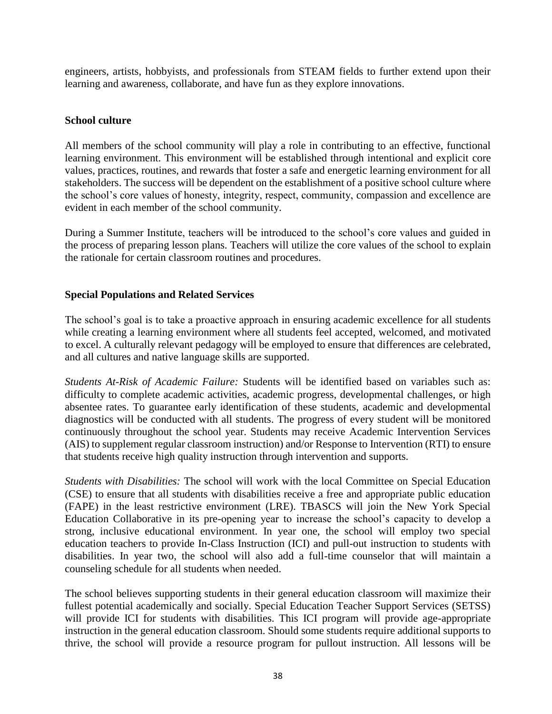engineers, artists, hobbyists, and professionals from STEAM fields to further extend upon their learning and awareness, collaborate, and have fun as they explore innovations.

#### **School culture**

All members of the school community will play a role in contributing to an effective, functional learning environment. This environment will be established through intentional and explicit core values, practices, routines, and rewards that foster a safe and energetic learning environment for all stakeholders. The success will be dependent on the establishment of a positive school culture where the school's core values of honesty, integrity, respect, community, compassion and excellence are evident in each member of the school community.

During a Summer Institute, teachers will be introduced to the school's core values and guided in the process of preparing lesson plans. Teachers will utilize the core values of the school to explain the rationale for certain classroom routines and procedures.

#### **Special Populations and Related Services**

The school's goal is to take a proactive approach in ensuring academic excellence for all students while creating a learning environment where all students feel accepted, welcomed, and motivated to excel. A culturally relevant pedagogy will be employed to ensure that differences are celebrated, and all cultures and native language skills are supported.

*Students At-Risk of Academic Failure:* Students will be identified based on variables such as: difficulty to complete academic activities, academic progress, developmental challenges, or high absentee rates. To guarantee early identification of these students, academic and developmental diagnostics will be conducted with all students. The progress of every student will be monitored continuously throughout the school year. Students may receive Academic Intervention Services (AIS) to supplement regular classroom instruction) and/or Response to Intervention (RTI) to ensure that students receive high quality instruction through intervention and supports.

*Students with Disabilities:* The school will work with the local Committee on Special Education (CSE) to ensure that all students with disabilities receive a free and appropriate public education (FAPE) in the least restrictive environment (LRE). TBASCS will join the New York Special Education Collaborative in its pre-opening year to increase the school's capacity to develop a strong, inclusive educational environment. In year one, the school will employ two special education teachers to provide In-Class Instruction (ICI) and pull-out instruction to students with disabilities. In year two, the school will also add a full-time counselor that will maintain a counseling schedule for all students when needed.

The school believes supporting students in their general education classroom will maximize their fullest potential academically and socially. Special Education Teacher Support Services (SETSS) will provide ICI for students with disabilities. This ICI program will provide age-appropriate instruction in the general education classroom. Should some students require additional supports to thrive, the school will provide a resource program for pullout instruction. All lessons will be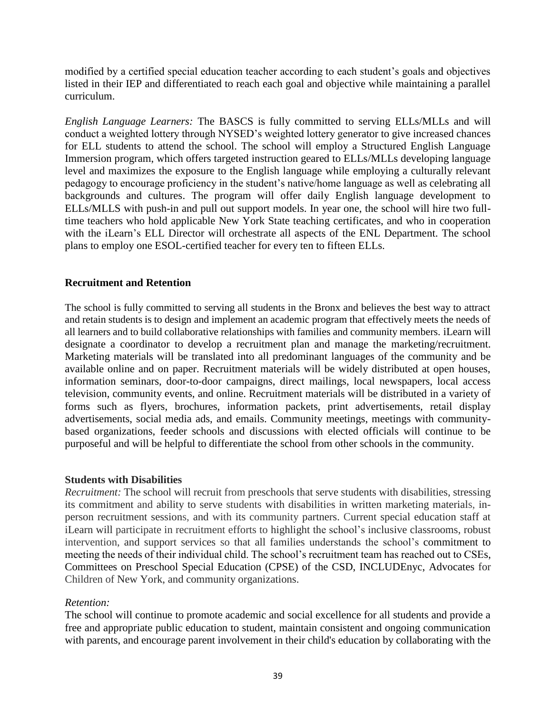modified by a certified special education teacher according to each student's goals and objectives listed in their IEP and differentiated to reach each goal and objective while maintaining a parallel curriculum.

*English Language Learners:* The BASCS is fully committed to serving ELLs/MLLs and will conduct a weighted lottery through NYSED's weighted lottery generator to give increased chances for ELL students to attend the school. The school will employ a Structured English Language Immersion program, which offers targeted instruction geared to ELLs/MLLs developing language level and maximizes the exposure to the English language while employing a culturally relevant pedagogy to encourage proficiency in the student's native/home language as well as celebrating all backgrounds and cultures. The program will offer daily English language development to ELLs/MLLS with push-in and pull out support models. In year one, the school will hire two fulltime teachers who hold applicable New York State teaching certificates, and who in cooperation with the iLearn's ELL Director will orchestrate all aspects of the ENL Department. The school plans to employ one ESOL-certified teacher for every ten to fifteen ELLs.

#### **Recruitment and Retention**

The school is fully committed to serving all students in the Bronx and believes the best way to attract and retain students is to design and implement an academic program that effectively meets the needs of all learners and to build collaborative relationships with families and community members. iLearn will designate a coordinator to develop a recruitment plan and manage the marketing/recruitment. Marketing materials will be translated into all predominant languages of the community and be available online and on paper. Recruitment materials will be widely distributed at open houses, information seminars, door-to-door campaigns, direct mailings, local newspapers, local access television, community events, and online. Recruitment materials will be distributed in a variety of forms such as flyers, brochures, information packets, print advertisements, retail display advertisements, social media ads, and emails. Community meetings, meetings with communitybased organizations, feeder schools and discussions with elected officials will continue to be purposeful and will be helpful to differentiate the school from other schools in the community.

#### **Students with Disabilities**

*Recruitment:* The school will recruit from preschools that serve students with disabilities, stressing its commitment and ability to serve students with disabilities in written marketing materials, inperson recruitment sessions, and with its community partners. Current special education staff at iLearn will participate in recruitment efforts to highlight the school's inclusive classrooms, robust intervention, and support services so that all families understands the school's commitment to meeting the needs of their individual child. The school's recruitment team has reached out to CSEs, Committees on Preschool Special Education (CPSE) of the CSD, INCLUDEnyc, Advocates for Children of New York, and community organizations.

#### *Retention:*

The school will continue to promote academic and social excellence for all students and provide a free and appropriate public education to student, maintain consistent and ongoing communication with parents, and encourage parent involvement in their child's education by collaborating with the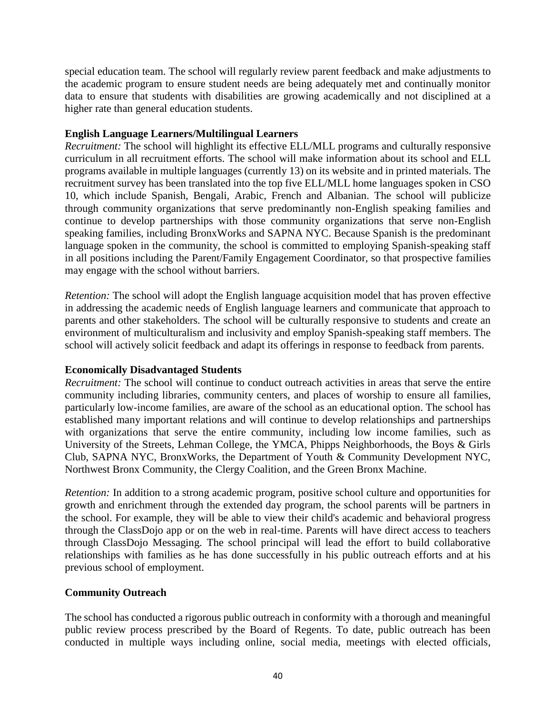special education team. The school will regularly review parent feedback and make adjustments to the academic program to ensure student needs are being adequately met and continually monitor data to ensure that students with disabilities are growing academically and not disciplined at a higher rate than general education students.

#### **English Language Learners/Multilingual Learners**

*Recruitment:* The school will highlight its effective ELL/MLL programs and culturally responsive curriculum in all recruitment efforts. The school will make information about its school and ELL programs available in multiple languages (currently 13) on its website and in printed materials. The recruitment survey has been translated into the top five ELL/MLL home languages spoken in CSO 10, which include Spanish, Bengali, Arabic, French and Albanian. The school will publicize through community organizations that serve predominantly non-English speaking families and continue to develop partnerships with those community organizations that serve non-English speaking families, including BronxWorks and SAPNA NYC. Because Spanish is the predominant language spoken in the community, the school is committed to employing Spanish-speaking staff in all positions including the Parent/Family Engagement Coordinator, so that prospective families may engage with the school without barriers.

*Retention:* The school will adopt the English language acquisition model that has proven effective in addressing the academic needs of English language learners and communicate that approach to parents and other stakeholders. The school will be culturally responsive to students and create an environment of multiculturalism and inclusivity and employ Spanish-speaking staff members. The school will actively solicit feedback and adapt its offerings in response to feedback from parents.

#### **Economically Disadvantaged Students**

*Recruitment:* The school will continue to conduct outreach activities in areas that serve the entire community including libraries, community centers, and places of worship to ensure all families, particularly low-income families, are aware of the school as an educational option. The school has established many important relations and will continue to develop relationships and partnerships with organizations that serve the entire community, including low income families, such as University of the Streets, Lehman College, the YMCA, Phipps Neighborhoods, the Boys & Girls Club, SAPNA NYC, BronxWorks, the Department of Youth & Community Development NYC, Northwest Bronx Community, the Clergy Coalition, and the Green Bronx Machine.

*Retention:* In addition to a strong academic program, positive school culture and opportunities for growth and enrichment through the extended day program, the school parents will be partners in the school. For example, they will be able to view their child's academic and behavioral progress through the ClassDojo app or on the web in real-time. Parents will have direct access to teachers through ClassDojo Messaging. The school principal will lead the effort to build collaborative relationships with families as he has done successfully in his public outreach efforts and at his previous school of employment.

#### **Community Outreach**

The school has conducted a rigorous public outreach in conformity with a thorough and meaningful public review process prescribed by the Board of Regents. To date, public outreach has been conducted in multiple ways including online, social media, meetings with elected officials,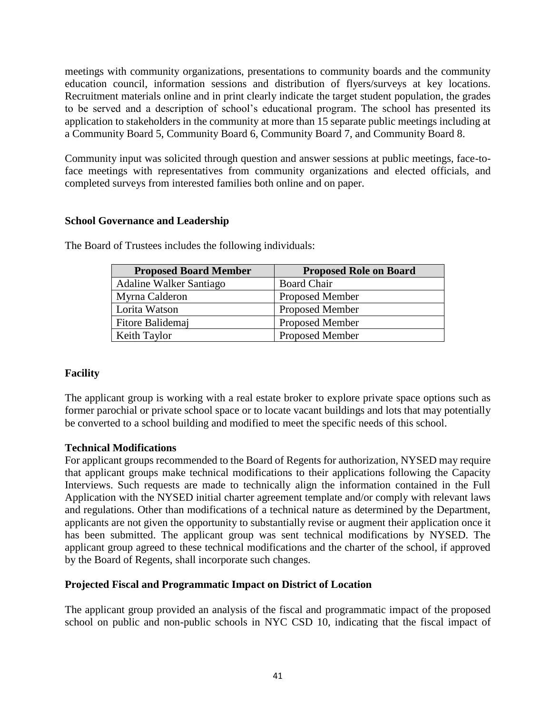meetings with community organizations, presentations to community boards and the community education council, information sessions and distribution of flyers/surveys at key locations. Recruitment materials online and in print clearly indicate the target student population, the grades to be served and a description of school's educational program. The school has presented its application to stakeholders in the community at more than 15 separate public meetings including at a Community Board 5, Community Board 6, Community Board 7, and Community Board 8.

Community input was solicited through question and answer sessions at public meetings, face-toface meetings with representatives from community organizations and elected officials, and completed surveys from interested families both online and on paper.

#### **School Governance and Leadership**

| <b>Proposed Board Member</b> | <b>Proposed Role on Board</b> |
|------------------------------|-------------------------------|
| Adaline Walker Santiago      | <b>Board Chair</b>            |
| Myrna Calderon               | <b>Proposed Member</b>        |
| Lorita Watson                | <b>Proposed Member</b>        |
| Fitore Balidemaj             | <b>Proposed Member</b>        |
| Keith Taylor                 | <b>Proposed Member</b>        |

The Board of Trustees includes the following individuals:

#### **Facility**

The applicant group is working with a real estate broker to explore private space options such as former parochial or private school space or to locate vacant buildings and lots that may potentially be converted to a school building and modified to meet the specific needs of this school.

#### **Technical Modifications**

For applicant groups recommended to the Board of Regents for authorization, NYSED may require that applicant groups make technical modifications to their applications following the Capacity Interviews. Such requests are made to technically align the information contained in the Full Application with the NYSED initial charter agreement template and/or comply with relevant laws and regulations. Other than modifications of a technical nature as determined by the Department, applicants are not given the opportunity to substantially revise or augment their application once it has been submitted. The applicant group was sent technical modifications by NYSED. The applicant group agreed to these technical modifications and the charter of the school, if approved by the Board of Regents, shall incorporate such changes.

#### **Projected Fiscal and Programmatic Impact on District of Location**

The applicant group provided an analysis of the fiscal and programmatic impact of the proposed school on public and non-public schools in NYC CSD 10, indicating that the fiscal impact of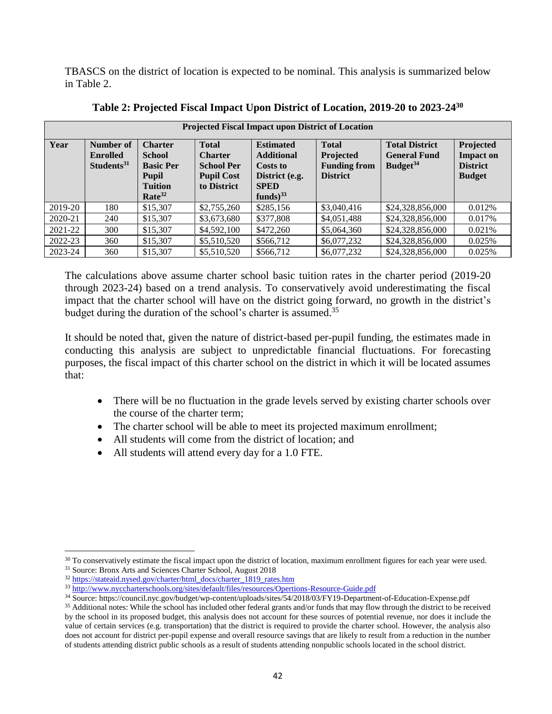TBASCS on the district of location is expected to be nominal. This analysis is summarized below in Table 2.

|         | <b>Projected Fiscal Impact upon District of Location</b> |                                                                                                             |                                                                                         |                                                                                                             |                                                                     |                                                                      |                                                                   |  |  |
|---------|----------------------------------------------------------|-------------------------------------------------------------------------------------------------------------|-----------------------------------------------------------------------------------------|-------------------------------------------------------------------------------------------------------------|---------------------------------------------------------------------|----------------------------------------------------------------------|-------------------------------------------------------------------|--|--|
| Year    | Number of<br><b>Enrolled</b><br>Students <sup>31</sup>   | <b>Charter</b><br><b>School</b><br><b>Basic Per</b><br><b>Pupil</b><br><b>Tuition</b><br>Rate <sup>32</sup> | <b>Total</b><br><b>Charter</b><br><b>School Per</b><br><b>Pupil Cost</b><br>to District | <b>Estimated</b><br><b>Additional</b><br><b>Costs to</b><br>District (e.g.<br><b>SPED</b><br>funds) $^{33}$ | <b>Total</b><br>Projected<br><b>Funding from</b><br><b>District</b> | <b>Total District</b><br><b>General Fund</b><br>Budget <sup>34</sup> | Projected<br><b>Impact on</b><br><b>District</b><br><b>Budget</b> |  |  |
| 2019-20 | 180                                                      | \$15,307                                                                                                    | \$2,755,260                                                                             | \$285,156                                                                                                   | \$3,040,416                                                         | \$24,328,856,000                                                     | 0.012%                                                            |  |  |
| 2020-21 | 240                                                      | \$15,307                                                                                                    | \$3,673,680                                                                             | \$377,808                                                                                                   | \$4,051,488                                                         | \$24,328,856,000                                                     | 0.017%                                                            |  |  |
| 2021-22 | 300                                                      | \$15,307                                                                                                    | \$4,592,100                                                                             | \$472,260                                                                                                   | \$5,064,360                                                         | \$24,328,856,000                                                     | 0.021%                                                            |  |  |
| 2022-23 | 360                                                      | \$15,307                                                                                                    | \$5,510,520                                                                             | \$566,712                                                                                                   | \$6,077,232                                                         | \$24,328,856,000                                                     | 0.025%                                                            |  |  |
| 2023-24 | 360                                                      | \$15,307                                                                                                    | \$5,510,520                                                                             | \$566,712                                                                                                   | \$6,077,232                                                         | \$24,328,856,000                                                     | 0.025%                                                            |  |  |

**Table 2: Projected Fiscal Impact Upon District of Location, 2019-20 to 2023-24<sup>30</sup>**

The calculations above assume charter school basic tuition rates in the charter period (2019-20 through 2023-24) based on a trend analysis. To conservatively avoid underestimating the fiscal impact that the charter school will have on the district going forward, no growth in the district's budget during the duration of the school's charter is assumed.<sup>35</sup>

It should be noted that, given the nature of district-based per-pupil funding, the estimates made in conducting this analysis are subject to unpredictable financial fluctuations. For forecasting purposes, the fiscal impact of this charter school on the district in which it will be located assumes that:

- There will be no fluctuation in the grade levels served by existing charter schools over the course of the charter term;
- The charter school will be able to meet its projected maximum enrollment;
- All students will come from the district of location; and
- All students will attend every day for a 1.0 FTE.

<sup>&</sup>lt;sup>30</sup> To conservatively estimate the fiscal impact upon the district of location, maximum enrollment figures for each year were used.

<sup>&</sup>lt;sup>31</sup> Source: Bronx Arts and Sciences Charter School, August 2018

<sup>32</sup> [https://stateaid.nysed.gov/charter/html\\_docs/charter\\_1819\\_rates.htm](https://stateaid.nysed.gov/charter/html_docs/charter_1819_rates.htm)

<sup>33</sup> <http://www.nyccharterschools.org/sites/default/files/resources/Opertions-Resource-Guide.pdf>

<sup>34</sup> Source: https://council.nyc.gov/budget/wp-content/uploads/sites/54/2018/03/FY19-Department-of-Education-Expense.pdf

<sup>&</sup>lt;sup>35</sup> Additional notes: While the school has included other federal grants and/or funds that may flow through the district to be received by the school in its proposed budget, this analysis does not account for these sources of potential revenue, nor does it include the value of certain services (e.g. transportation) that the district is required to provide the charter school. However, the analysis also does not account for district per-pupil expense and overall resource savings that are likely to result from a reduction in the number of students attending district public schools as a result of students attending nonpublic schools located in the school district.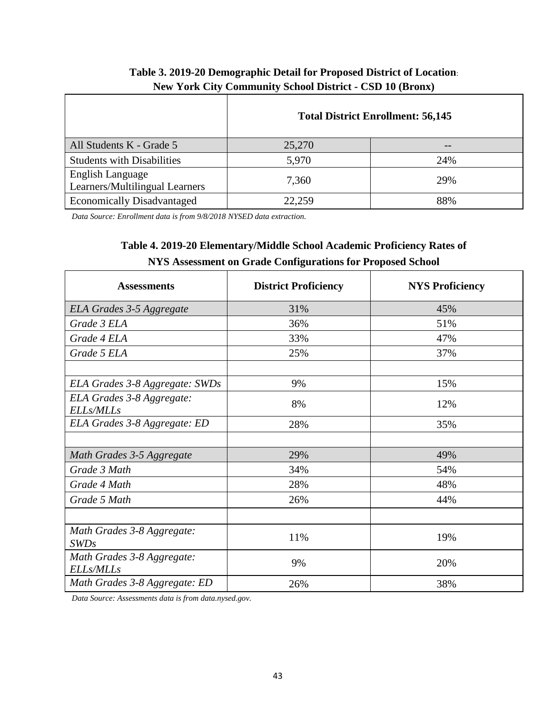|                                                           | <b>Total District Enrollment: 56,145</b> |     |  |  |
|-----------------------------------------------------------|------------------------------------------|-----|--|--|
| All Students K - Grade 5                                  | 25,270                                   |     |  |  |
| <b>Students with Disabilities</b>                         | 5,970                                    | 24% |  |  |
| <b>English Language</b><br>Learners/Multilingual Learners | 7,360                                    | 29% |  |  |
| <b>Economically Disadvantaged</b>                         | 22,259                                   | 88% |  |  |

# **Table 3. 2019-20 Demographic Detail for Proposed District of Location**: **New York City Community School District - CSD 10 (Bronx)**

*Data Source: Enrollment data is from 9/8/2018 NYSED data extraction.*

# **Table 4. 2019-20 Elementary/Middle School Academic Proficiency Rates of NYS Assessment on Grade Configurations for Proposed School**

| <b>Assessments</b>                             | <b>District Proficiency</b> | <b>NYS Proficiency</b> |
|------------------------------------------------|-----------------------------|------------------------|
| <b>ELA Grades 3-5 Aggregate</b>                | 31%                         | 45%                    |
| Grade 3 ELA                                    | 36%                         | 51%                    |
| Grade 4 ELA                                    | 33%                         | 47%                    |
| Grade 5 ELA                                    | 25%                         | 37%                    |
| ELA Grades 3-8 Aggregate: SWDs                 | 9%                          | 15%                    |
| ELA Grades 3-8 Aggregate:<br><b>ELLs/MLLs</b>  | 8%                          | 12%                    |
| ELA Grades 3-8 Aggregate: ED                   | 28%                         | 35%                    |
| Math Grades 3-5 Aggregate                      | 29%                         | 49%                    |
| Grade 3 Math                                   | 34%                         | 54%                    |
| Grade 4 Math                                   | 28%                         | 48%                    |
| Grade 5 Math                                   | 26%                         | 44%                    |
| Math Grades 3-8 Aggregate:<br>SWDs             | 11%                         | 19%                    |
| Math Grades 3-8 Aggregate:<br><b>ELLs/MLLs</b> | 9%                          | 20%                    |
| Math Grades 3-8 Aggregate: ED                  | 26%                         | 38%                    |

*Data Source: Assessments data is from data.nysed.gov.*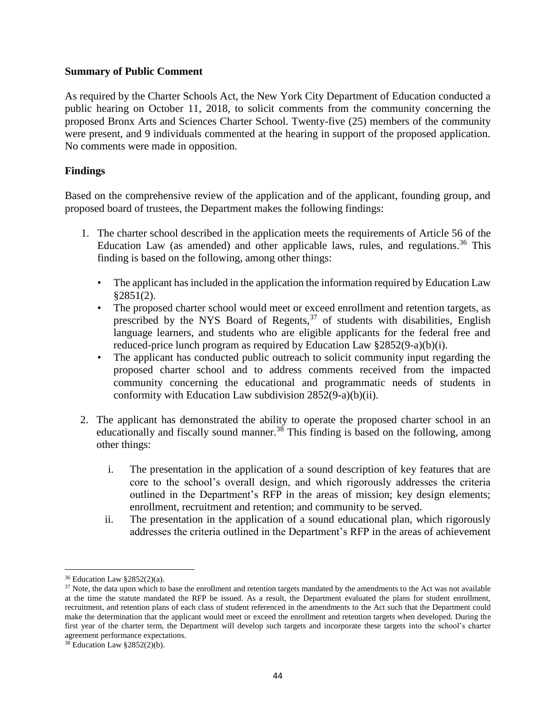#### **Summary of Public Comment**

As required by the Charter Schools Act, the New York City Department of Education conducted a public hearing on October 11, 2018, to solicit comments from the community concerning the proposed Bronx Arts and Sciences Charter School. Twenty-five (25) members of the community were present, and 9 individuals commented at the hearing in support of the proposed application. No comments were made in opposition.

#### **Findings**

Based on the comprehensive review of the application and of the applicant, founding group, and proposed board of trustees, the Department makes the following findings:

- 1. The charter school described in the application meets the requirements of Article 56 of the Education Law (as amended) and other applicable laws, rules, and regulations.<sup>36</sup> This finding is based on the following, among other things:
	- The applicant has included in the application the information required by Education Law  $§2851(2).$
	- The proposed charter school would meet or exceed enrollment and retention targets, as prescribed by the NYS Board of Regents,  $37$  of students with disabilities, English language learners, and students who are eligible applicants for the federal free and reduced-price lunch program as required by Education Law §2852(9-a)(b)(i).
	- The applicant has conducted public outreach to solicit community input regarding the proposed charter school and to address comments received from the impacted community concerning the educational and programmatic needs of students in conformity with Education Law subdivision 2852(9-a)(b)(ii).
- 2. The applicant has demonstrated the ability to operate the proposed charter school in an educationally and fiscally sound manner.<sup>38</sup> This finding is based on the following, among other things:
	- i. The presentation in the application of a sound description of key features that are core to the school's overall design, and which rigorously addresses the criteria outlined in the Department's RFP in the areas of mission; key design elements; enrollment, recruitment and retention; and community to be served.
	- ii. The presentation in the application of a sound educational plan, which rigorously addresses the criteria outlined in the Department's RFP in the areas of achievement

<sup>36</sup> Education Law §2852(2)(a).

<sup>&</sup>lt;sup>37</sup> Note, the data upon which to base the enrollment and retention targets mandated by the amendments to the Act was not available at the time the statute mandated the RFP be issued. As a result, the Department evaluated the plans for student enrollment, recruitment, and retention plans of each class of student referenced in the amendments to the Act such that the Department could make the determination that the applicant would meet or exceed the enrollment and retention targets when developed. During the first year of the charter term, the Department will develop such targets and incorporate these targets into the school's charter agreement performance expectations.

 $38$  Education Law §2852(2)(b).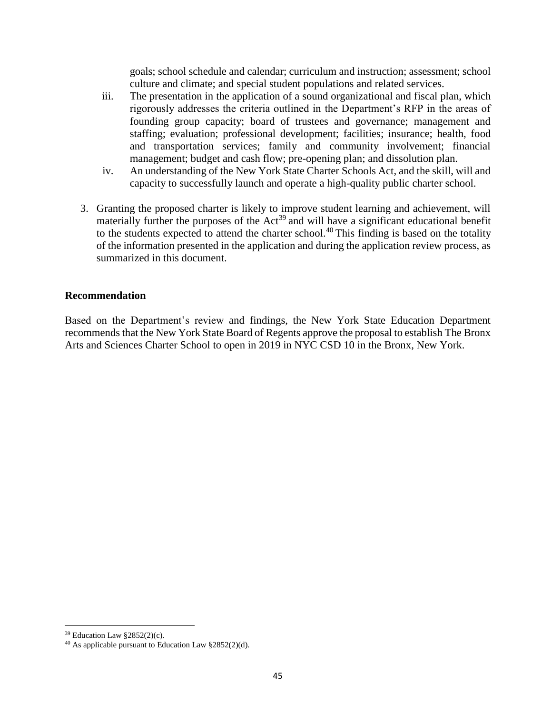goals; school schedule and calendar; curriculum and instruction; assessment; school culture and climate; and special student populations and related services.

- iii. The presentation in the application of a sound organizational and fiscal plan, which rigorously addresses the criteria outlined in the Department's RFP in the areas of founding group capacity; board of trustees and governance; management and staffing; evaluation; professional development; facilities; insurance; health, food and transportation services; family and community involvement; financial management; budget and cash flow; pre-opening plan; and dissolution plan.
- iv. An understanding of the New York State Charter Schools Act, and the skill, will and capacity to successfully launch and operate a high-quality public charter school.
- 3. Granting the proposed charter is likely to improve student learning and achievement, will materially further the purposes of the  $Act^{39}$  and will have a significant educational benefit to the students expected to attend the charter school.<sup>40</sup> This finding is based on the totality of the information presented in the application and during the application review process, as summarized in this document.

#### **Recommendation**

Based on the Department's review and findings, the New York State Education Department recommends that the New York State Board of Regents approve the proposal to establish The Bronx Arts and Sciences Charter School to open in 2019 in NYC CSD 10 in the Bronx, New York.

<sup>39</sup> Education Law §2852(2)(c).

<sup>40</sup> As applicable pursuant to Education Law §2852(2)(d).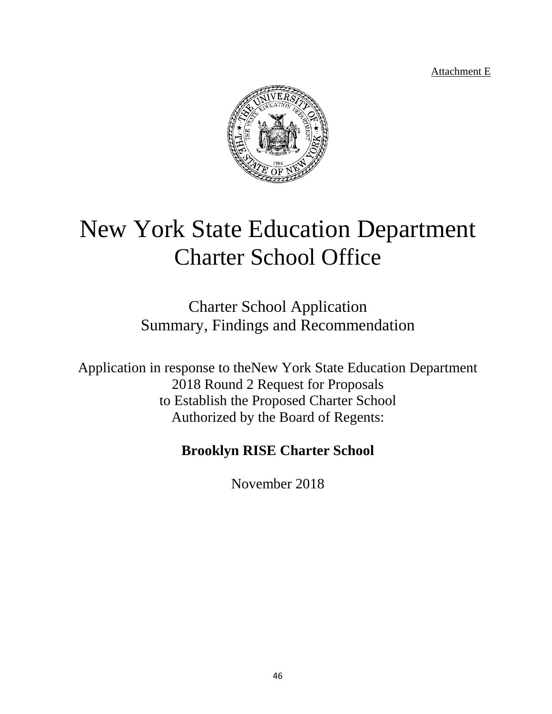Attachment E



# New York State Education Department Charter School Office

Charter School Application Summary, Findings and Recommendation

Application in response to theNew York State Education Department 2018 Round 2 Request for Proposals to Establish the Proposed Charter School Authorized by the Board of Regents:

# **Brooklyn RISE Charter School**

November 2018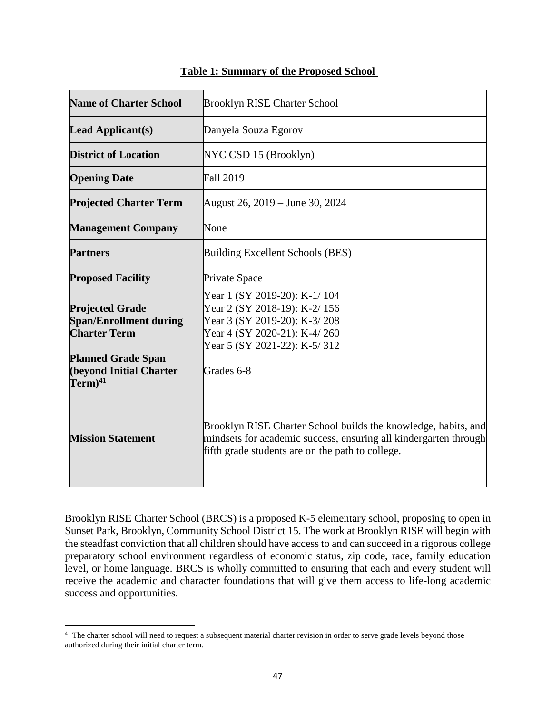| <b>Name of Charter School</b>                                                  | <b>Brooklyn RISE Charter School</b>                                                                                                                                                    |
|--------------------------------------------------------------------------------|----------------------------------------------------------------------------------------------------------------------------------------------------------------------------------------|
| <b>Lead Applicant(s)</b>                                                       | Danyela Souza Egorov                                                                                                                                                                   |
| <b>District of Location</b>                                                    | NYC CSD 15 (Brooklyn)                                                                                                                                                                  |
| <b>Opening Date</b>                                                            | <b>Fall 2019</b>                                                                                                                                                                       |
| <b>Projected Charter Term</b>                                                  | August 26, 2019 – June 30, 2024                                                                                                                                                        |
| <b>Management Company</b>                                                      | None                                                                                                                                                                                   |
| <b>Partners</b>                                                                | Building Excellent Schools (BES)                                                                                                                                                       |
| <b>Proposed Facility</b>                                                       | Private Space                                                                                                                                                                          |
| <b>Projected Grade</b><br><b>Span/Enrollment during</b><br><b>Charter Term</b> | Year 1 (SY 2019-20): K-1/104<br>Year 2 (SY 2018-19): K-2/156<br>Year 3 (SY 2019-20): K-3/208<br>Year 4 (SY 2020-21): K-4/260<br>Year 5 (SY 2021-22): K-5/312                           |
| <b>Planned Grade Span</b><br><b>(beyond Initial Charter</b><br>$Term)^{41}$    | Grades 6-8                                                                                                                                                                             |
| <b>Mission Statement</b>                                                       | Brooklyn RISE Charter School builds the knowledge, habits, and<br>mindsets for academic success, ensuring all kindergarten through<br>fifth grade students are on the path to college. |

#### **Table 1: Summary of the Proposed School**

Brooklyn RISE Charter School (BRCS) is a proposed K-5 elementary school, proposing to open in Sunset Park, Brooklyn, Community School District 15. The work at Brooklyn RISE will begin with the steadfast conviction that all children should have access to and can succeed in a rigorous college preparatory school environment regardless of economic status, zip code, race, family education level, or home language. BRCS is wholly committed to ensuring that each and every student will receive the academic and character foundations that will give them access to life-long academic success and opportunities.

<sup>&</sup>lt;sup>41</sup> The charter school will need to request a subsequent material charter revision in order to serve grade levels beyond those authorized during their initial charter term.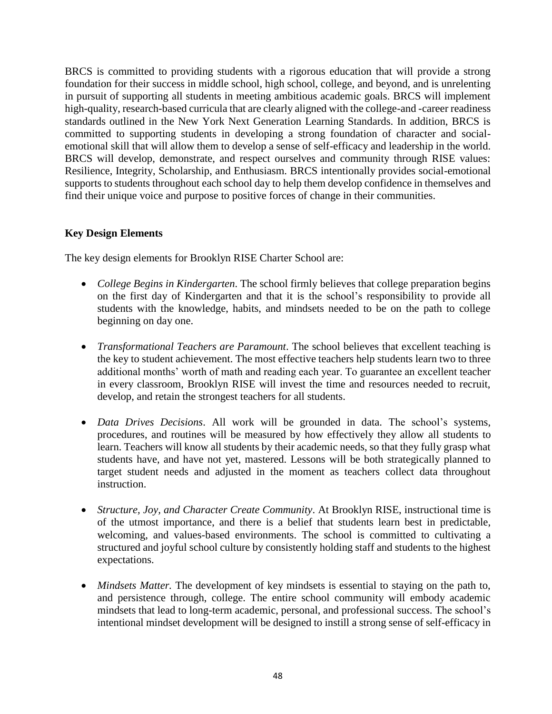BRCS is committed to providing students with a rigorous education that will provide a strong foundation for their success in middle school, high school, college, and beyond, and is unrelenting in pursuit of supporting all students in meeting ambitious academic goals. BRCS will implement high-quality, research-based curricula that are clearly aligned with the college-and -career readiness standards outlined in the New York Next Generation Learning Standards. In addition, BRCS is committed to supporting students in developing a strong foundation of character and socialemotional skill that will allow them to develop a sense of self-efficacy and leadership in the world. BRCS will develop, demonstrate, and respect ourselves and community through RISE values: Resilience, Integrity, Scholarship, and Enthusiasm. BRCS intentionally provides social-emotional supports to students throughout each school day to help them develop confidence in themselves and find their unique voice and purpose to positive forces of change in their communities.

#### **Key Design Elements**

The key design elements for Brooklyn RISE Charter School are:

- *College Begins in Kindergarten*. The school firmly believes that college preparation begins on the first day of Kindergarten and that it is the school's responsibility to provide all students with the knowledge, habits, and mindsets needed to be on the path to college beginning on day one.
- *Transformational Teachers are Paramount*. The school believes that excellent teaching is the key to student achievement. The most effective teachers help students learn two to three additional months' worth of math and reading each year. To guarantee an excellent teacher in every classroom, Brooklyn RISE will invest the time and resources needed to recruit, develop, and retain the strongest teachers for all students.
- *Data Drives Decisions*. All work will be grounded in data. The school's systems, procedures, and routines will be measured by how effectively they allow all students to learn. Teachers will know all students by their academic needs, so that they fully grasp what students have, and have not yet, mastered. Lessons will be both strategically planned to target student needs and adjusted in the moment as teachers collect data throughout instruction.
- *Structure, Joy, and Character Create Community*. At Brooklyn RISE, instructional time is of the utmost importance, and there is a belief that students learn best in predictable, welcoming, and values-based environments. The school is committed to cultivating a structured and joyful school culture by consistently holding staff and students to the highest expectations.
- *Mindsets Matter*. The development of key mindsets is essential to staying on the path to, and persistence through, college. The entire school community will embody academic mindsets that lead to long-term academic, personal, and professional success. The school's intentional mindset development will be designed to instill a strong sense of self-efficacy in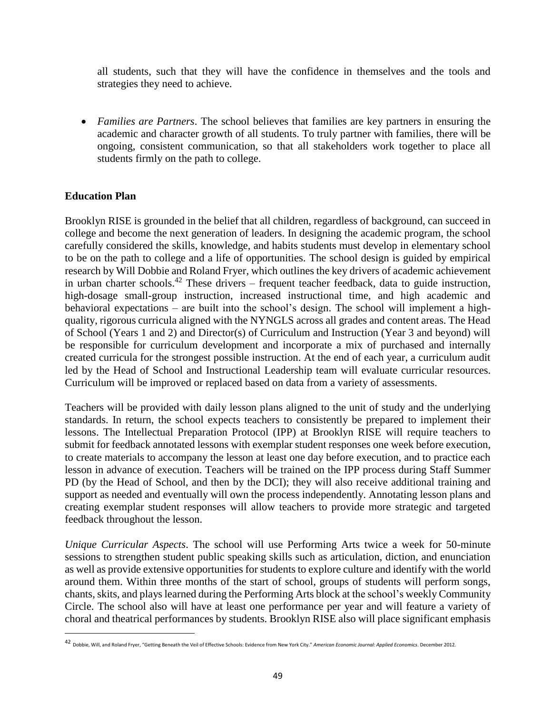all students, such that they will have the confidence in themselves and the tools and strategies they need to achieve.

• *Families are Partners*. The school believes that families are key partners in ensuring the academic and character growth of all students. To truly partner with families, there will be ongoing, consistent communication, so that all stakeholders work together to place all students firmly on the path to college.

#### **Education Plan**

 $\overline{a}$ 

Brooklyn RISE is grounded in the belief that all children, regardless of background, can succeed in college and become the next generation of leaders. In designing the academic program, the school carefully considered the skills, knowledge, and habits students must develop in elementary school to be on the path to college and a life of opportunities. The school design is guided by empirical research by Will Dobbie and Roland Fryer, which outlines the key drivers of academic achievement in urban charter schools.<sup>42</sup> These drivers – frequent teacher feedback, data to guide instruction, high-dosage small-group instruction, increased instructional time, and high academic and behavioral expectations – are built into the school's design. The school will implement a highquality, rigorous curricula aligned with the NYNGLS across all grades and content areas. The Head of School (Years 1 and 2) and Director(s) of Curriculum and Instruction (Year 3 and beyond) will be responsible for curriculum development and incorporate a mix of purchased and internally created curricula for the strongest possible instruction. At the end of each year, a curriculum audit led by the Head of School and Instructional Leadership team will evaluate curricular resources. Curriculum will be improved or replaced based on data from a variety of assessments.

Teachers will be provided with daily lesson plans aligned to the unit of study and the underlying standards. In return, the school expects teachers to consistently be prepared to implement their lessons. The Intellectual Preparation Protocol (IPP) at Brooklyn RISE will require teachers to submit for feedback annotated lessons with exemplar student responses one week before execution, to create materials to accompany the lesson at least one day before execution, and to practice each lesson in advance of execution. Teachers will be trained on the IPP process during Staff Summer PD (by the Head of School, and then by the DCI); they will also receive additional training and support as needed and eventually will own the process independently. Annotating lesson plans and creating exemplar student responses will allow teachers to provide more strategic and targeted feedback throughout the lesson.

*Unique Curricular Aspects*. The school will use Performing Arts twice a week for 50-minute sessions to strengthen student public speaking skills such as articulation, diction, and enunciation as well as provide extensive opportunities for students to explore culture and identify with the world around them. Within three months of the start of school, groups of students will perform songs, chants, skits, and plays learned during the Performing Arts block at the school's weekly Community Circle. The school also will have at least one performance per year and will feature a variety of choral and theatrical performances by students. Brooklyn RISE also will place significant emphasis

<sup>42</sup> Dobbie, Will, and Roland Fryer, "Getting Beneath the Veil of Effective Schools: Evidence from New York City." *American Economic Journal: Applied Economics*. December 2012.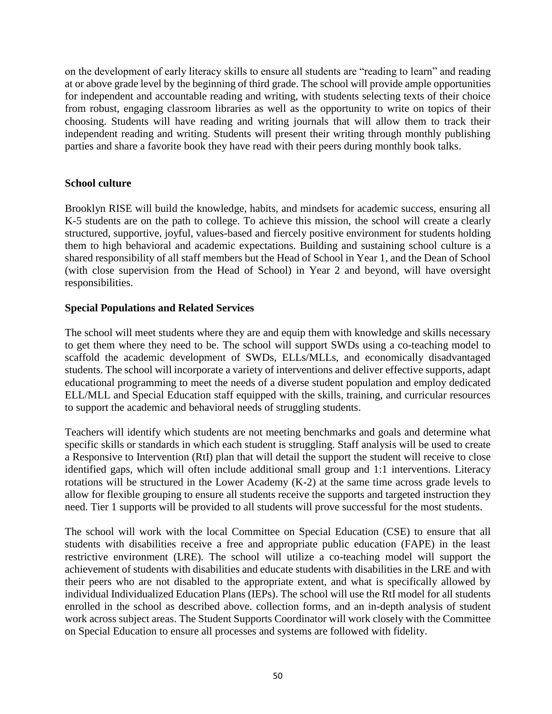on the development of early literacy skills to ensure all students are "reading to learn" and reading at or above grade level by the beginning of third grade. The school will provide ample opportunities for independent and accountable reading and writing, with students selecting texts of their choice from robust, engaging classroom libraries as well as the opportunity to write on topics of their choosing. Students will have reading and writing journals that will allow them to track their independent reading and writing. Students will present their writing through monthly publishing parties and share a favorite book they have read with their peers during monthly book talks.

#### **School culture**

Brooklyn RISE will build the knowledge, habits, and mindsets for academic success, ensuring all K-5 students are on the path to college. To achieve this mission, the school will create a clearly structured, supportive, joyful, values-based and fiercely positive environment for students holding them to high behavioral and academic expectations. Building and sustaining school culture is a shared responsibility of all staff members but the Head of School in Year 1, and the Dean of School (with close supervision from the Head of School) in Year 2 and beyond, will have oversight responsibilities.

#### **Special Populations and Related Services**

The school will meet students where they are and equip them with knowledge and skills necessary to get them where they need to be. The school will support SWDs using a co-teaching model to scaffold the academic development of SWDs, ELLs/MLLs, and economically disadvantaged students. The school will incorporate a variety of interventions and deliver effective supports, adapt educational programming to meet the needs of a diverse student population and employ dedicated ELL/MLL and Special Education staff equipped with the skills, training, and curricular resources to support the academic and behavioral needs of struggling students.

Teachers will identify which students are not meeting benchmarks and goals and determine what specific skills or standards in which each student is struggling. Staff analysis will be used to create a Responsive to Intervention (RtI) plan that will detail the support the student will receive to close identified gaps, which will often include additional small group and 1:1 interventions. Literacy rotations will be structured in the Lower Academy (K-2) at the same time across grade levels to allow for flexible grouping to ensure all students receive the supports and targeted instruction they need. Tier 1 supports will be provided to all students will prove successful for the most students.

The school will work with the local Committee on Special Education (CSE) to ensure that all students with disabilities receive a free and appropriate public education (FAPE) in the least restrictive environment (LRE). The school will utilize a co-teaching model will support the achievement of students with disabilities and educate students with disabilities in the LRE and with their peers who are not disabled to the appropriate extent, and what is specifically allowed by individual Individualized Education Plans (IEPs). The school will use the RtI model for all students enrolled in the school as described above. collection forms, and an in-depth analysis of student work across subject areas. The Student Supports Coordinator will work closely with the Committee on Special Education to ensure all processes and systems are followed with fidelity.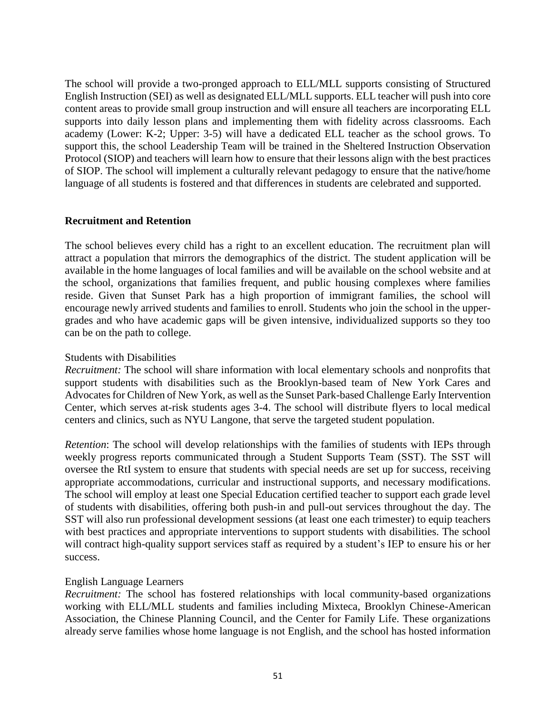The school will provide a two-pronged approach to ELL/MLL supports consisting of Structured English Instruction (SEI) as well as designated ELL/MLL supports. ELL teacher will push into core content areas to provide small group instruction and will ensure all teachers are incorporating ELL supports into daily lesson plans and implementing them with fidelity across classrooms. Each academy (Lower: K-2; Upper: 3-5) will have a dedicated ELL teacher as the school grows. To support this, the school Leadership Team will be trained in the Sheltered Instruction Observation Protocol (SIOP) and teachers will learn how to ensure that their lessons align with the best practices of SIOP. The school will implement a culturally relevant pedagogy to ensure that the native/home language of all students is fostered and that differences in students are celebrated and supported.

#### **Recruitment and Retention**

The school believes every child has a right to an excellent education. The recruitment plan will attract a population that mirrors the demographics of the district. The student application will be available in the home languages of local families and will be available on the school website and at the school, organizations that families frequent, and public housing complexes where families reside. Given that Sunset Park has a high proportion of immigrant families, the school will encourage newly arrived students and families to enroll. Students who join the school in the uppergrades and who have academic gaps will be given intensive, individualized supports so they too can be on the path to college.

#### Students with Disabilities

*Recruitment:* The school will share information with local elementary schools and nonprofits that support students with disabilities such as the Brooklyn-based team of New York Cares and Advocates for Children of New York, as well as the Sunset Park-based Challenge Early Intervention Center, which serves at-risk students ages 3-4. The school will distribute flyers to local medical centers and clinics, such as NYU Langone, that serve the targeted student population.

*Retention*: The school will develop relationships with the families of students with IEPs through weekly progress reports communicated through a Student Supports Team (SST). The SST will oversee the RtI system to ensure that students with special needs are set up for success, receiving appropriate accommodations, curricular and instructional supports, and necessary modifications. The school will employ at least one Special Education certified teacher to support each grade level of students with disabilities, offering both push-in and pull-out services throughout the day. The SST will also run professional development sessions (at least one each trimester) to equip teachers with best practices and appropriate interventions to support students with disabilities. The school will contract high-quality support services staff as required by a student's IEP to ensure his or her success.

#### English Language Learners

*Recruitment:* The school has fostered relationships with local community-based organizations working with ELL/MLL students and families including Mixteca, Brooklyn Chinese-American Association, the Chinese Planning Council, and the Center for Family Life. These organizations already serve families whose home language is not English, and the school has hosted information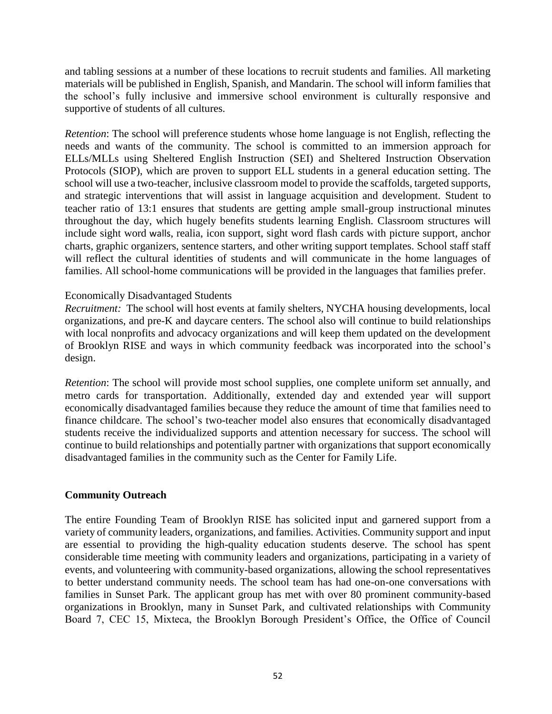and tabling sessions at a number of these locations to recruit students and families. All marketing materials will be published in English, Spanish, and Mandarin. The school will inform families that the school's fully inclusive and immersive school environment is culturally responsive and supportive of students of all cultures.

*Retention*: The school will preference students whose home language is not English, reflecting the needs and wants of the community. The school is committed to an immersion approach for ELLs/MLLs using Sheltered English Instruction (SEI) and Sheltered Instruction Observation Protocols (SIOP), which are proven to support ELL students in a general education setting. The school will use a two-teacher, inclusive classroom model to provide the scaffolds, targeted supports, and strategic interventions that will assist in language acquisition and development. Student to teacher ratio of 13:1 ensures that students are getting ample small-group instructional minutes throughout the day, which hugely benefits students learning English. Classroom structures will include sight word walls, realia, icon support, sight word flash cards with picture support, anchor charts, graphic organizers, sentence starters, and other writing support templates. School staff staff will reflect the cultural identities of students and will communicate in the home languages of families. All school-home communications will be provided in the languages that families prefer.

#### Economically Disadvantaged Students

*Recruitment:* The school will host events at family shelters, NYCHA housing developments, local organizations, and pre-K and daycare centers. The school also will continue to build relationships with local nonprofits and advocacy organizations and will keep them updated on the development of Brooklyn RISE and ways in which community feedback was incorporated into the school's design.

*Retention*: The school will provide most school supplies, one complete uniform set annually, and metro cards for transportation. Additionally, extended day and extended year will support economically disadvantaged families because they reduce the amount of time that families need to finance childcare. The school's two-teacher model also ensures that economically disadvantaged students receive the individualized supports and attention necessary for success. The school will continue to build relationships and potentially partner with organizations that support economically disadvantaged families in the community such as the Center for Family Life.

#### **Community Outreach**

The entire Founding Team of Brooklyn RISE has solicited input and garnered support from a variety of community leaders, organizations, and families. Activities. Community support and input are essential to providing the high-quality education students deserve. The school has spent considerable time meeting with community leaders and organizations, participating in a variety of events, and volunteering with community-based organizations, allowing the school representatives to better understand community needs. The school team has had one-on-one conversations with families in Sunset Park. The applicant group has met with over 80 prominent community-based organizations in Brooklyn, many in Sunset Park, and cultivated relationships with Community Board 7, CEC 15, Mixteca, the Brooklyn Borough President's Office, the Office of Council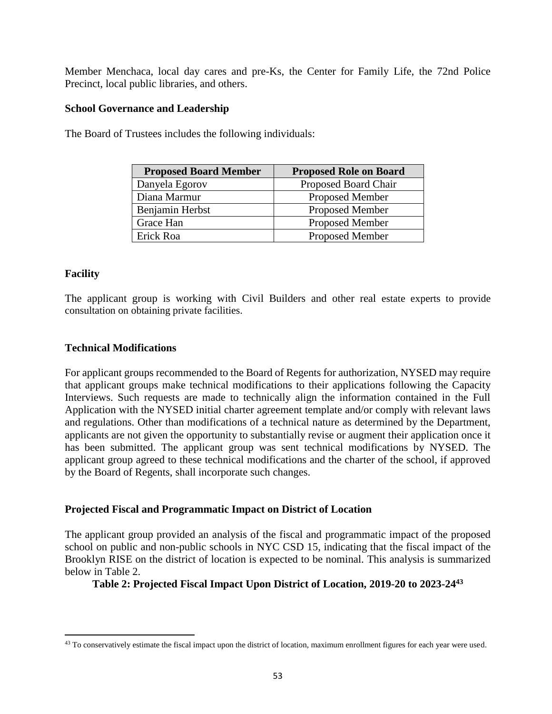Member Menchaca, local day cares and pre-Ks, the Center for Family Life, the 72nd Police Precinct, local public libraries, and others.

#### **School Governance and Leadership**

The Board of Trustees includes the following individuals:

| <b>Proposed Board Member</b> | <b>Proposed Role on Board</b> |
|------------------------------|-------------------------------|
| Danyela Egorov               | Proposed Board Chair          |
| Diana Marmur                 | <b>Proposed Member</b>        |
| Benjamin Herbst              | <b>Proposed Member</b>        |
| Grace Han                    | <b>Proposed Member</b>        |
| Erick Roa                    | <b>Proposed Member</b>        |

#### **Facility**

 $\overline{a}$ 

The applicant group is working with Civil Builders and other real estate experts to provide consultation on obtaining private facilities.

#### **Technical Modifications**

For applicant groups recommended to the Board of Regents for authorization, NYSED may require that applicant groups make technical modifications to their applications following the Capacity Interviews. Such requests are made to technically align the information contained in the Full Application with the NYSED initial charter agreement template and/or comply with relevant laws and regulations. Other than modifications of a technical nature as determined by the Department, applicants are not given the opportunity to substantially revise or augment their application once it has been submitted. The applicant group was sent technical modifications by NYSED. The applicant group agreed to these technical modifications and the charter of the school, if approved by the Board of Regents, shall incorporate such changes.

#### **Projected Fiscal and Programmatic Impact on District of Location**

The applicant group provided an analysis of the fiscal and programmatic impact of the proposed school on public and non-public schools in NYC CSD 15, indicating that the fiscal impact of the Brooklyn RISE on the district of location is expected to be nominal. This analysis is summarized below in Table 2.

**Table 2: Projected Fiscal Impact Upon District of Location, 2019-20 to 2023-24<sup>43</sup>**

<sup>&</sup>lt;sup>43</sup> To conservatively estimate the fiscal impact upon the district of location, maximum enrollment figures for each year were used.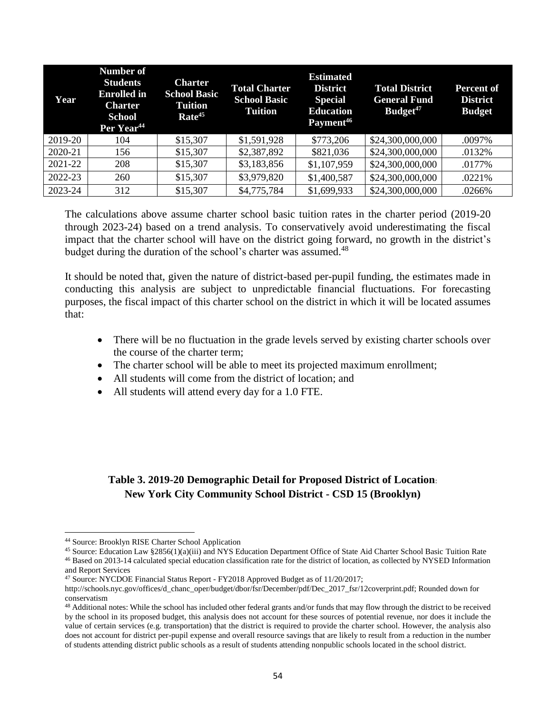| Year    | <b>Number of</b><br><b>Students</b><br><b>Enrolled</b> in<br><b>Charter</b><br><b>School</b><br>Per Year <sup>44</sup> | <b>Charter</b><br><b>School Basic</b><br><b>Tuition</b><br>Rate <sup>45</sup> | <b>Total Charter</b><br><b>School Basic</b><br><b>Tuition</b> | <b>Estimated</b><br><b>District</b><br><b>Special</b><br><b>Education</b><br>Payment <sup>46</sup> | <b>Total District</b><br><b>General Fund</b><br>Budget <sup>47</sup> | Percent of<br><b>District</b><br><b>Budget</b> |
|---------|------------------------------------------------------------------------------------------------------------------------|-------------------------------------------------------------------------------|---------------------------------------------------------------|----------------------------------------------------------------------------------------------------|----------------------------------------------------------------------|------------------------------------------------|
| 2019-20 | 104                                                                                                                    | \$15,307                                                                      | \$1,591,928                                                   | \$773,206                                                                                          | \$24,300,000,000                                                     | .0097%                                         |
| 2020-21 | 156                                                                                                                    | \$15,307                                                                      | \$2,387,892                                                   | \$821,036                                                                                          | \$24,300,000,000                                                     | .0132%                                         |
| 2021-22 | 208                                                                                                                    | \$15,307                                                                      | \$3,183,856                                                   | \$1,107,959                                                                                        | \$24,300,000,000                                                     | .0177%                                         |
| 2022-23 | 260                                                                                                                    | \$15,307                                                                      | \$3,979,820                                                   | \$1,400,587                                                                                        | \$24,300,000,000                                                     | .0221%                                         |
| 2023-24 | 312                                                                                                                    | \$15,307                                                                      | \$4,775,784                                                   | \$1,699,933                                                                                        | \$24,300,000,000                                                     | .0266%                                         |

The calculations above assume charter school basic tuition rates in the charter period (2019-20 through 2023-24) based on a trend analysis. To conservatively avoid underestimating the fiscal impact that the charter school will have on the district going forward, no growth in the district's budget during the duration of the school's charter was assumed.<sup>48</sup>

It should be noted that, given the nature of district-based per-pupil funding, the estimates made in conducting this analysis are subject to unpredictable financial fluctuations. For forecasting purposes, the fiscal impact of this charter school on the district in which it will be located assumes that:

- There will be no fluctuation in the grade levels served by existing charter schools over the course of the charter term;
- The charter school will be able to meet its projected maximum enrollment;
- All students will come from the district of location; and
- All students will attend every day for a 1.0 FTE.

### **Table 3. 2019-20 Demographic Detail for Proposed District of Location**: **New York City Community School District - CSD 15 (Brooklyn)**

<sup>44</sup> Source: Brooklyn RISE Charter School Application

<sup>45</sup> Source: Education Law §2856(1)(a)(iii) and NYS Education Department Office of State Aid Charter School Basic Tuition Rate <sup>46</sup> Based on 2013-14 calculated special education classification rate for the district of location, as collected by NYSED Information

and Report Services

<sup>47</sup> Source: NYCDOE Financial Status Report - FY2018 Approved Budget as of 11/20/2017;

http://schools.nyc.gov/offices/d\_chanc\_oper/budget/dbor/fsr/December/pdf/Dec\_2017\_fsr/12coverprint.pdf; Rounded down for conservatism

<sup>&</sup>lt;sup>48</sup> Additional notes: While the school has included other federal grants and/or funds that may flow through the district to be received by the school in its proposed budget, this analysis does not account for these sources of potential revenue, nor does it include the value of certain services (e.g. transportation) that the district is required to provide the charter school. However, the analysis also does not account for district per-pupil expense and overall resource savings that are likely to result from a reduction in the number of students attending district public schools as a result of students attending nonpublic schools located in the school district.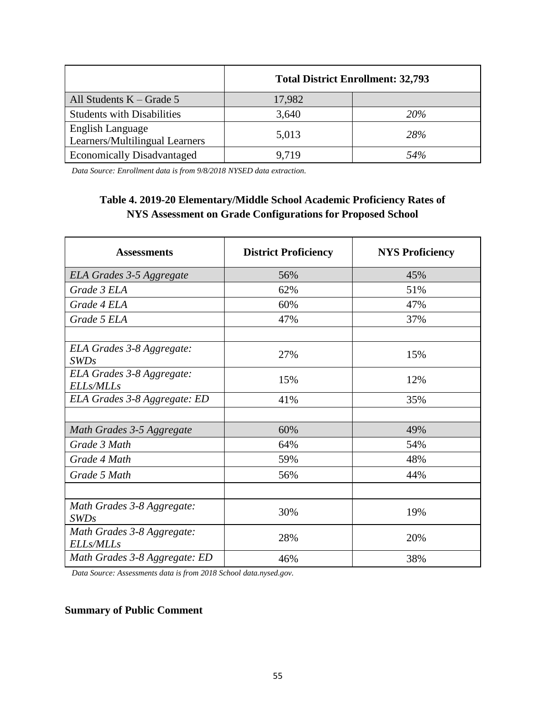|                                                    | <b>Total District Enrollment: 32,793</b> |            |  |
|----------------------------------------------------|------------------------------------------|------------|--|
| All Students $K - Grade 5$                         | 17,982                                   |            |  |
| <b>Students with Disabilities</b>                  | 3,640                                    | <i>20%</i> |  |
| English Language<br>Learners/Multilingual Learners | 5,013                                    | 28%        |  |
| <b>Economically Disadvantaged</b>                  | 9.719                                    | 54%        |  |

*Data Source: Enrollment data is from 9/8/2018 NYSED data extraction.*

## **Table 4. 2019-20 Elementary/Middle School Academic Proficiency Rates of NYS Assessment on Grade Configurations for Proposed School**

| <b>Assessments</b>                             | <b>District Proficiency</b> | <b>NYS Proficiency</b> |
|------------------------------------------------|-----------------------------|------------------------|
| ELA Grades 3-5 Aggregate                       | 56%                         | 45%                    |
| Grade 3 ELA                                    | 62%                         | 51%                    |
| Grade 4 ELA                                    | 60%                         | 47%                    |
| Grade 5 ELA                                    | 47%                         | 37%                    |
|                                                |                             |                        |
| ELA Grades 3-8 Aggregate:<br>SWDs              | 27%                         | 15%                    |
| ELA Grades 3-8 Aggregate:<br><b>ELLs/MLLs</b>  | 15%                         | 12%                    |
| ELA Grades 3-8 Aggregate: ED                   | 41%                         | 35%                    |
|                                                |                             |                        |
| Math Grades 3-5 Aggregate                      | 60%                         | 49%                    |
| Grade 3 Math                                   | 64%                         | 54%                    |
| Grade 4 Math                                   | 59%                         | 48%                    |
| Grade 5 Math                                   | 56%                         | 44%                    |
|                                                |                             |                        |
| Math Grades 3-8 Aggregate:<br>SWDs             | 30%                         | 19%                    |
| Math Grades 3-8 Aggregate:<br><b>ELLs/MLLs</b> | 28%                         | 20%                    |
| Math Grades 3-8 Aggregate: ED                  | 46%                         | 38%                    |

*Data Source: Assessments data is from 2018 School data.nysed.gov.*

#### **Summary of Public Comment**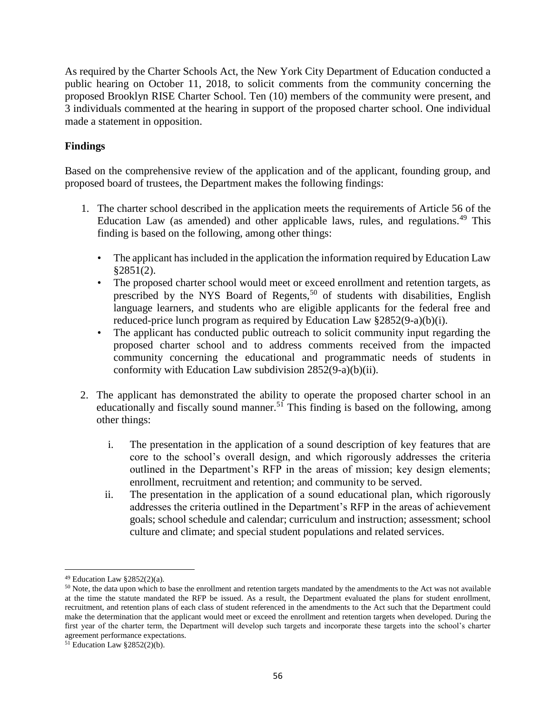As required by the Charter Schools Act, the New York City Department of Education conducted a public hearing on October 11, 2018, to solicit comments from the community concerning the proposed Brooklyn RISE Charter School. Ten (10) members of the community were present, and 3 individuals commented at the hearing in support of the proposed charter school. One individual made a statement in opposition.

#### **Findings**

Based on the comprehensive review of the application and of the applicant, founding group, and proposed board of trustees, the Department makes the following findings:

- 1. The charter school described in the application meets the requirements of Article 56 of the Education Law (as amended) and other applicable laws, rules, and regulations.<sup>49</sup> This finding is based on the following, among other things:
	- The applicant has included in the application the information required by Education Law §2851(2).
	- The proposed charter school would meet or exceed enrollment and retention targets, as prescribed by the NYS Board of Regents,<sup>50</sup> of students with disabilities, English language learners, and students who are eligible applicants for the federal free and reduced-price lunch program as required by Education Law §2852(9-a)(b)(i).
	- The applicant has conducted public outreach to solicit community input regarding the proposed charter school and to address comments received from the impacted community concerning the educational and programmatic needs of students in conformity with Education Law subdivision 2852(9-a)(b)(ii).
- 2. The applicant has demonstrated the ability to operate the proposed charter school in an educationally and fiscally sound manner.<sup>51</sup> This finding is based on the following, among other things:
	- i. The presentation in the application of a sound description of key features that are core to the school's overall design, and which rigorously addresses the criteria outlined in the Department's RFP in the areas of mission; key design elements; enrollment, recruitment and retention; and community to be served.
	- ii. The presentation in the application of a sound educational plan, which rigorously addresses the criteria outlined in the Department's RFP in the areas of achievement goals; school schedule and calendar; curriculum and instruction; assessment; school culture and climate; and special student populations and related services.

<sup>49</sup> Education Law §2852(2)(a).

<sup>&</sup>lt;sup>50</sup> Note, the data upon which to base the enrollment and retention targets mandated by the amendments to the Act was not available at the time the statute mandated the RFP be issued. As a result, the Department evaluated the plans for student enrollment, recruitment, and retention plans of each class of student referenced in the amendments to the Act such that the Department could make the determination that the applicant would meet or exceed the enrollment and retention targets when developed. During the first year of the charter term, the Department will develop such targets and incorporate these targets into the school's charter agreement performance expectations.

 $51$  Education Law §2852(2)(b).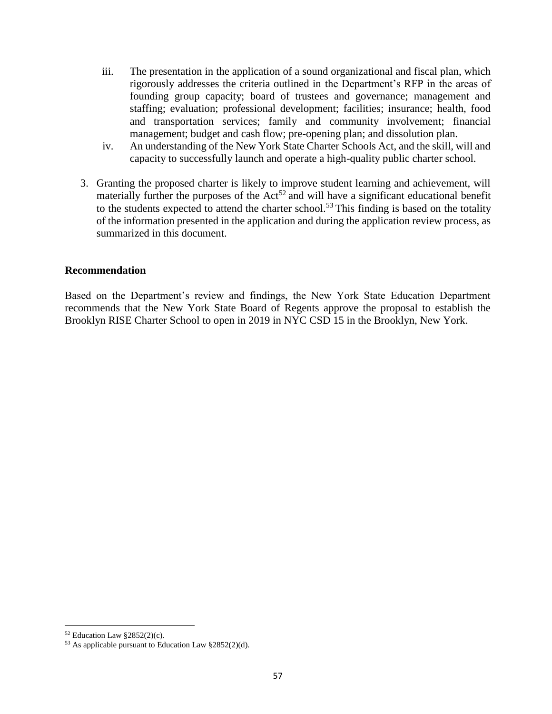- iii. The presentation in the application of a sound organizational and fiscal plan, which rigorously addresses the criteria outlined in the Department's RFP in the areas of founding group capacity; board of trustees and governance; management and staffing; evaluation; professional development; facilities; insurance; health, food and transportation services; family and community involvement; financial management; budget and cash flow; pre-opening plan; and dissolution plan.
- iv. An understanding of the New York State Charter Schools Act, and the skill, will and capacity to successfully launch and operate a high-quality public charter school.
- 3. Granting the proposed charter is likely to improve student learning and achievement, will materially further the purposes of the  $Act^{52}$  and will have a significant educational benefit to the students expected to attend the charter school.<sup>53</sup> This finding is based on the totality of the information presented in the application and during the application review process, as summarized in this document.

#### **Recommendation**

Based on the Department's review and findings, the New York State Education Department recommends that the New York State Board of Regents approve the proposal to establish the Brooklyn RISE Charter School to open in 2019 in NYC CSD 15 in the Brooklyn, New York.

 $52$  Education Law §2852(2)(c).

 $53$  As applicable pursuant to Education Law  $\S 2852(2)(d)$ .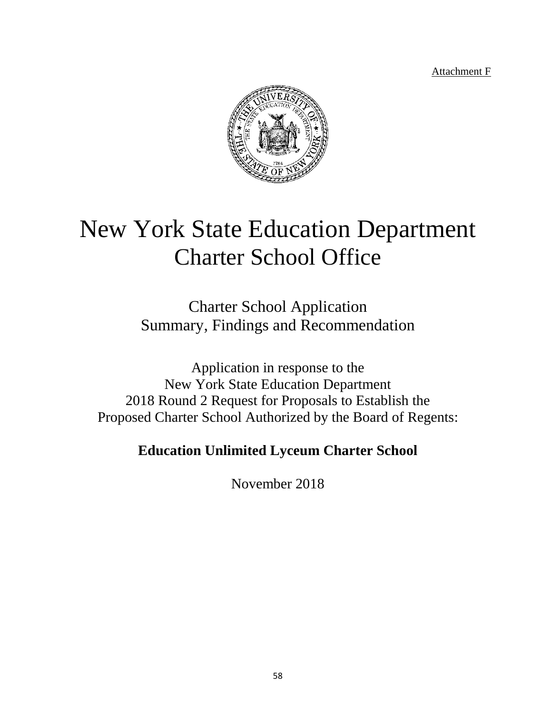Attachment F



# New York State Education Department Charter School Office

Charter School Application Summary, Findings and Recommendation

Application in response to the New York State Education Department 2018 Round 2 Request for Proposals to Establish the Proposed Charter School Authorized by the Board of Regents:

# **Education Unlimited Lyceum Charter School**

November 2018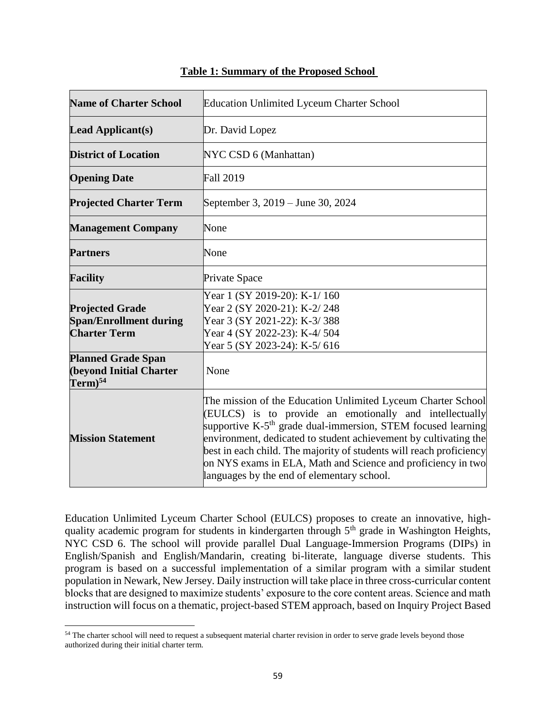| <b>Name of Charter School</b>                                                  | <b>Education Unlimited Lyceum Charter School</b>                                                                                                                                                                                                                                                                                                                                                                                                             |
|--------------------------------------------------------------------------------|--------------------------------------------------------------------------------------------------------------------------------------------------------------------------------------------------------------------------------------------------------------------------------------------------------------------------------------------------------------------------------------------------------------------------------------------------------------|
| <b>Lead Applicant(s)</b>                                                       | Dr. David Lopez                                                                                                                                                                                                                                                                                                                                                                                                                                              |
| <b>District of Location</b>                                                    | NYC CSD 6 (Manhattan)                                                                                                                                                                                                                                                                                                                                                                                                                                        |
| <b>Opening Date</b>                                                            | <b>Fall 2019</b>                                                                                                                                                                                                                                                                                                                                                                                                                                             |
| <b>Projected Charter Term</b>                                                  | September 3, 2019 – June 30, 2024                                                                                                                                                                                                                                                                                                                                                                                                                            |
| <b>Management Company</b>                                                      | None                                                                                                                                                                                                                                                                                                                                                                                                                                                         |
| <b>Partners</b>                                                                | None                                                                                                                                                                                                                                                                                                                                                                                                                                                         |
| <b>Facility</b>                                                                | Private Space                                                                                                                                                                                                                                                                                                                                                                                                                                                |
| <b>Projected Grade</b><br><b>Span/Enrollment during</b><br><b>Charter Term</b> | Year 1 (SY 2019-20): K-1/160<br>Year 2 (SY 2020-21): K-2/248<br>Year 3 (SY 2021-22): K-3/388<br>Year 4 (SY 2022-23): K-4/ 504<br>Year 5 (SY 2023-24): K-5/616                                                                                                                                                                                                                                                                                                |
| <b>Planned Grade Span</b><br><b>(beyond Initial Charter</b><br>$Term)^{54}$    | None                                                                                                                                                                                                                                                                                                                                                                                                                                                         |
| <b>Mission Statement</b>                                                       | The mission of the Education Unlimited Lyceum Charter School<br>(EULCS) is to provide an emotionally and intellectually<br>supportive K-5 <sup>th</sup> grade dual-immersion, STEM focused learning<br>environment, dedicated to student achievement by cultivating the<br>best in each child. The majority of students will reach proficiency<br>on NYS exams in ELA, Math and Science and proficiency in two<br>languages by the end of elementary school. |

#### **Table 1: Summary of the Proposed School**

Education Unlimited Lyceum Charter School (EULCS) proposes to create an innovative, highquality academic program for students in kindergarten through 5<sup>th</sup> grade in Washington Heights, NYC CSD 6. The school will provide parallel Dual Language-Immersion Programs (DIPs) in English/Spanish and English/Mandarin, creating bi-literate, language diverse students. This program is based on a successful implementation of a similar program with a similar student population in Newark, New Jersey. Daily instruction will take place in three cross-curricular content blocks that are designed to maximize students' exposure to the core content areas. Science and math instruction will focus on a thematic, project-based STEM approach, based on Inquiry Project Based

<sup>&</sup>lt;sup>54</sup> The charter school will need to request a subsequent material charter revision in order to serve grade levels beyond those authorized during their initial charter term.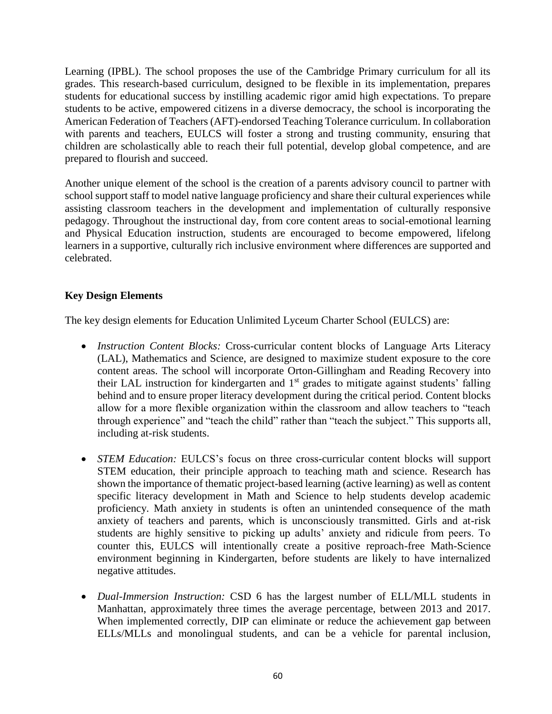Learning (IPBL). The school proposes the use of the Cambridge Primary curriculum for all its grades. This research-based curriculum, designed to be flexible in its implementation, prepares students for educational success by instilling academic rigor amid high expectations. To prepare students to be active, empowered citizens in a diverse democracy, the school is incorporating the American Federation of Teachers (AFT)-endorsed Teaching Tolerance curriculum. In collaboration with parents and teachers, EULCS will foster a strong and trusting community, ensuring that children are scholastically able to reach their full potential, develop global competence, and are prepared to flourish and succeed.

Another unique element of the school is the creation of a parents advisory council to partner with school support staff to model native language proficiency and share their cultural experiences while assisting classroom teachers in the development and implementation of culturally responsive pedagogy. Throughout the instructional day, from core content areas to social-emotional learning and Physical Education instruction, students are encouraged to become empowered, lifelong learners in a supportive, culturally rich inclusive environment where differences are supported and celebrated.

### **Key Design Elements**

The key design elements for Education Unlimited Lyceum Charter School (EULCS) are:

- *Instruction Content Blocks:* Cross-curricular content blocks of Language Arts Literacy (LAL), Mathematics and Science, are designed to maximize student exposure to the core content areas. The school will incorporate Orton-Gillingham and Reading Recovery into their LAL instruction for kindergarten and 1<sup>st</sup> grades to mitigate against students' falling behind and to ensure proper literacy development during the critical period. Content blocks allow for a more flexible organization within the classroom and allow teachers to "teach through experience" and "teach the child" rather than "teach the subject." This supports all, including at-risk students.
- *STEM Education:* EULCS's focus on three cross-curricular content blocks will support STEM education, their principle approach to teaching math and science. Research has shown the importance of thematic project-based learning (active learning) as well as content specific literacy development in Math and Science to help students develop academic proficiency. Math anxiety in students is often an unintended consequence of the math anxiety of teachers and parents, which is unconsciously transmitted. Girls and at-risk students are highly sensitive to picking up adults' anxiety and ridicule from peers. To counter this, EULCS will intentionally create a positive reproach-free Math-Science environment beginning in Kindergarten, before students are likely to have internalized negative attitudes.
- *Dual-Immersion Instruction:* CSD 6 has the largest number of ELL/MLL students in Manhattan, approximately three times the average percentage, between 2013 and 2017. When implemented correctly, DIP can eliminate or reduce the achievement gap between ELLs/MLLs and monolingual students, and can be a vehicle for parental inclusion,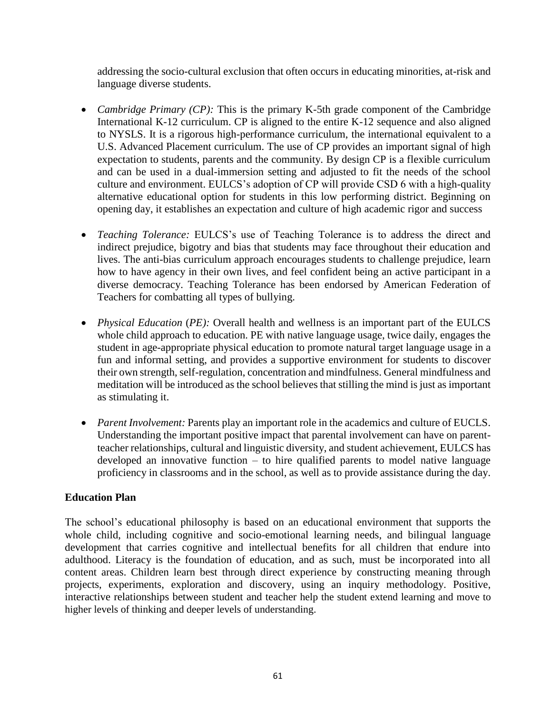addressing the socio-cultural exclusion that often occurs in educating minorities, at-risk and language diverse students.

- *Cambridge Primary (CP):* This is the primary K-5th grade component of the Cambridge International K-12 curriculum. CP is aligned to the entire K-12 sequence and also aligned to NYSLS. It is a rigorous high-performance curriculum, the international equivalent to a U.S. Advanced Placement curriculum. The use of CP provides an important signal of high expectation to students, parents and the community. By design CP is a flexible curriculum and can be used in a dual-immersion setting and adjusted to fit the needs of the school culture and environment. EULCS's adoption of CP will provide CSD 6 with a high-quality alternative educational option for students in this low performing district. Beginning on opening day, it establishes an expectation and culture of high academic rigor and success
- *Teaching Tolerance:* EULCS's use of Teaching Tolerance is to address the direct and indirect prejudice, bigotry and bias that students may face throughout their education and lives. The anti-bias curriculum approach encourages students to challenge prejudice, learn how to have agency in their own lives, and feel confident being an active participant in a diverse democracy. Teaching Tolerance has been endorsed by American Federation of Teachers for combatting all types of bullying.
- *Physical Education* (*PE*): Overall health and wellness is an important part of the EULCS whole child approach to education. PE with native language usage, twice daily, engages the student in age-appropriate physical education to promote natural target language usage in a fun and informal setting, and provides a supportive environment for students to discover their own strength, self-regulation, concentration and mindfulness. General mindfulness and meditation will be introduced as the school believes that stilling the mind is just as important as stimulating it.
- *Parent Involvement:* Parents play an important role in the academics and culture of EUCLS. Understanding the important positive impact that parental involvement can have on parentteacher relationships, cultural and linguistic diversity, and student achievement, EULCS has developed an innovative function – to hire qualified parents to model native language proficiency in classrooms and in the school, as well as to provide assistance during the day.

#### **Education Plan**

The school's educational philosophy is based on an educational environment that supports the whole child, including cognitive and socio-emotional learning needs, and bilingual language development that carries cognitive and intellectual benefits for all children that endure into adulthood. Literacy is the foundation of education, and as such, must be incorporated into all content areas. Children learn best through direct experience by constructing meaning through projects, experiments, exploration and discovery, using an inquiry methodology. Positive, interactive relationships between student and teacher help the student extend learning and move to higher levels of thinking and deeper levels of understanding.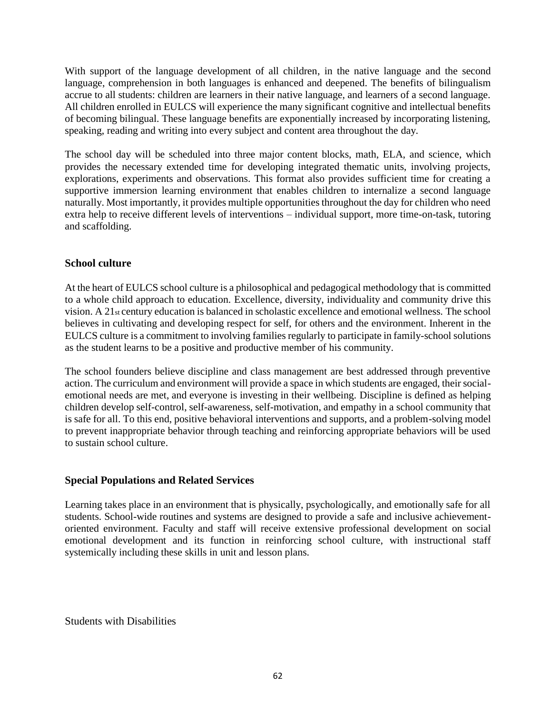With support of the language development of all children, in the native language and the second language, comprehension in both languages is enhanced and deepened. The benefits of bilingualism accrue to all students: children are learners in their native language, and learners of a second language. All children enrolled in EULCS will experience the many significant cognitive and intellectual benefits of becoming bilingual. These language benefits are exponentially increased by incorporating listening, speaking, reading and writing into every subject and content area throughout the day.

The school day will be scheduled into three major content blocks, math, ELA, and science, which provides the necessary extended time for developing integrated thematic units, involving projects, explorations, experiments and observations. This format also provides sufficient time for creating a supportive immersion learning environment that enables children to internalize a second language naturally. Most importantly, it provides multiple opportunities throughout the day for children who need extra help to receive different levels of interventions – individual support, more time-on-task, tutoring and scaffolding.

#### **School culture**

At the heart of EULCS school culture is a philosophical and pedagogical methodology that is committed to a whole child approach to education. Excellence, diversity, individuality and community drive this vision. A 21st century education is balanced in scholastic excellence and emotional wellness. The school believes in cultivating and developing respect for self, for others and the environment. Inherent in the EULCS culture is a commitment to involving families regularly to participate in family-school solutions as the student learns to be a positive and productive member of his community.

The school founders believe discipline and class management are best addressed through preventive action. The curriculum and environment will provide a space in which students are engaged, their socialemotional needs are met, and everyone is investing in their wellbeing. Discipline is defined as helping children develop self-control, self-awareness, self-motivation, and empathy in a school community that is safe for all. To this end, positive behavioral interventions and supports, and a problem-solving model to prevent inappropriate behavior through teaching and reinforcing appropriate behaviors will be used to sustain school culture.

#### **Special Populations and Related Services**

Learning takes place in an environment that is physically, psychologically, and emotionally safe for all students. School-wide routines and systems are designed to provide a safe and inclusive achievementoriented environment. Faculty and staff will receive extensive professional development on social emotional development and its function in reinforcing school culture, with instructional staff systemically including these skills in unit and lesson plans.

Students with Disabilities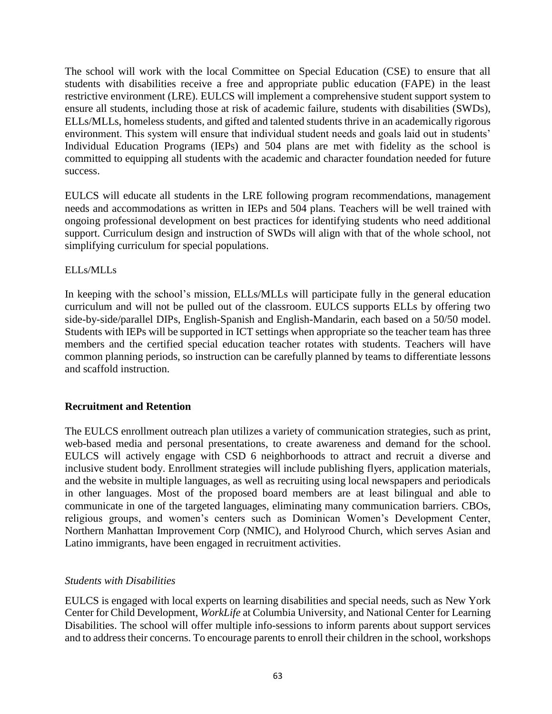The school will work with the local Committee on Special Education (CSE) to ensure that all students with disabilities receive a free and appropriate public education (FAPE) in the least restrictive environment (LRE). EULCS will implement a comprehensive student support system to ensure all students, including those at risk of academic failure, students with disabilities (SWDs), ELLs/MLLs, homeless students, and gifted and talented students thrive in an academically rigorous environment. This system will ensure that individual student needs and goals laid out in students' Individual Education Programs (IEPs) and 504 plans are met with fidelity as the school is committed to equipping all students with the academic and character foundation needed for future success.

EULCS will educate all students in the LRE following program recommendations, management needs and accommodations as written in IEPs and 504 plans. Teachers will be well trained with ongoing professional development on best practices for identifying students who need additional support. Curriculum design and instruction of SWDs will align with that of the whole school, not simplifying curriculum for special populations.

#### ELLs/MLLs

In keeping with the school's mission, ELLs/MLLs will participate fully in the general education curriculum and will not be pulled out of the classroom. EULCS supports ELLs by offering two side-by-side/parallel DIPs, English-Spanish and English-Mandarin, each based on a 50/50 model. Students with IEPs will be supported in ICT settings when appropriate so the teacher team has three members and the certified special education teacher rotates with students. Teachers will have common planning periods, so instruction can be carefully planned by teams to differentiate lessons and scaffold instruction.

#### **Recruitment and Retention**

The EULCS enrollment outreach plan utilizes a variety of communication strategies, such as print, web-based media and personal presentations, to create awareness and demand for the school. EULCS will actively engage with CSD 6 neighborhoods to attract and recruit a diverse and inclusive student body. Enrollment strategies will include publishing flyers, application materials, and the website in multiple languages, as well as recruiting using local newspapers and periodicals in other languages. Most of the proposed board members are at least bilingual and able to communicate in one of the targeted languages, eliminating many communication barriers. CBOs, religious groups, and women's centers such as Dominican Women's Development Center, Northern Manhattan Improvement Corp (NMIC), and Holyrood Church, which serves Asian and Latino immigrants, have been engaged in recruitment activities.

#### *Students with Disabilities*

EULCS is engaged with local experts on learning disabilities and special needs, such as New York Center for Child Development, *WorkLife* at Columbia University, and National Center for Learning Disabilities. The school will offer multiple info-sessions to inform parents about support services and to address their concerns. To encourage parents to enroll their children in the school, workshops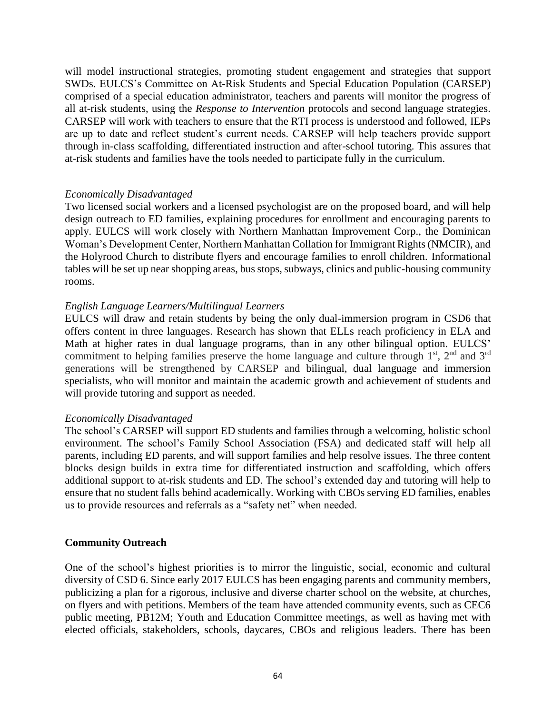will model instructional strategies, promoting student engagement and strategies that support SWDs. EULCS's Committee on At-Risk Students and Special Education Population (CARSEP) comprised of a special education administrator, teachers and parents will monitor the progress of all at-risk students, using the *Response to Intervention* protocols and second language strategies. CARSEP will work with teachers to ensure that the RTI process is understood and followed, IEPs are up to date and reflect student's current needs. CARSEP will help teachers provide support through in-class scaffolding, differentiated instruction and after-school tutoring. This assures that at-risk students and families have the tools needed to participate fully in the curriculum.

#### *Economically Disadvantaged*

Two licensed social workers and a licensed psychologist are on the proposed board, and will help design outreach to ED families, explaining procedures for enrollment and encouraging parents to apply. EULCS will work closely with Northern Manhattan Improvement Corp., the Dominican Woman's Development Center, Northern Manhattan Collation for Immigrant Rights (NMCIR), and the Holyrood Church to distribute flyers and encourage families to enroll children. Informational tables will be set up near shopping areas, bus stops, subways, clinics and public-housing community rooms.

#### *English Language Learners/Multilingual Learners*

EULCS will draw and retain students by being the only dual-immersion program in CSD6 that offers content in three languages. Research has shown that ELLs reach proficiency in ELA and Math at higher rates in dual language programs, than in any other bilingual option. EULCS' commitment to helping families preserve the home language and culture through  $1<sup>st</sup>$ ,  $2<sup>nd</sup>$  and  $3<sup>rd</sup>$ generations will be strengthened by CARSEP and bilingual, dual language and immersion specialists, who will monitor and maintain the academic growth and achievement of students and will provide tutoring and support as needed.

#### *Economically Disadvantaged*

The school's CARSEP will support ED students and families through a welcoming, holistic school environment. The school's Family School Association (FSA) and dedicated staff will help all parents, including ED parents, and will support families and help resolve issues. The three content blocks design builds in extra time for differentiated instruction and scaffolding, which offers additional support to at-risk students and ED. The school's extended day and tutoring will help to ensure that no student falls behind academically. Working with CBOs serving ED families, enables us to provide resources and referrals as a "safety net" when needed.

#### **Community Outreach**

One of the school's highest priorities is to mirror the linguistic, social, economic and cultural diversity of CSD 6. Since early 2017 EULCS has been engaging parents and community members, publicizing a plan for a rigorous, inclusive and diverse charter school on the website, at churches, on flyers and with petitions. Members of the team have attended community events, such as CEC6 public meeting, PB12M; Youth and Education Committee meetings, as well as having met with elected officials, stakeholders, schools, daycares, CBOs and religious leaders. There has been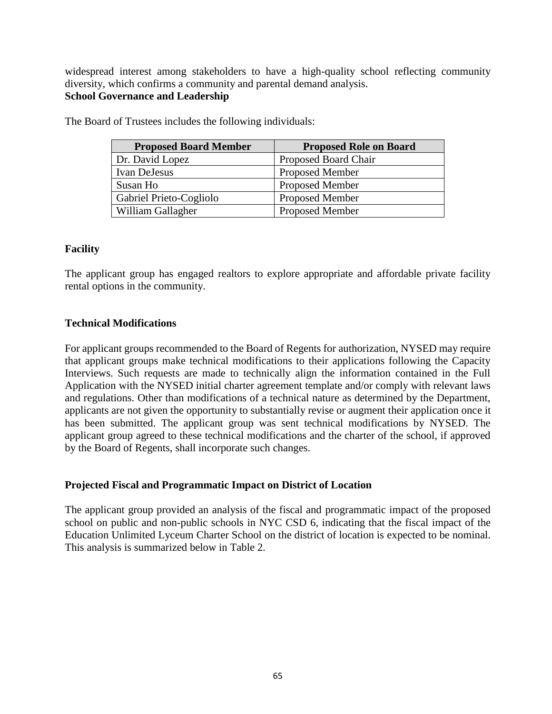widespread interest among stakeholders to have a high-quality school reflecting community diversity, which confirms a community and parental demand analysis. **School Governance and Leadership**

| <b>Proposed Board Member</b> | <b>Proposed Role on Board</b> |
|------------------------------|-------------------------------|
| Dr. David Lopez              | Proposed Board Chair          |
| Ivan DeJesus                 | <b>Proposed Member</b>        |
| Susan Ho                     | <b>Proposed Member</b>        |
| Gabriel Prieto-Cogliolo      | <b>Proposed Member</b>        |
| William Gallagher            | <b>Proposed Member</b>        |

The Board of Trustees includes the following individuals:

#### **Facility**

The applicant group has engaged realtors to explore appropriate and affordable private facility rental options in the community.

#### **Technical Modifications**

For applicant groups recommended to the Board of Regents for authorization, NYSED may require that applicant groups make technical modifications to their applications following the Capacity Interviews. Such requests are made to technically align the information contained in the Full Application with the NYSED initial charter agreement template and/or comply with relevant laws and regulations. Other than modifications of a technical nature as determined by the Department, applicants are not given the opportunity to substantially revise or augment their application once it has been submitted. The applicant group was sent technical modifications by NYSED. The applicant group agreed to these technical modifications and the charter of the school, if approved by the Board of Regents, shall incorporate such changes.

#### **Projected Fiscal and Programmatic Impact on District of Location**

The applicant group provided an analysis of the fiscal and programmatic impact of the proposed school on public and non-public schools in NYC CSD 6, indicating that the fiscal impact of the Education Unlimited Lyceum Charter School on the district of location is expected to be nominal. This analysis is summarized below in Table 2.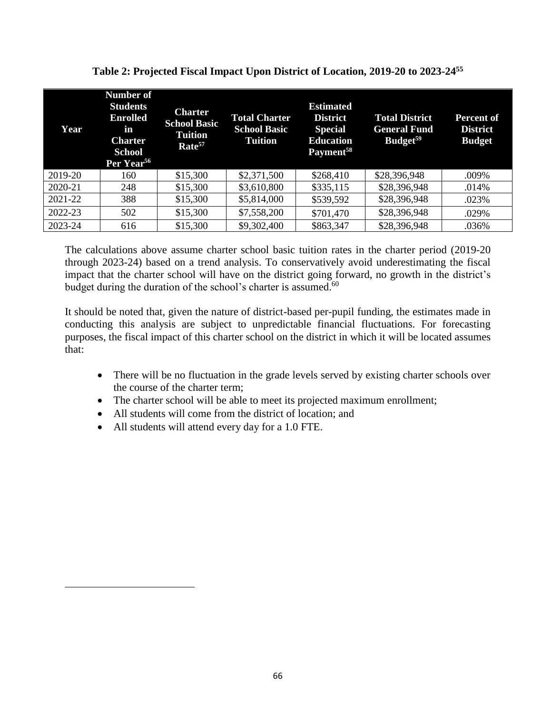| Year    | <b>Number of</b><br><b>Students</b><br><b>Enrolled</b><br>in<br><b>Charter</b><br><b>School</b><br>Per Year <sup>56</sup> | <b>Charter</b><br><b>School Basic</b><br>Tuition<br>Rate <sup>57</sup> | <b>Total Charter</b><br><b>School Basic</b><br><b>Tuition</b> | <b>Estimated</b><br><b>District</b><br><b>Special</b><br><b>Education</b><br>Payment <sup>58</sup> | <b>Total District</b><br><b>General Fund</b><br>Budget <sup>59</sup> | <b>Percent of</b><br><b>District</b><br><b>Budget</b> |
|---------|---------------------------------------------------------------------------------------------------------------------------|------------------------------------------------------------------------|---------------------------------------------------------------|----------------------------------------------------------------------------------------------------|----------------------------------------------------------------------|-------------------------------------------------------|
| 2019-20 | 160                                                                                                                       | \$15,300                                                               | \$2,371,500                                                   | \$268,410                                                                                          | \$28,396,948                                                         | .009%                                                 |
| 2020-21 | 248                                                                                                                       | \$15,300                                                               | \$3,610,800                                                   | \$335,115                                                                                          | \$28,396,948                                                         | .014%                                                 |
| 2021-22 | 388                                                                                                                       | \$15,300                                                               | \$5,814,000                                                   | \$539,592                                                                                          | \$28,396,948                                                         | .023%                                                 |
| 2022-23 | 502                                                                                                                       | \$15,300                                                               | \$7,558,200                                                   | \$701,470                                                                                          | \$28,396,948                                                         | .029%                                                 |
| 2023-24 | 616                                                                                                                       | \$15,300                                                               | \$9,302,400                                                   | \$863,347                                                                                          | \$28,396,948                                                         | .036%                                                 |

**Table 2: Projected Fiscal Impact Upon District of Location, 2019-20 to 2023-24<sup>55</sup>**

The calculations above assume charter school basic tuition rates in the charter period (2019-20 through 2023-24) based on a trend analysis. To conservatively avoid underestimating the fiscal impact that the charter school will have on the district going forward, no growth in the district's budget during the duration of the school's charter is assumed.<sup>60</sup>

It should be noted that, given the nature of district-based per-pupil funding, the estimates made in conducting this analysis are subject to unpredictable financial fluctuations. For forecasting purposes, the fiscal impact of this charter school on the district in which it will be located assumes that:

- There will be no fluctuation in the grade levels served by existing charter schools over the course of the charter term;
- The charter school will be able to meet its projected maximum enrollment;
- All students will come from the district of location; and
- All students will attend every day for a 1.0 FTE.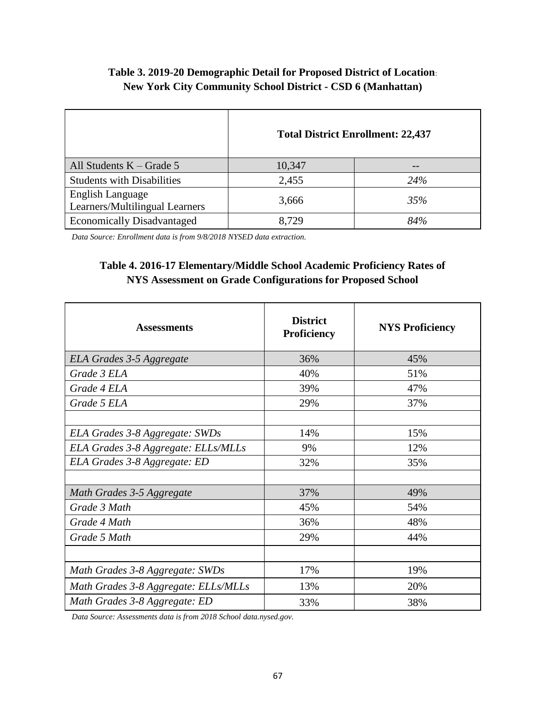## **Table 3. 2019-20 Demographic Detail for Proposed District of Location**: **New York City Community School District - CSD 6 (Manhattan)**

|                                                           |        | <b>Total District Enrollment: 22,437</b> |
|-----------------------------------------------------------|--------|------------------------------------------|
| All Students $K - Grade 5$                                | 10,347 |                                          |
| <b>Students with Disabilities</b>                         | 2,455  | 24%                                      |
| <b>English Language</b><br>Learners/Multilingual Learners | 3,666  | 35%                                      |
| <b>Economically Disadvantaged</b>                         | 8.729  | 84%                                      |

*Data Source: Enrollment data is from 9/8/2018 NYSED data extraction.*

### **Table 4. 2016-17 Elementary/Middle School Academic Proficiency Rates of NYS Assessment on Grade Configurations for Proposed School**

| <b>Assessments</b>                   | <b>District</b><br><b>Proficiency</b> | <b>NYS Proficiency</b> |
|--------------------------------------|---------------------------------------|------------------------|
| ELA Grades 3-5 Aggregate             | 36%                                   | 45%                    |
| Grade 3 ELA                          | 40%                                   | 51%                    |
| Grade 4 ELA                          | 39%                                   | 47%                    |
| Grade 5 ELA                          | 29%                                   | 37%                    |
|                                      |                                       |                        |
| ELA Grades 3-8 Aggregate: SWDs       | 14%                                   | 15%                    |
| ELA Grades 3-8 Aggregate: ELLs/MLLs  | 9%                                    | 12%                    |
| ELA Grades 3-8 Aggregate: ED         | 32%                                   | 35%                    |
|                                      |                                       |                        |
| Math Grades 3-5 Aggregate            | 37%                                   | 49%                    |
| Grade 3 Math                         | 45%                                   | 54%                    |
| Grade 4 Math                         | 36%                                   | 48%                    |
| Grade 5 Math                         | 29%                                   | 44%                    |
|                                      |                                       |                        |
| Math Grades 3-8 Aggregate: SWDs      | 17%                                   | 19%                    |
| Math Grades 3-8 Aggregate: ELLs/MLLs | 13%                                   | 20%                    |
| Math Grades 3-8 Aggregate: ED        | 33%                                   | 38%                    |

*Data Source: Assessments data is from 2018 School data.nysed.gov.*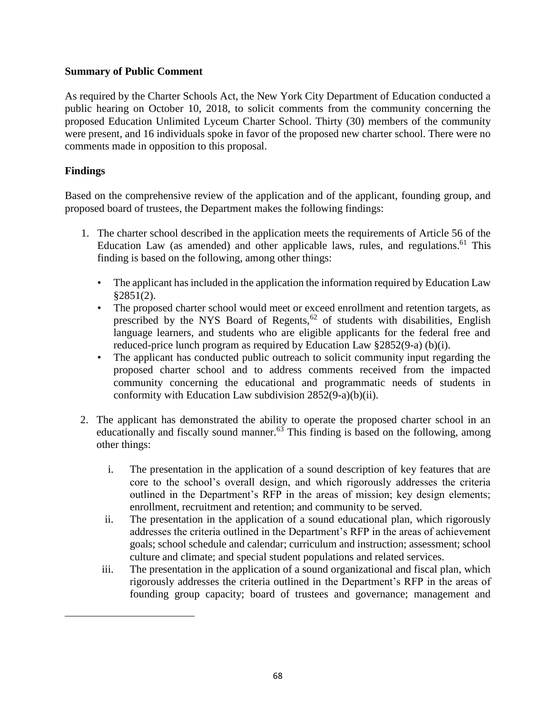#### **Summary of Public Comment**

As required by the Charter Schools Act, the New York City Department of Education conducted a public hearing on October 10, 2018, to solicit comments from the community concerning the proposed Education Unlimited Lyceum Charter School. Thirty (30) members of the community were present, and 16 individuals spoke in favor of the proposed new charter school. There were no comments made in opposition to this proposal.

#### **Findings**

 $\overline{a}$ 

Based on the comprehensive review of the application and of the applicant, founding group, and proposed board of trustees, the Department makes the following findings:

- 1. The charter school described in the application meets the requirements of Article 56 of the Education Law (as amended) and other applicable laws, rules, and regulations.<sup>61</sup> This finding is based on the following, among other things:
	- The applicant has included in the application the information required by Education Law  $§2851(2).$
	- The proposed charter school would meet or exceed enrollment and retention targets, as prescribed by the NYS Board of Regents,<sup>62</sup> of students with disabilities, English language learners, and students who are eligible applicants for the federal free and reduced-price lunch program as required by Education Law §2852(9-a) (b)(i).
	- The applicant has conducted public outreach to solicit community input regarding the proposed charter school and to address comments received from the impacted community concerning the educational and programmatic needs of students in conformity with Education Law subdivision 2852(9-a)(b)(ii).
- 2. The applicant has demonstrated the ability to operate the proposed charter school in an educationally and fiscally sound manner. $63$  This finding is based on the following, among other things:
	- i. The presentation in the application of a sound description of key features that are core to the school's overall design, and which rigorously addresses the criteria outlined in the Department's RFP in the areas of mission; key design elements; enrollment, recruitment and retention; and community to be served.
	- ii. The presentation in the application of a sound educational plan, which rigorously addresses the criteria outlined in the Department's RFP in the areas of achievement goals; school schedule and calendar; curriculum and instruction; assessment; school culture and climate; and special student populations and related services.
	- iii. The presentation in the application of a sound organizational and fiscal plan, which rigorously addresses the criteria outlined in the Department's RFP in the areas of founding group capacity; board of trustees and governance; management and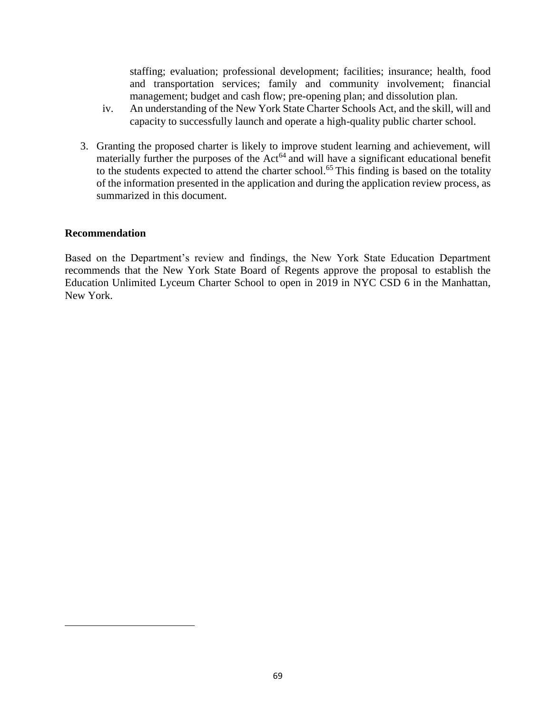staffing; evaluation; professional development; facilities; insurance; health, food and transportation services; family and community involvement; financial management; budget and cash flow; pre-opening plan; and dissolution plan.

- iv. An understanding of the New York State Charter Schools Act, and the skill, will and capacity to successfully launch and operate a high-quality public charter school.
- 3. Granting the proposed charter is likely to improve student learning and achievement, will materially further the purposes of the  $Act<sup>64</sup>$  and will have a significant educational benefit to the students expected to attend the charter school.<sup>65</sup> This finding is based on the totality of the information presented in the application and during the application review process, as summarized in this document.

#### **Recommendation**

 $\overline{a}$ 

Based on the Department's review and findings, the New York State Education Department recommends that the New York State Board of Regents approve the proposal to establish the Education Unlimited Lyceum Charter School to open in 2019 in NYC CSD 6 in the Manhattan, New York.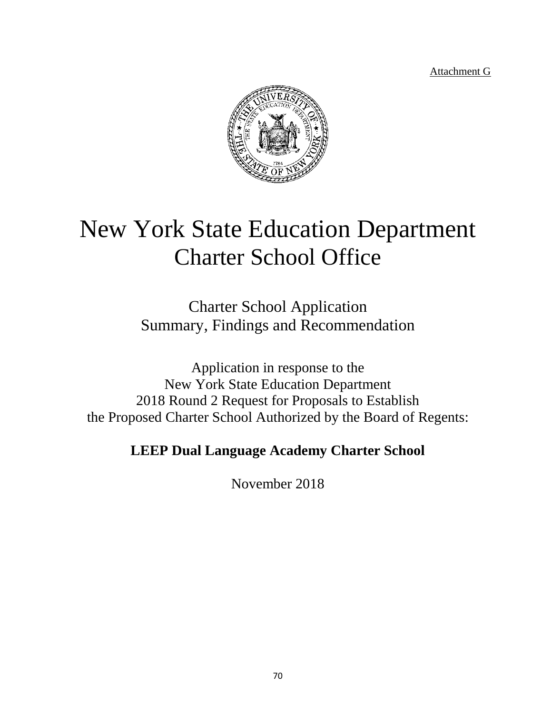Attachment G



# New York State Education Department Charter School Office

Charter School Application Summary, Findings and Recommendation

Application in response to the New York State Education Department 2018 Round 2 Request for Proposals to Establish the Proposed Charter School Authorized by the Board of Regents:

# **LEEP Dual Language Academy Charter School**

November 2018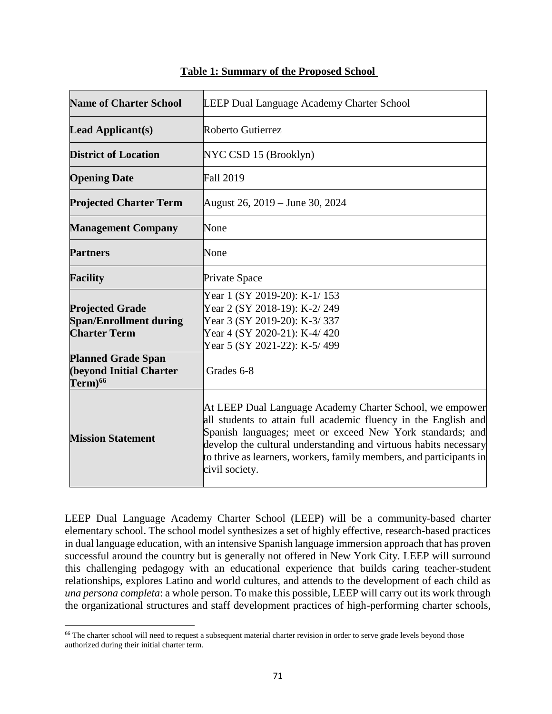| <b>Name of Charter School</b>                                                  | <b>LEEP Dual Language Academy Charter School</b>                                                                                                                                                                                                                                                                                                      |  |
|--------------------------------------------------------------------------------|-------------------------------------------------------------------------------------------------------------------------------------------------------------------------------------------------------------------------------------------------------------------------------------------------------------------------------------------------------|--|
| <b>Lead Applicant(s)</b>                                                       | Roberto Gutierrez                                                                                                                                                                                                                                                                                                                                     |  |
| <b>District of Location</b>                                                    | NYC CSD 15 (Brooklyn)                                                                                                                                                                                                                                                                                                                                 |  |
| <b>Opening Date</b>                                                            | <b>Fall 2019</b>                                                                                                                                                                                                                                                                                                                                      |  |
| <b>Projected Charter Term</b>                                                  | August 26, 2019 – June 30, 2024                                                                                                                                                                                                                                                                                                                       |  |
| <b>Management Company</b>                                                      | None                                                                                                                                                                                                                                                                                                                                                  |  |
| <b>Partners</b>                                                                | None                                                                                                                                                                                                                                                                                                                                                  |  |
| <b>Facility</b>                                                                | Private Space                                                                                                                                                                                                                                                                                                                                         |  |
| <b>Projected Grade</b><br><b>Span/Enrollment during</b><br><b>Charter Term</b> | Year 1 (SY 2019-20): K-1/153<br>Year 2 (SY 2018-19): K-2/249<br>Year 3 (SY 2019-20): K-3/337<br>Year 4 (SY 2020-21): K-4/420<br>Year 5 (SY 2021-22): K-5/499                                                                                                                                                                                          |  |
| <b>Planned Grade Span</b><br><b>(beyond Initial Charter</b><br>$Term)^{66}$    | Grades 6-8                                                                                                                                                                                                                                                                                                                                            |  |
| <b>Mission Statement</b>                                                       | At LEEP Dual Language Academy Charter School, we empower<br>all students to attain full academic fluency in the English and<br>Spanish languages; meet or exceed New York standards; and<br>develop the cultural understanding and virtuous habits necessary<br>to thrive as learners, workers, family members, and participants in<br>civil society. |  |

#### **Table 1: Summary of the Proposed School**

LEEP Dual Language Academy Charter School (LEEP) will be a community-based charter elementary school. The school model synthesizes a set of highly effective, research-based practices in dual language education, with an intensive Spanish language immersion approach that has proven successful around the country but is generally not offered in New York City. LEEP will surround this challenging pedagogy with an educational experience that builds caring teacher-student relationships, explores Latino and world cultures, and attends to the development of each child as *una persona completa*: a whole person. To make this possible, LEEP will carry out its work through the organizational structures and staff development practices of high-performing charter schools,

<sup>&</sup>lt;sup>66</sup> The charter school will need to request a subsequent material charter revision in order to serve grade levels beyond those authorized during their initial charter term.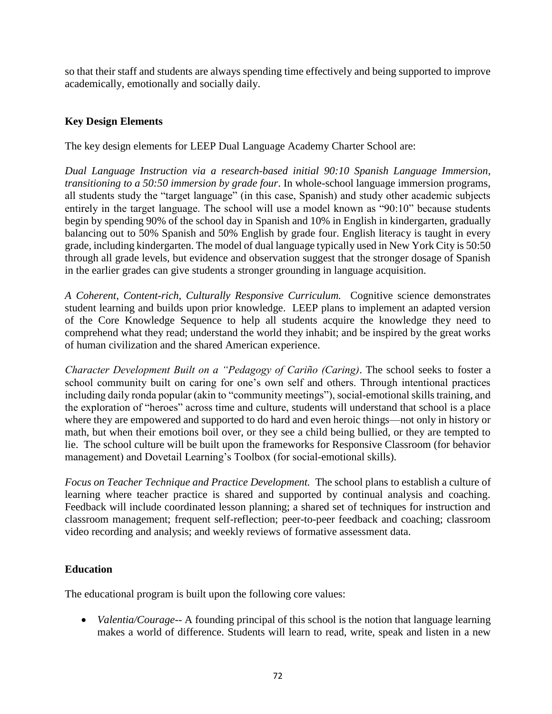so that their staff and students are always spending time effectively and being supported to improve academically, emotionally and socially daily.

#### **Key Design Elements**

The key design elements for LEEP Dual Language Academy Charter School are:

*Dual Language Instruction via a research-based initial 90:10 Spanish Language Immersion, transitioning to a 50:50 immersion by grade four*. In whole-school language immersion programs, all students study the "target language" (in this case, Spanish) and study other academic subjects entirely in the target language. The school will use a model known as "90:10" because students begin by spending 90% of the school day in Spanish and 10% in English in kindergarten, gradually balancing out to 50% Spanish and 50% English by grade four. English literacy is taught in every grade, including kindergarten. The model of dual language typically used in New York City is 50:50 through all grade levels, but evidence and observation suggest that the stronger dosage of Spanish in the earlier grades can give students a stronger grounding in language acquisition.

*A Coherent, Content-rich, Culturally Responsive Curriculum.* Cognitive science demonstrates student learning and builds upon prior knowledge. LEEP plans to implement an adapted version of the Core Knowledge Sequence to help all students acquire the knowledge they need to comprehend what they read; understand the world they inhabit; and be inspired by the great works of human civilization and the shared American experience.

*Character Development Built on a "Pedagogy of Cariño (Caring)*. The school seeks to foster a school community built on caring for one's own self and others. Through intentional practices including daily ronda popular (akin to "community meetings"), social-emotional skills training, and the exploration of "heroes" across time and culture, students will understand that school is a place where they are empowered and supported to do hard and even heroic things—not only in history or math, but when their emotions boil over, or they see a child being bullied, or they are tempted to lie. The school culture will be built upon the frameworks for Responsive Classroom (for behavior management) and Dovetail Learning's Toolbox (for social-emotional skills).

*Focus on Teacher Technique and Practice Development.* The school plans to establish a culture of learning where teacher practice is shared and supported by continual analysis and coaching. Feedback will include coordinated lesson planning; a shared set of techniques for instruction and classroom management; frequent self-reflection; peer-to-peer feedback and coaching; classroom video recording and analysis; and weekly reviews of formative assessment data.

#### **Education**

The educational program is built upon the following core values:

• *Valentia/Courage*-- A founding principal of this school is the notion that language learning makes a world of difference. Students will learn to read, write, speak and listen in a new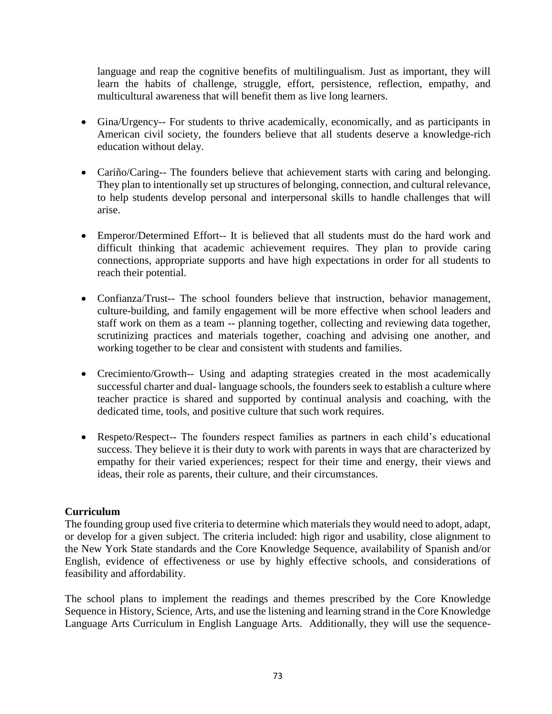language and reap the cognitive benefits of multilingualism. Just as important, they will learn the habits of challenge, struggle, effort, persistence, reflection, empathy, and multicultural awareness that will benefit them as live long learners.

- Gina/Urgency-- For students to thrive academically, economically, and as participants in American civil society, the founders believe that all students deserve a knowledge-rich education without delay.
- Cariño/Caring-- The founders believe that achievement starts with caring and belonging. They plan to intentionally set up structures of belonging, connection, and cultural relevance, to help students develop personal and interpersonal skills to handle challenges that will arise.
- Emperor/Determined Effort-- It is believed that all students must do the hard work and difficult thinking that academic achievement requires. They plan to provide caring connections, appropriate supports and have high expectations in order for all students to reach their potential.
- Confianza/Trust-- The school founders believe that instruction, behavior management, culture-building, and family engagement will be more effective when school leaders and staff work on them as a team -- planning together, collecting and reviewing data together, scrutinizing practices and materials together, coaching and advising one another, and working together to be clear and consistent with students and families.
- Crecimiento/Growth-- Using and adapting strategies created in the most academically successful charter and dual- language schools, the founders seek to establish a culture where teacher practice is shared and supported by continual analysis and coaching, with the dedicated time, tools, and positive culture that such work requires.
- Respeto/Respect-- The founders respect families as partners in each child's educational success. They believe it is their duty to work with parents in ways that are characterized by empathy for their varied experiences; respect for their time and energy, their views and ideas, their role as parents, their culture, and their circumstances.

# **Curriculum**

The founding group used five criteria to determine which materials they would need to adopt, adapt, or develop for a given subject. The criteria included: high rigor and usability, close alignment to the New York State standards and the Core Knowledge Sequence, availability of Spanish and/or English, evidence of effectiveness or use by highly effective schools, and considerations of feasibility and affordability.

The school plans to implement the readings and themes prescribed by the Core Knowledge Sequence in History, Science, Arts, and use the listening and learning strand in the Core Knowledge Language Arts Curriculum in English Language Arts. Additionally, they will use the sequence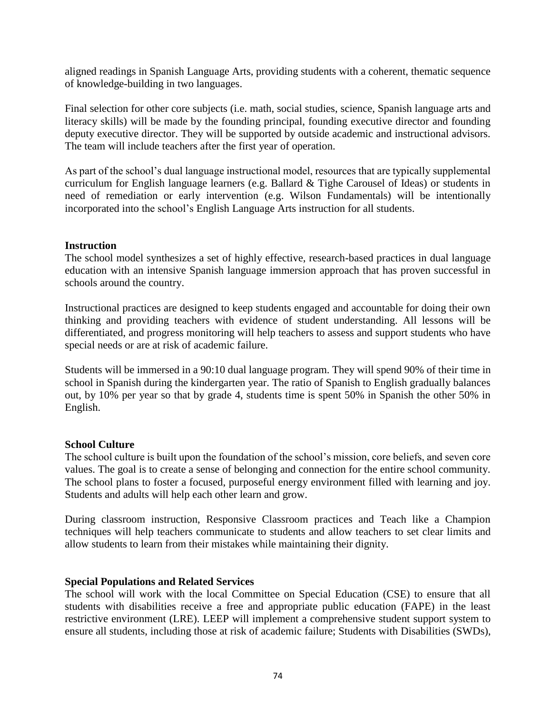aligned readings in Spanish Language Arts, providing students with a coherent, thematic sequence of knowledge-building in two languages.

Final selection for other core subjects (i.e. math, social studies, science, Spanish language arts and literacy skills) will be made by the founding principal, founding executive director and founding deputy executive director. They will be supported by outside academic and instructional advisors. The team will include teachers after the first year of operation.

As part of the school's dual language instructional model, resources that are typically supplemental curriculum for English language learners (e.g. Ballard & Tighe Carousel of Ideas) or students in need of remediation or early intervention (e.g. Wilson Fundamentals) will be intentionally incorporated into the school's English Language Arts instruction for all students.

#### **Instruction**

The school model synthesizes a set of highly effective, research-based practices in dual language education with an intensive Spanish language immersion approach that has proven successful in schools around the country.

Instructional practices are designed to keep students engaged and accountable for doing their own thinking and providing teachers with evidence of student understanding. All lessons will be differentiated, and progress monitoring will help teachers to assess and support students who have special needs or are at risk of academic failure.

Students will be immersed in a 90:10 dual language program. They will spend 90% of their time in school in Spanish during the kindergarten year. The ratio of Spanish to English gradually balances out, by 10% per year so that by grade 4, students time is spent 50% in Spanish the other 50% in English.

#### **School Culture**

The school culture is built upon the foundation of the school's mission, core beliefs, and seven core values. The goal is to create a sense of belonging and connection for the entire school community. The school plans to foster a focused, purposeful energy environment filled with learning and joy. Students and adults will help each other learn and grow.

During classroom instruction, Responsive Classroom practices and Teach like a Champion techniques will help teachers communicate to students and allow teachers to set clear limits and allow students to learn from their mistakes while maintaining their dignity.

#### **Special Populations and Related Services**

The school will work with the local Committee on Special Education (CSE) to ensure that all students with disabilities receive a free and appropriate public education (FAPE) in the least restrictive environment (LRE). LEEP will implement a comprehensive student support system to ensure all students, including those at risk of academic failure; Students with Disabilities (SWDs),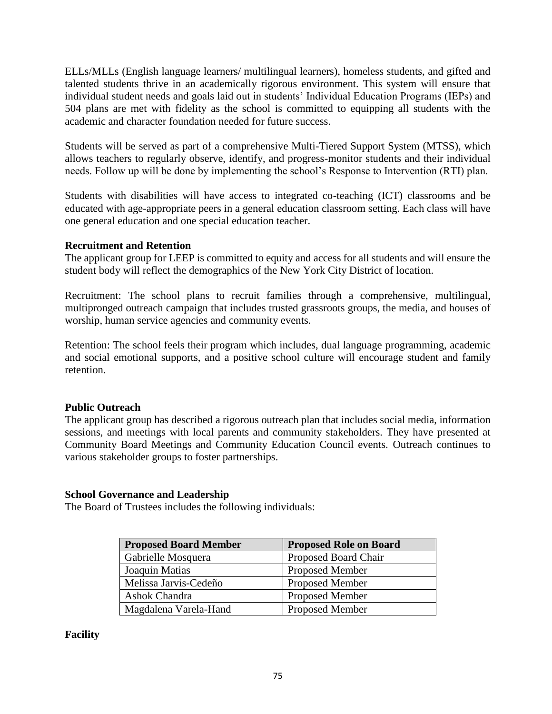ELLs/MLLs (English language learners/ multilingual learners), homeless students, and gifted and talented students thrive in an academically rigorous environment. This system will ensure that individual student needs and goals laid out in students' Individual Education Programs (IEPs) and 504 plans are met with fidelity as the school is committed to equipping all students with the academic and character foundation needed for future success.

Students will be served as part of a comprehensive Multi-Tiered Support System (MTSS), which allows teachers to regularly observe, identify, and progress-monitor students and their individual needs. Follow up will be done by implementing the school's Response to Intervention (RTI) plan.

Students with disabilities will have access to integrated co-teaching (ICT) classrooms and be educated with age-appropriate peers in a general education classroom setting. Each class will have one general education and one special education teacher.

#### **Recruitment and Retention**

The applicant group for LEEP is committed to equity and access for all students and will ensure the student body will reflect the demographics of the New York City District of location.

Recruitment: The school plans to recruit families through a comprehensive, multilingual, multipronged outreach campaign that includes trusted grassroots groups, the media, and houses of worship, human service agencies and community events.

Retention: The school feels their program which includes, dual language programming, academic and social emotional supports, and a positive school culture will encourage student and family retention.

# **Public Outreach**

The applicant group has described a rigorous outreach plan that includes social media, information sessions, and meetings with local parents and community stakeholders. They have presented at Community Board Meetings and Community Education Council events. Outreach continues to various stakeholder groups to foster partnerships.

# **School Governance and Leadership**

The Board of Trustees includes the following individuals:

| <b>Proposed Board Member</b> | <b>Proposed Role on Board</b> |
|------------------------------|-------------------------------|
| Gabrielle Mosquera           | Proposed Board Chair          |
| Joaquin Matias               | <b>Proposed Member</b>        |
| Melissa Jarvis-Cedeño        | <b>Proposed Member</b>        |
| Ashok Chandra                | <b>Proposed Member</b>        |
| Magdalena Varela-Hand        | <b>Proposed Member</b>        |

# **Facility**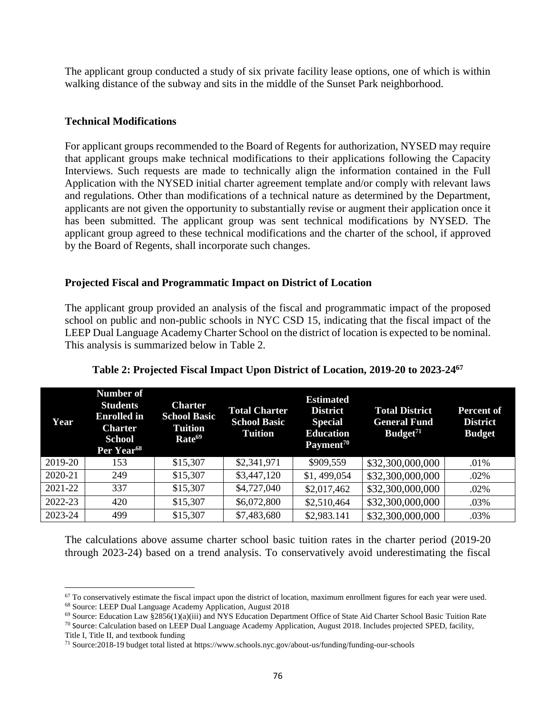The applicant group conducted a study of six private facility lease options, one of which is within walking distance of the subway and sits in the middle of the Sunset Park neighborhood.

#### **Technical Modifications**

For applicant groups recommended to the Board of Regents for authorization, NYSED may require that applicant groups make technical modifications to their applications following the Capacity Interviews. Such requests are made to technically align the information contained in the Full Application with the NYSED initial charter agreement template and/or comply with relevant laws and regulations. Other than modifications of a technical nature as determined by the Department, applicants are not given the opportunity to substantially revise or augment their application once it has been submitted. The applicant group was sent technical modifications by NYSED. The applicant group agreed to these technical modifications and the charter of the school, if approved by the Board of Regents, shall incorporate such changes.

#### **Projected Fiscal and Programmatic Impact on District of Location**

The applicant group provided an analysis of the fiscal and programmatic impact of the proposed school on public and non-public schools in NYC CSD 15, indicating that the fiscal impact of the LEEP Dual Language Academy Charter School on the district of location is expected to be nominal. This analysis is summarized below in Table 2.

| Year    | Number of<br><b>Students</b><br><b>Enrolled</b> in<br><b>Charter</b><br><b>School</b><br>Per Year <sup>68</sup> | <b>Charter</b><br><b>School Basic</b><br><b>Tuition</b><br>Rate <sup>69</sup> | <b>Total Charter</b><br><b>School Basic</b><br><b>Tuition</b> | <b>Estimated</b><br><b>District</b><br><b>Special</b><br><b>Education</b><br>Payment <sup>70</sup> | <b>Total District</b><br><b>General Fund</b><br>Budeet <sup>71</sup> | Percent of<br><b>District</b><br><b>Budget</b> |
|---------|-----------------------------------------------------------------------------------------------------------------|-------------------------------------------------------------------------------|---------------------------------------------------------------|----------------------------------------------------------------------------------------------------|----------------------------------------------------------------------|------------------------------------------------|
| 2019-20 | 153                                                                                                             | \$15,307                                                                      | \$2,341,971                                                   | \$909,559                                                                                          | \$32,300,000,000                                                     | .01%                                           |
| 2020-21 | 249                                                                                                             | \$15,307                                                                      | \$3,447,120                                                   | \$1,499,054                                                                                        | \$32,300,000,000                                                     | .02%                                           |
| 2021-22 | 337                                                                                                             | \$15,307                                                                      | \$4,727,040                                                   | \$2,017,462                                                                                        | \$32,300,000,000                                                     | .02%                                           |
| 2022-23 | 420                                                                                                             | \$15,307                                                                      | \$6,072,800                                                   | \$2,510,464                                                                                        | \$32,300,000,000                                                     | .03%                                           |
| 2023-24 | 499                                                                                                             | \$15,307                                                                      | \$7,483,680                                                   | \$2,983.141                                                                                        | \$32,300,000,000                                                     | .03%                                           |

**Table 2: Projected Fiscal Impact Upon District of Location, 2019-20 to 2023-24<sup>67</sup>**

The calculations above assume charter school basic tuition rates in the charter period (2019-20 through 2023-24) based on a trend analysis. To conservatively avoid underestimating the fiscal

<sup>68</sup> Source: LEEP Dual Language Academy Application, August 2018

 $67$  To conservatively estimate the fiscal impact upon the district of location, maximum enrollment figures for each year were used.

<sup>69</sup> Source: Education Law §2856(1)(a)(iii) and NYS Education Department Office of State Aid Charter School Basic Tuition Rate

 $70$  Source: Calculation based on LEEP Dual Language Academy Application, August 2018. Includes projected SPED, facility, Title I, Title II, and textbook funding

<sup>71</sup> Source:2018-19 budget total listed at https://www.schools.nyc.gov/about-us/funding/funding-our-schools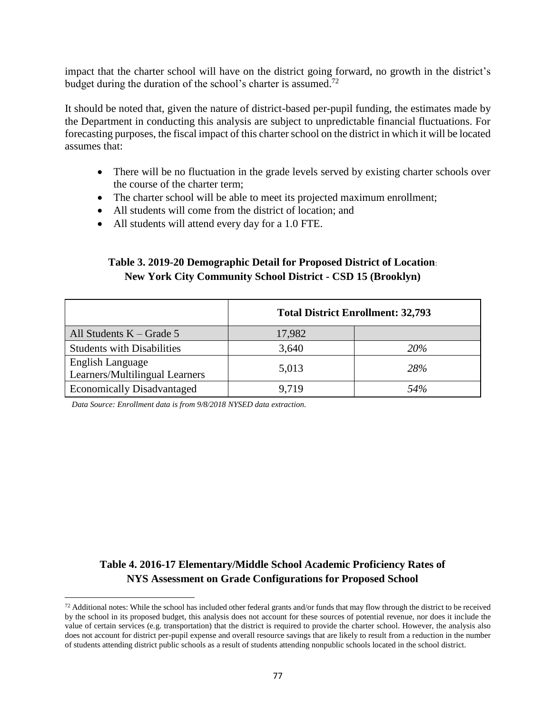impact that the charter school will have on the district going forward, no growth in the district's budget during the duration of the school's charter is assumed.<sup>72</sup>

It should be noted that, given the nature of district-based per-pupil funding, the estimates made by the Department in conducting this analysis are subject to unpredictable financial fluctuations. For forecasting purposes, the fiscal impact of this charter school on the district in which it will be located assumes that:

- There will be no fluctuation in the grade levels served by existing charter schools over the course of the charter term;
- The charter school will be able to meet its projected maximum enrollment;
- All students will come from the district of location; and
- All students will attend every day for a 1.0 FTE.

# **Table 3. 2019-20 Demographic Detail for Proposed District of Location**: **New York City Community School District - CSD 15 (Brooklyn)**

|                                                    | <b>Total District Enrollment: 32,793</b> |     |  |
|----------------------------------------------------|------------------------------------------|-----|--|
| All Students $K - Grade 5$                         | 17,982                                   |     |  |
| <b>Students with Disabilities</b>                  | 3,640                                    | 20% |  |
| English Language<br>Learners/Multilingual Learners | 5,013                                    | 28% |  |
| <b>Economically Disadvantaged</b>                  | 9.719                                    | 54% |  |

*Data Source: Enrollment data is from 9/8/2018 NYSED data extraction.*

 $\overline{a}$ 

# **Table 4. 2016-17 Elementary/Middle School Academic Proficiency Rates of NYS Assessment on Grade Configurations for Proposed School**

 $72$  Additional notes: While the school has included other federal grants and/or funds that may flow through the district to be received by the school in its proposed budget, this analysis does not account for these sources of potential revenue, nor does it include the value of certain services (e.g. transportation) that the district is required to provide the charter school. However, the analysis also does not account for district per-pupil expense and overall resource savings that are likely to result from a reduction in the number of students attending district public schools as a result of students attending nonpublic schools located in the school district.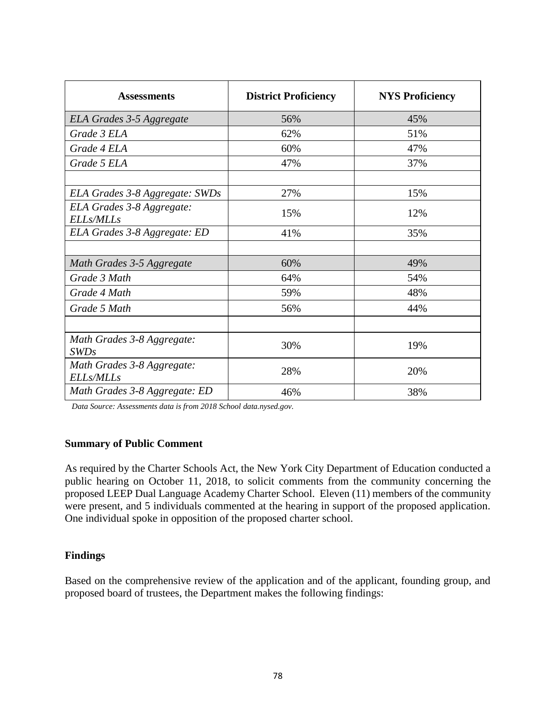| <b>Assessments</b>                            | <b>District Proficiency</b> | <b>NYS Proficiency</b> |
|-----------------------------------------------|-----------------------------|------------------------|
| ELA Grades 3-5 Aggregate                      | 56%                         | 45%                    |
| Grade 3 ELA                                   | 62%                         | 51%                    |
| Grade 4 ELA                                   | 60%                         | 47%                    |
| Grade 5 ELA                                   | 47%                         | 37%                    |
| ELA Grades 3-8 Aggregate: SWDs                | 27%                         | 15%                    |
| ELA Grades 3-8 Aggregate:<br><b>ELLs/MLLs</b> | 15%                         | 12%                    |
| ELA Grades 3-8 Aggregate: ED                  | 41%                         | 35%                    |
|                                               |                             |                        |
| Math Grades 3-5 Aggregate                     | 60%                         | 49%                    |
| Grade 3 Math                                  | 64%                         | 54%                    |
| Grade 4 Math                                  | 59%                         | 48%                    |
| Grade 5 Math                                  | 56%                         | 44%                    |
|                                               |                             |                        |
| Math Grades 3-8 Aggregate:<br>SWDs            | 30%                         | 19%                    |
| Math Grades 3-8 Aggregate:<br>ELLs/MLLs       | 28%                         | 20%                    |
| Math Grades 3-8 Aggregate: ED                 | 46%                         | 38%                    |

*Data Source: Assessments data is from 2018 School data.nysed.gov.*

#### **Summary of Public Comment**

As required by the Charter Schools Act, the New York City Department of Education conducted a public hearing on October 11, 2018, to solicit comments from the community concerning the proposed LEEP Dual Language Academy Charter School. Eleven (11) members of the community were present, and 5 individuals commented at the hearing in support of the proposed application. One individual spoke in opposition of the proposed charter school.

# **Findings**

Based on the comprehensive review of the application and of the applicant, founding group, and proposed board of trustees, the Department makes the following findings: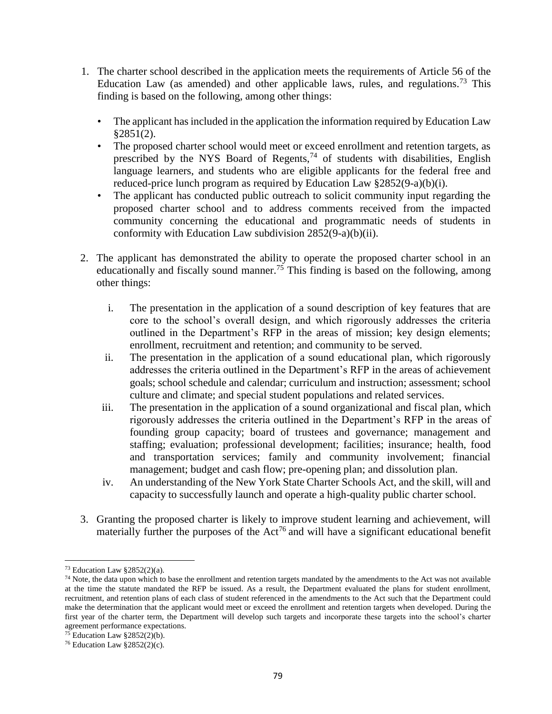- 1. The charter school described in the application meets the requirements of Article 56 of the Education Law (as amended) and other applicable laws, rules, and regulations.<sup>73</sup> This finding is based on the following, among other things:
	- The applicant has included in the application the information required by Education Law §2851(2).
	- The proposed charter school would meet or exceed enrollment and retention targets, as prescribed by the NYS Board of Regents,<sup>74</sup> of students with disabilities, English language learners, and students who are eligible applicants for the federal free and reduced-price lunch program as required by Education Law §2852(9-a)(b)(i).
	- The applicant has conducted public outreach to solicit community input regarding the proposed charter school and to address comments received from the impacted community concerning the educational and programmatic needs of students in conformity with Education Law subdivision 2852(9-a)(b)(ii).
- 2. The applicant has demonstrated the ability to operate the proposed charter school in an educationally and fiscally sound manner.<sup>75</sup> This finding is based on the following, among other things:
	- i. The presentation in the application of a sound description of key features that are core to the school's overall design, and which rigorously addresses the criteria outlined in the Department's RFP in the areas of mission; key design elements; enrollment, recruitment and retention; and community to be served.
	- ii. The presentation in the application of a sound educational plan, which rigorously addresses the criteria outlined in the Department's RFP in the areas of achievement goals; school schedule and calendar; curriculum and instruction; assessment; school culture and climate; and special student populations and related services.
	- iii. The presentation in the application of a sound organizational and fiscal plan, which rigorously addresses the criteria outlined in the Department's RFP in the areas of founding group capacity; board of trustees and governance; management and staffing; evaluation; professional development; facilities; insurance; health, food and transportation services; family and community involvement; financial management; budget and cash flow; pre-opening plan; and dissolution plan.
	- iv. An understanding of the New York State Charter Schools Act, and the skill, will and capacity to successfully launch and operate a high-quality public charter school.
- 3. Granting the proposed charter is likely to improve student learning and achievement, will materially further the purposes of the  $Act^{76}$  and will have a significant educational benefit

 $73$  Education Law §2852(2)(a).

<sup>&</sup>lt;sup>74</sup> Note, the data upon which to base the enrollment and retention targets mandated by the amendments to the Act was not available at the time the statute mandated the RFP be issued. As a result, the Department evaluated the plans for student enrollment, recruitment, and retention plans of each class of student referenced in the amendments to the Act such that the Department could make the determination that the applicant would meet or exceed the enrollment and retention targets when developed. During the first year of the charter term, the Department will develop such targets and incorporate these targets into the school's charter agreement performance expectations.

<sup>&</sup>lt;sup>75</sup> Education Law  $§2852(2)(b)$ .

<sup>&</sup>lt;sup>76</sup> Education Law  $§2852(2)(c)$ .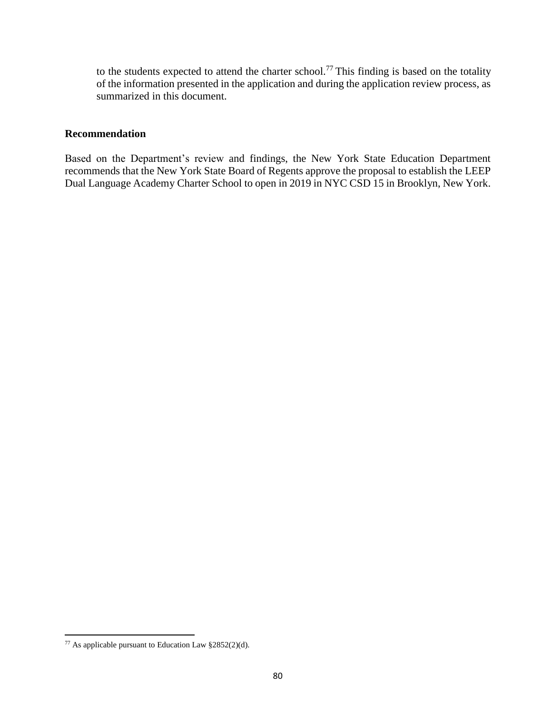to the students expected to attend the charter school.<sup>77</sup> This finding is based on the totality of the information presented in the application and during the application review process, as summarized in this document.

#### **Recommendation**

Based on the Department's review and findings, the New York State Education Department recommends that the New York State Board of Regents approve the proposal to establish the LEEP Dual Language Academy Charter School to open in 2019 in NYC CSD 15 in Brooklyn, New York.

<sup>77</sup> As applicable pursuant to Education Law §2852(2)(d).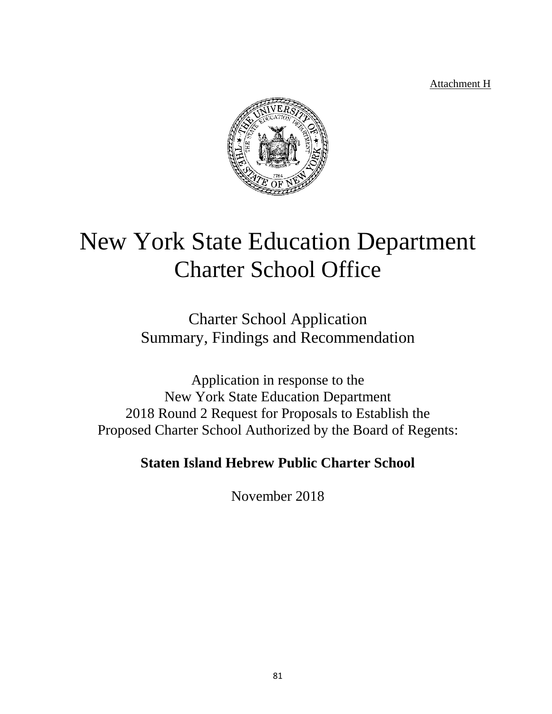Attachment H



# New York State Education Department Charter School Office

Charter School Application Summary, Findings and Recommendation

Application in response to the New York State Education Department 2018 Round 2 Request for Proposals to Establish the Proposed Charter School Authorized by the Board of Regents:

**Staten Island Hebrew Public Charter School**

November 2018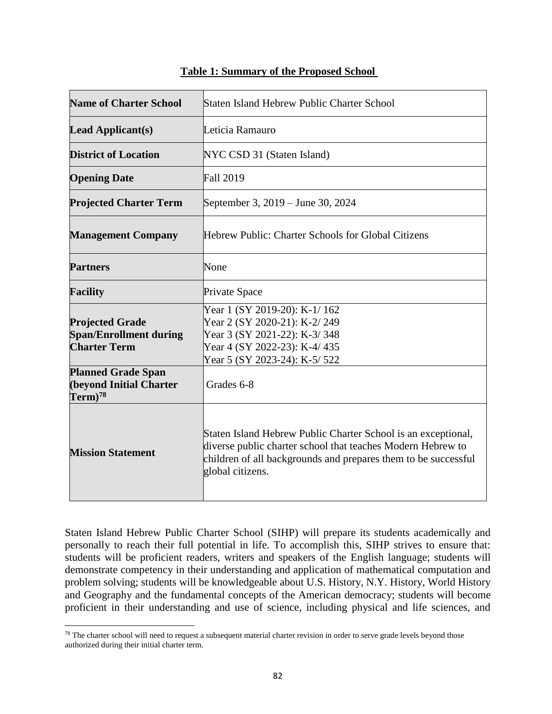| <b>Name of Charter School</b>                                                  | Staten Island Hebrew Public Charter School                                                                                                                                                                         |  |  |
|--------------------------------------------------------------------------------|--------------------------------------------------------------------------------------------------------------------------------------------------------------------------------------------------------------------|--|--|
| <b>Lead Applicant(s)</b>                                                       | Leticia Ramauro                                                                                                                                                                                                    |  |  |
| <b>District of Location</b>                                                    | NYC CSD 31 (Staten Island)                                                                                                                                                                                         |  |  |
| <b>Opening Date</b>                                                            | <b>Fall 2019</b>                                                                                                                                                                                                   |  |  |
| <b>Projected Charter Term</b>                                                  | September 3, 2019 – June 30, 2024                                                                                                                                                                                  |  |  |
| <b>Management Company</b>                                                      | Hebrew Public: Charter Schools for Global Citizens                                                                                                                                                                 |  |  |
| <b>Partners</b>                                                                | None                                                                                                                                                                                                               |  |  |
| <b>Facility</b>                                                                | Private Space                                                                                                                                                                                                      |  |  |
| <b>Projected Grade</b><br><b>Span/Enrollment during</b><br><b>Charter Term</b> | Year 1 (SY 2019-20): K-1/162<br>Year 2 (SY 2020-21): K-2/249<br>Year 3 (SY 2021-22): K-3/348<br>Year 4 (SY 2022-23): K-4/435<br>Year 5 (SY 2023-24): K-5/ 522                                                      |  |  |
| <b>Planned Grade Span</b><br><b>(beyond Initial Charter</b><br>$Term)^{78}$    | Grades 6-8                                                                                                                                                                                                         |  |  |
| <b>Mission Statement</b>                                                       | Staten Island Hebrew Public Charter School is an exceptional,<br>diverse public charter school that teaches Modern Hebrew to<br>children of all backgrounds and prepares them to be successful<br>global citizens. |  |  |

### **Table 1: Summary of the Proposed School**

Staten Island Hebrew Public Charter School (SIHP) will prepare its students academically and personally to reach their full potential in life. To accomplish this, SIHP strives to ensure that: students will be proficient readers, writers and speakers of the English language; students will demonstrate competency in their understanding and application of mathematical computation and problem solving; students will be knowledgeable about U.S. History, N.Y. History, World History and Geography and the fundamental concepts of the American democracy; students will become proficient in their understanding and use of science, including physical and life sciences, and

 $78$  The charter school will need to request a subsequent material charter revision in order to serve grade levels beyond those authorized during their initial charter term.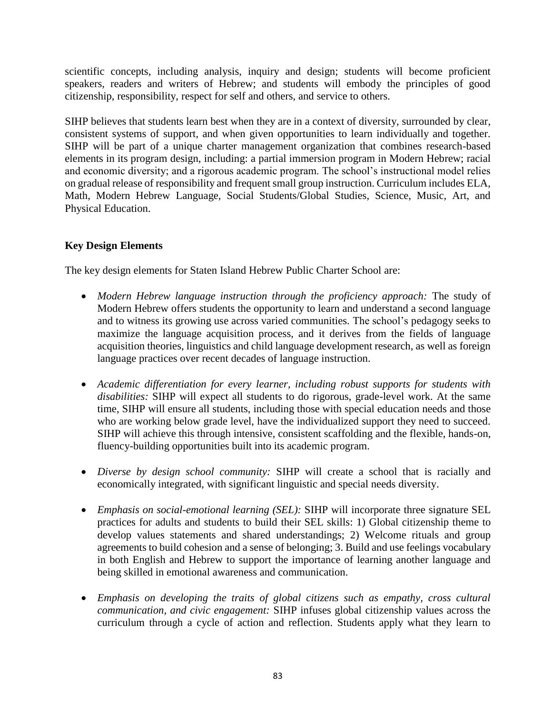scientific concepts, including analysis, inquiry and design; students will become proficient speakers, readers and writers of Hebrew; and students will embody the principles of good citizenship, responsibility, respect for self and others, and service to others.

SIHP believes that students learn best when they are in a context of diversity, surrounded by clear, consistent systems of support, and when given opportunities to learn individually and together. SIHP will be part of a unique charter management organization that combines research-based elements in its program design, including: a partial immersion program in Modern Hebrew; racial and economic diversity; and a rigorous academic program. The school's instructional model relies on gradual release of responsibility and frequent small group instruction. Curriculum includes ELA, Math, Modern Hebrew Language, Social Students/Global Studies, Science, Music, Art, and Physical Education.

# **Key Design Elements**

The key design elements for Staten Island Hebrew Public Charter School are:

- *Modern Hebrew language instruction through the proficiency approach:* The study of Modern Hebrew offers students the opportunity to learn and understand a second language and to witness its growing use across varied communities. The school's pedagogy seeks to maximize the language acquisition process, and it derives from the fields of language acquisition theories, linguistics and child language development research, as well as foreign language practices over recent decades of language instruction.
- *Academic differentiation for every learner, including robust supports for students with disabilities:* SIHP will expect all students to do rigorous, grade-level work. At the same time, SIHP will ensure all students, including those with special education needs and those who are working below grade level, have the individualized support they need to succeed. SIHP will achieve this through intensive, consistent scaffolding and the flexible, hands-on, fluency-building opportunities built into its academic program.
- *Diverse by design school community:* SIHP will create a school that is racially and economically integrated, with significant linguistic and special needs diversity.
- *Emphasis on social-emotional learning (SEL):* SIHP will incorporate three signature SEL practices for adults and students to build their SEL skills: 1) Global citizenship theme to develop values statements and shared understandings; 2) Welcome rituals and group agreements to build cohesion and a sense of belonging; 3. Build and use feelings vocabulary in both English and Hebrew to support the importance of learning another language and being skilled in emotional awareness and communication.
- *Emphasis on developing the traits of global citizens such as empathy, cross cultural communication, and civic engagement:* SIHP infuses global citizenship values across the curriculum through a cycle of action and reflection. Students apply what they learn to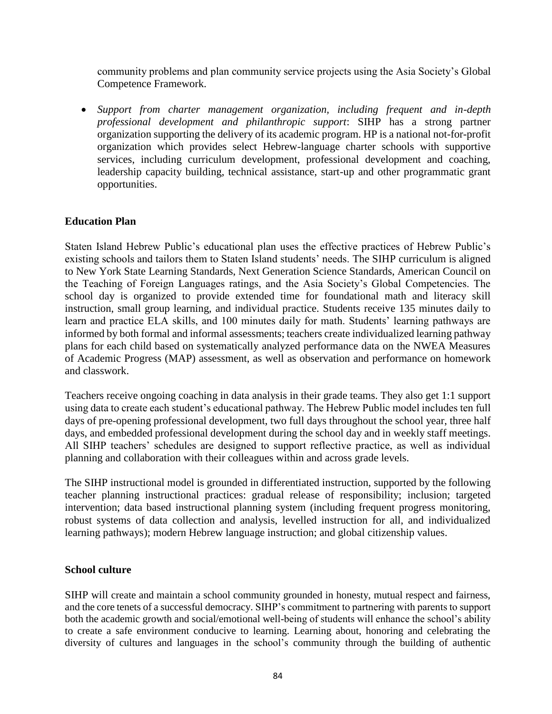community problems and plan community service projects using the Asia Society's Global Competence Framework.

• *Support from charter management organization, including frequent and in-depth professional development and philanthropic support*: SIHP has a strong partner organization supporting the delivery of its academic program. HP is a national not-for-profit organization which provides select Hebrew-language charter schools with supportive services, including curriculum development, professional development and coaching, leadership capacity building, technical assistance, start-up and other programmatic grant opportunities.

#### **Education Plan**

Staten Island Hebrew Public's educational plan uses the effective practices of Hebrew Public's existing schools and tailors them to Staten Island students' needs. The SIHP curriculum is aligned to New York State Learning Standards, Next Generation Science Standards, American Council on the Teaching of Foreign Languages ratings, and the Asia Society's Global Competencies. The school day is organized to provide extended time for foundational math and literacy skill instruction, small group learning, and individual practice. Students receive 135 minutes daily to learn and practice ELA skills, and 100 minutes daily for math. Students' learning pathways are informed by both formal and informal assessments; teachers create individualized learning pathway plans for each child based on systematically analyzed performance data on the NWEA Measures of Academic Progress (MAP) assessment, as well as observation and performance on homework and classwork.

Teachers receive ongoing coaching in data analysis in their grade teams. They also get 1:1 support using data to create each student's educational pathway. The Hebrew Public model includes ten full days of pre-opening professional development, two full days throughout the school year, three half days, and embedded professional development during the school day and in weekly staff meetings. All SIHP teachers' schedules are designed to support reflective practice, as well as individual planning and collaboration with their colleagues within and across grade levels.

The SIHP instructional model is grounded in differentiated instruction, supported by the following teacher planning instructional practices: gradual release of responsibility; inclusion; targeted intervention; data based instructional planning system (including frequent progress monitoring, robust systems of data collection and analysis, levelled instruction for all, and individualized learning pathways); modern Hebrew language instruction; and global citizenship values.

#### **School culture**

SIHP will create and maintain a school community grounded in honesty, mutual respect and fairness, and the core tenets of a successful democracy. SIHP's commitment to partnering with parents to support both the academic growth and social/emotional well-being of students will enhance the school's ability to create a safe environment conducive to learning. Learning about, honoring and celebrating the diversity of cultures and languages in the school's community through the building of authentic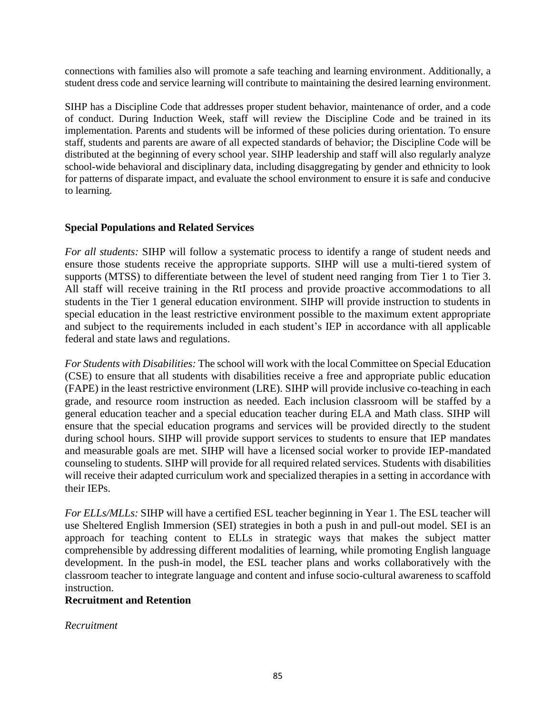connections with families also will promote a safe teaching and learning environment. Additionally, a student dress code and service learning will contribute to maintaining the desired learning environment.

SIHP has a Discipline Code that addresses proper student behavior, maintenance of order, and a code of conduct. During Induction Week, staff will review the Discipline Code and be trained in its implementation. Parents and students will be informed of these policies during orientation. To ensure staff, students and parents are aware of all expected standards of behavior; the Discipline Code will be distributed at the beginning of every school year. SIHP leadership and staff will also regularly analyze school-wide behavioral and disciplinary data, including disaggregating by gender and ethnicity to look for patterns of disparate impact, and evaluate the school environment to ensure it is safe and conducive to learning.

#### **Special Populations and Related Services**

*For all students:* SIHP will follow a systematic process to identify a range of student needs and ensure those students receive the appropriate supports. SIHP will use a multi-tiered system of supports (MTSS) to differentiate between the level of student need ranging from Tier 1 to Tier 3. All staff will receive training in the RtI process and provide proactive accommodations to all students in the Tier 1 general education environment. SIHP will provide instruction to students in special education in the least restrictive environment possible to the maximum extent appropriate and subject to the requirements included in each student's IEP in accordance with all applicable federal and state laws and regulations.

*For Students with Disabilities:* The school will work with the local Committee on Special Education (CSE) to ensure that all students with disabilities receive a free and appropriate public education (FAPE) in the least restrictive environment (LRE). SIHP will provide inclusive co-teaching in each grade, and resource room instruction as needed. Each inclusion classroom will be staffed by a general education teacher and a special education teacher during ELA and Math class. SIHP will ensure that the special education programs and services will be provided directly to the student during school hours. SIHP will provide support services to students to ensure that IEP mandates and measurable goals are met. SIHP will have a licensed social worker to provide IEP-mandated counseling to students. SIHP will provide for all required related services. Students with disabilities will receive their adapted curriculum work and specialized therapies in a setting in accordance with their IEPs.

*For ELLs/MLLs:* SIHP will have a certified ESL teacher beginning in Year 1. The ESL teacher will use Sheltered English Immersion (SEI) strategies in both a push in and pull-out model. SEI is an approach for teaching content to ELLs in strategic ways that makes the subject matter comprehensible by addressing different modalities of learning, while promoting English language development. In the push-in model, the ESL teacher plans and works collaboratively with the classroom teacher to integrate language and content and infuse socio-cultural awareness to scaffold instruction.

# **Recruitment and Retention**

#### *Recruitment*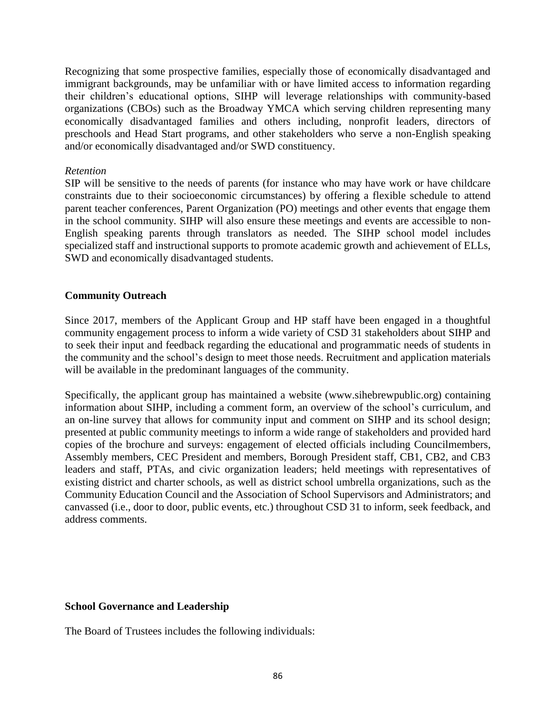Recognizing that some prospective families, especially those of economically disadvantaged and immigrant backgrounds, may be unfamiliar with or have limited access to information regarding their children's educational options, SIHP will leverage relationships with community-based organizations (CBOs) such as the Broadway YMCA which serving children representing many economically disadvantaged families and others including, nonprofit leaders, directors of preschools and Head Start programs, and other stakeholders who serve a non-English speaking and/or economically disadvantaged and/or SWD constituency.

#### *Retention*

SIP will be sensitive to the needs of parents (for instance who may have work or have childcare constraints due to their socioeconomic circumstances) by offering a flexible schedule to attend parent teacher conferences, Parent Organization (PO) meetings and other events that engage them in the school community. SIHP will also ensure these meetings and events are accessible to non-English speaking parents through translators as needed. The SIHP school model includes specialized staff and instructional supports to promote academic growth and achievement of ELLs, SWD and economically disadvantaged students.

#### **Community Outreach**

Since 2017, members of the Applicant Group and HP staff have been engaged in a thoughtful community engagement process to inform a wide variety of CSD 31 stakeholders about SIHP and to seek their input and feedback regarding the educational and programmatic needs of students in the community and the school's design to meet those needs. Recruitment and application materials will be available in the predominant languages of the community.

Specifically, the applicant group has maintained a website (www.sihebrewpublic.org) containing information about SIHP, including a comment form, an overview of the school's curriculum, and an on-line survey that allows for community input and comment on SIHP and its school design; presented at public community meetings to inform a wide range of stakeholders and provided hard copies of the brochure and surveys: engagement of elected officials including Councilmembers, Assembly members, CEC President and members, Borough President staff, CB1, CB2, and CB3 leaders and staff, PTAs, and civic organization leaders; held meetings with representatives of existing district and charter schools, as well as district school umbrella organizations, such as the Community Education Council and the Association of School Supervisors and Administrators; and canvassed (i.e., door to door, public events, etc.) throughout CSD 31 to inform, seek feedback, and address comments.

#### **School Governance and Leadership**

The Board of Trustees includes the following individuals: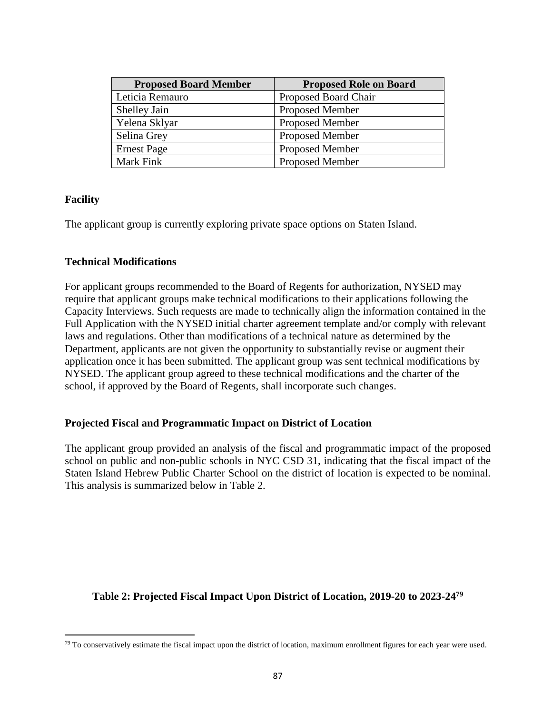| <b>Proposed Board Member</b> | <b>Proposed Role on Board</b> |
|------------------------------|-------------------------------|
| Leticia Remauro              | Proposed Board Chair          |
| Shelley Jain                 | <b>Proposed Member</b>        |
| Yelena Sklyar                | <b>Proposed Member</b>        |
| Selina Grey                  | <b>Proposed Member</b>        |
| <b>Ernest Page</b>           | <b>Proposed Member</b>        |
| Mark Fink                    | <b>Proposed Member</b>        |

#### **Facility**

 $\overline{a}$ 

The applicant group is currently exploring private space options on Staten Island.

#### **Technical Modifications**

For applicant groups recommended to the Board of Regents for authorization, NYSED may require that applicant groups make technical modifications to their applications following the Capacity Interviews. Such requests are made to technically align the information contained in the Full Application with the NYSED initial charter agreement template and/or comply with relevant laws and regulations. Other than modifications of a technical nature as determined by the Department, applicants are not given the opportunity to substantially revise or augment their application once it has been submitted. The applicant group was sent technical modifications by NYSED. The applicant group agreed to these technical modifications and the charter of the school, if approved by the Board of Regents, shall incorporate such changes.

#### **Projected Fiscal and Programmatic Impact on District of Location**

The applicant group provided an analysis of the fiscal and programmatic impact of the proposed school on public and non-public schools in NYC CSD 31, indicating that the fiscal impact of the Staten Island Hebrew Public Charter School on the district of location is expected to be nominal. This analysis is summarized below in Table 2.

# **Table 2: Projected Fiscal Impact Upon District of Location, 2019-20 to 2023-24<sup>79</sup>**

 $79$  To conservatively estimate the fiscal impact upon the district of location, maximum enrollment figures for each year were used.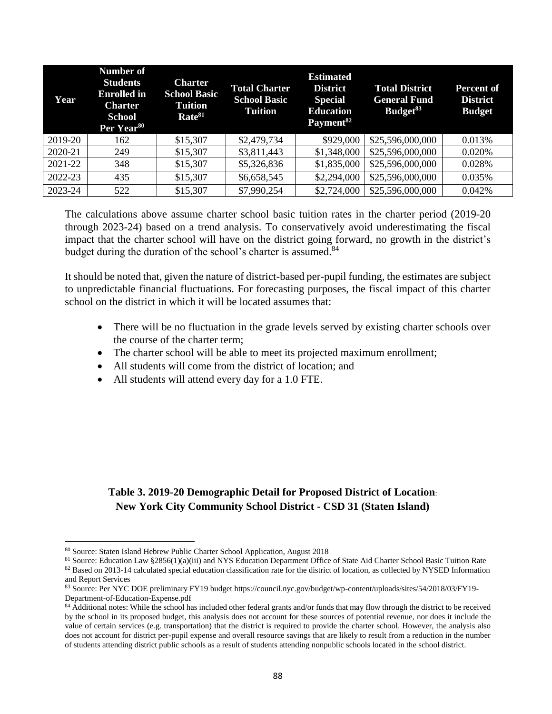| Year    | <b>Number of</b><br><b>Students</b><br><b>Enrolled</b> in<br><b>Charter</b><br><b>School</b><br>Per Year <sup>80</sup> | <b>Charter</b><br><b>School Basic</b><br><b>Tuition</b><br>Rate <sup>81</sup> | <b>Total Charter</b><br><b>School Basic</b><br><b>Tuition</b> | <b>Estimated</b><br><b>District</b><br><b>Special</b><br><b>Education</b><br>Payment <sup>82</sup> | <b>Total District</b><br><b>General Fund</b><br>Budget <sup>83</sup> | Percent of<br><b>District</b><br><b>Budget</b> |
|---------|------------------------------------------------------------------------------------------------------------------------|-------------------------------------------------------------------------------|---------------------------------------------------------------|----------------------------------------------------------------------------------------------------|----------------------------------------------------------------------|------------------------------------------------|
| 2019-20 | 162                                                                                                                    | \$15,307                                                                      | \$2,479,734                                                   | \$929,000                                                                                          | \$25,596,000,000                                                     | 0.013%                                         |
| 2020-21 | 249                                                                                                                    | \$15,307                                                                      | \$3,811,443                                                   | \$1,348,000                                                                                        | \$25,596,000,000                                                     | 0.020%                                         |
| 2021-22 | 348                                                                                                                    | \$15,307                                                                      | \$5,326,836                                                   | \$1,835,000                                                                                        | \$25,596,000,000                                                     | 0.028%                                         |
| 2022-23 | 435                                                                                                                    | \$15,307                                                                      | \$6,658,545                                                   | \$2,294,000                                                                                        | \$25,596,000,000                                                     | 0.035%                                         |
| 2023-24 | 522                                                                                                                    | \$15,307                                                                      | \$7,990,254                                                   | \$2,724,000                                                                                        | \$25,596,000,000                                                     | 0.042%                                         |

The calculations above assume charter school basic tuition rates in the charter period (2019-20 through 2023-24) based on a trend analysis. To conservatively avoid underestimating the fiscal impact that the charter school will have on the district going forward, no growth in the district's budget during the duration of the school's charter is assumed.<sup>84</sup>

It should be noted that, given the nature of district-based per-pupil funding, the estimates are subject to unpredictable financial fluctuations. For forecasting purposes, the fiscal impact of this charter school on the district in which it will be located assumes that:

- There will be no fluctuation in the grade levels served by existing charter schools over the course of the charter term;
- The charter school will be able to meet its projected maximum enrollment;
- All students will come from the district of location; and
- All students will attend every day for a 1.0 FTE.

# **Table 3. 2019-20 Demographic Detail for Proposed District of Location**: **New York City Community School District - CSD 31 (Staten Island)**

<sup>80</sup> Source: Staten Island Hebrew Public Charter School Application, August 2018

<sup>81</sup> Source: Education Law §2856(1)(a)(iii) and NYS Education Department Office of State Aid Charter School Basic Tuition Rate 82 Based on 2013-14 calculated special education classification rate for the district of location, as collected by NYSED Information and Report Services

<sup>83</sup> Source: Per NYC DOE preliminary FY19 budget https://council.nyc.gov/budget/wp-content/uploads/sites/54/2018/03/FY19- Department-of-Education-Expense.pdf

<sup>84</sup> Additional notes: While the school has included other federal grants and/or funds that may flow through the district to be received by the school in its proposed budget, this analysis does not account for these sources of potential revenue, nor does it include the value of certain services (e.g. transportation) that the district is required to provide the charter school. However, the analysis also does not account for district per-pupil expense and overall resource savings that are likely to result from a reduction in the number of students attending district public schools as a result of students attending nonpublic schools located in the school district.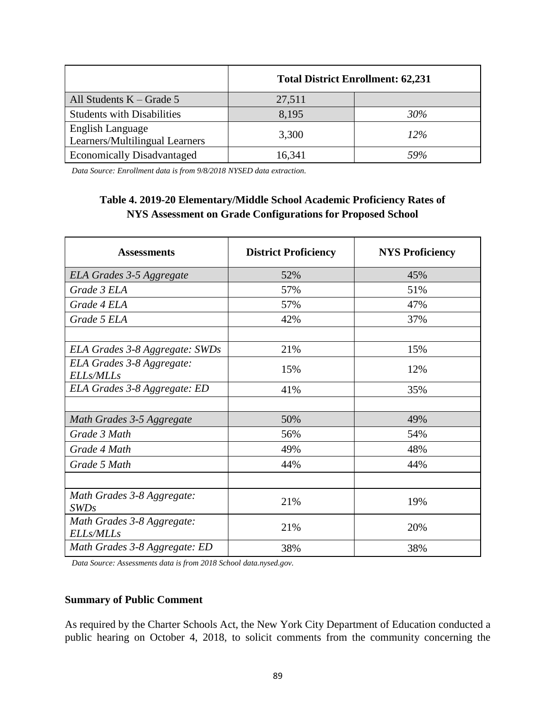|                                                    | <b>Total District Enrollment: 62,231</b> |     |  |
|----------------------------------------------------|------------------------------------------|-----|--|
| All Students $K - Grade 5$                         | 27,511                                   |     |  |
| <b>Students with Disabilities</b>                  | 8,195                                    | 30% |  |
| English Language<br>Learners/Multilingual Learners | 3,300                                    | 12% |  |
| <b>Economically Disadvantaged</b>                  | 16,341                                   | 59% |  |

*Data Source: Enrollment data is from 9/8/2018 NYSED data extraction.*

# **Table 4. 2019-20 Elementary/Middle School Academic Proficiency Rates of NYS Assessment on Grade Configurations for Proposed School**

| <b>Assessments</b>                             | <b>District Proficiency</b> | <b>NYS Proficiency</b> |
|------------------------------------------------|-----------------------------|------------------------|
| ELA Grades 3-5 Aggregate                       | 52%                         | 45%                    |
| Grade 3 ELA                                    | 57%                         | 51%                    |
| Grade 4 ELA                                    | 57%                         | 47%                    |
| Grade 5 ELA                                    | 42%                         | 37%                    |
|                                                |                             |                        |
| ELA Grades 3-8 Aggregate: SWDs                 | 21%                         | 15%                    |
| ELA Grades 3-8 Aggregate:<br><b>ELLs/MLLs</b>  | 15%                         | 12%                    |
| ELA Grades 3-8 Aggregate: ED                   | 41%                         | 35%                    |
|                                                |                             |                        |
| Math Grades 3-5 Aggregate                      | 50%                         | 49%                    |
| Grade 3 Math                                   | 56%                         | 54%                    |
| Grade 4 Math                                   | 49%                         | 48%                    |
| Grade 5 Math                                   | 44%                         | 44%                    |
|                                                |                             |                        |
| Math Grades 3-8 Aggregate:<br>SWDs             | 21%                         | 19%                    |
| Math Grades 3-8 Aggregate:<br><b>ELLs/MLLs</b> | 21%                         | 20%                    |
| Math Grades 3-8 Aggregate: ED                  | 38%                         | 38%                    |

*Data Source: Assessments data is from 2018 School data.nysed.gov.*

#### **Summary of Public Comment**

As required by the Charter Schools Act, the New York City Department of Education conducted a public hearing on October 4, 2018, to solicit comments from the community concerning the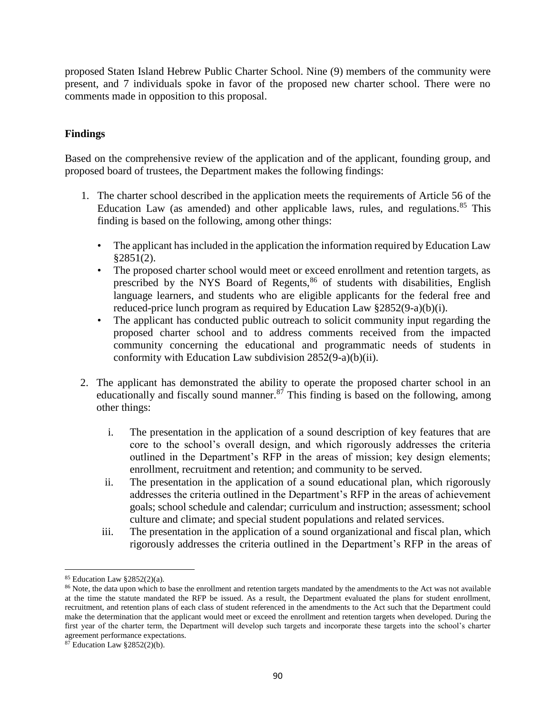proposed Staten Island Hebrew Public Charter School. Nine (9) members of the community were present, and 7 individuals spoke in favor of the proposed new charter school. There were no comments made in opposition to this proposal.

# **Findings**

Based on the comprehensive review of the application and of the applicant, founding group, and proposed board of trustees, the Department makes the following findings:

- 1. The charter school described in the application meets the requirements of Article 56 of the Education Law (as amended) and other applicable laws, rules, and regulations. $85$  This finding is based on the following, among other things:
	- The applicant has included in the application the information required by Education Law §2851(2).
	- The proposed charter school would meet or exceed enrollment and retention targets, as prescribed by the NYS Board of Regents, $86$  of students with disabilities, English language learners, and students who are eligible applicants for the federal free and reduced-price lunch program as required by Education Law §2852(9-a)(b)(i).
	- The applicant has conducted public outreach to solicit community input regarding the proposed charter school and to address comments received from the impacted community concerning the educational and programmatic needs of students in conformity with Education Law subdivision 2852(9-a)(b)(ii).
- 2. The applicant has demonstrated the ability to operate the proposed charter school in an educationally and fiscally sound manner. $87$  This finding is based on the following, among other things:
	- i. The presentation in the application of a sound description of key features that are core to the school's overall design, and which rigorously addresses the criteria outlined in the Department's RFP in the areas of mission; key design elements; enrollment, recruitment and retention; and community to be served.
	- ii. The presentation in the application of a sound educational plan, which rigorously addresses the criteria outlined in the Department's RFP in the areas of achievement goals; school schedule and calendar; curriculum and instruction; assessment; school culture and climate; and special student populations and related services.
	- iii. The presentation in the application of a sound organizational and fiscal plan, which rigorously addresses the criteria outlined in the Department's RFP in the areas of

<sup>85</sup> Education Law §2852(2)(a).

<sup>&</sup>lt;sup>86</sup> Note, the data upon which to base the enrollment and retention targets mandated by the amendments to the Act was not available at the time the statute mandated the RFP be issued. As a result, the Department evaluated the plans for student enrollment, recruitment, and retention plans of each class of student referenced in the amendments to the Act such that the Department could make the determination that the applicant would meet or exceed the enrollment and retention targets when developed. During the first year of the charter term, the Department will develop such targets and incorporate these targets into the school's charter agreement performance expectations.

 $87$  Education Law  $\S 2852(2)(b)$ .